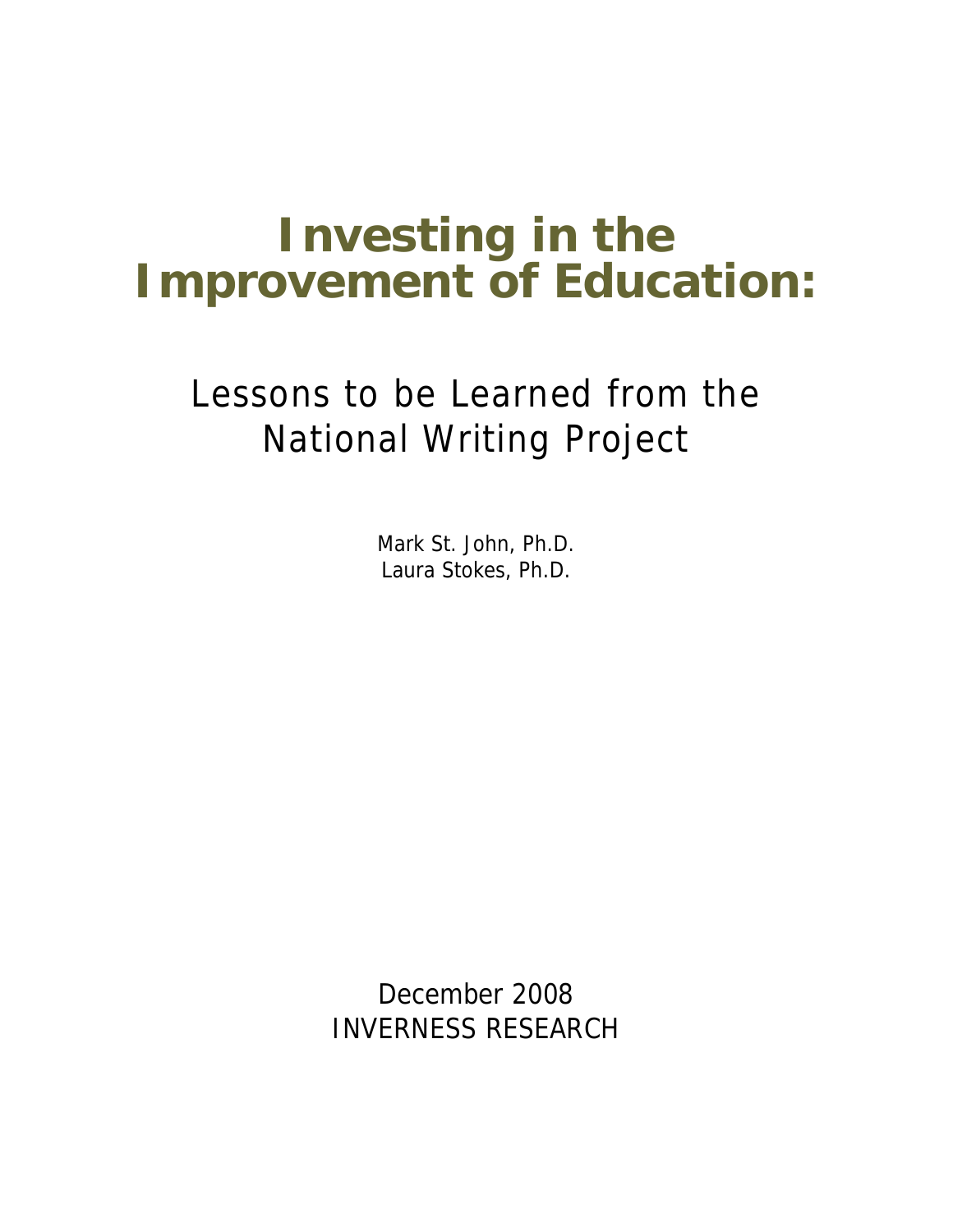# **Investing in the Improvement of Education:**

## Lessons to be Learned from the National Writing Project

Mark St. John, Ph.D. Laura Stokes, Ph.D.

December 2008 INVERNESS RESEARCH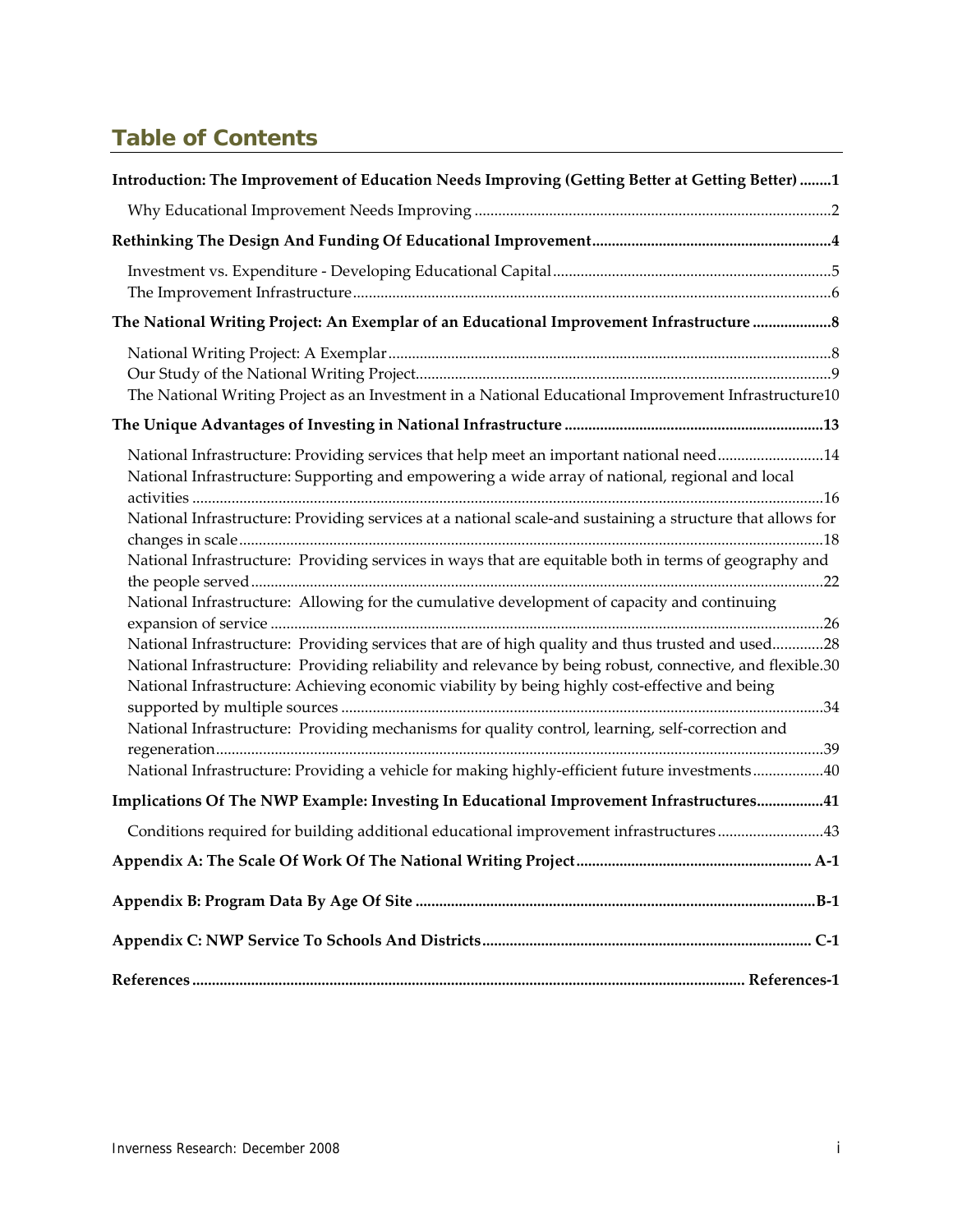## **Table of Contents**

| Introduction: The Improvement of Education Needs Improving (Getting Better at Getting Better) 1                                                                                                                                                                                                                                                                                                                                                                                                                                                                                                                                                                                                                                   |
|-----------------------------------------------------------------------------------------------------------------------------------------------------------------------------------------------------------------------------------------------------------------------------------------------------------------------------------------------------------------------------------------------------------------------------------------------------------------------------------------------------------------------------------------------------------------------------------------------------------------------------------------------------------------------------------------------------------------------------------|
|                                                                                                                                                                                                                                                                                                                                                                                                                                                                                                                                                                                                                                                                                                                                   |
|                                                                                                                                                                                                                                                                                                                                                                                                                                                                                                                                                                                                                                                                                                                                   |
|                                                                                                                                                                                                                                                                                                                                                                                                                                                                                                                                                                                                                                                                                                                                   |
| The National Writing Project: An Exemplar of an Educational Improvement Infrastructure  8                                                                                                                                                                                                                                                                                                                                                                                                                                                                                                                                                                                                                                         |
| The National Writing Project as an Investment in a National Educational Improvement Infrastructure10                                                                                                                                                                                                                                                                                                                                                                                                                                                                                                                                                                                                                              |
|                                                                                                                                                                                                                                                                                                                                                                                                                                                                                                                                                                                                                                                                                                                                   |
| National Infrastructure: Providing services that help meet an important national need14<br>National Infrastructure: Supporting and empowering a wide array of national, regional and local<br>National Infrastructure: Providing services at a national scale-and sustaining a structure that allows for<br>National Infrastructure: Providing services in ways that are equitable both in terms of geography and<br>National Infrastructure: Allowing for the cumulative development of capacity and continuing<br>National Infrastructure: Providing services that are of high quality and thus trusted and used28<br>National Infrastructure: Providing reliability and relevance by being robust, connective, and flexible.30 |
| National Infrastructure: Achieving economic viability by being highly cost-effective and being<br>National Infrastructure: Providing mechanisms for quality control, learning, self-correction and<br>National Infrastructure: Providing a vehicle for making highly-efficient future investments40                                                                                                                                                                                                                                                                                                                                                                                                                               |
| Implications Of The NWP Example: Investing In Educational Improvement Infrastructures41                                                                                                                                                                                                                                                                                                                                                                                                                                                                                                                                                                                                                                           |
| Conditions required for building additional educational improvement infrastructures43                                                                                                                                                                                                                                                                                                                                                                                                                                                                                                                                                                                                                                             |
|                                                                                                                                                                                                                                                                                                                                                                                                                                                                                                                                                                                                                                                                                                                                   |
|                                                                                                                                                                                                                                                                                                                                                                                                                                                                                                                                                                                                                                                                                                                                   |
|                                                                                                                                                                                                                                                                                                                                                                                                                                                                                                                                                                                                                                                                                                                                   |
|                                                                                                                                                                                                                                                                                                                                                                                                                                                                                                                                                                                                                                                                                                                                   |

<u> 1989 - Johann Barn, mars ann an t-Amhain Aonaich an t-Aonaich an t-Aonaich ann an t-Aonaich an t-Aonaich ann </u>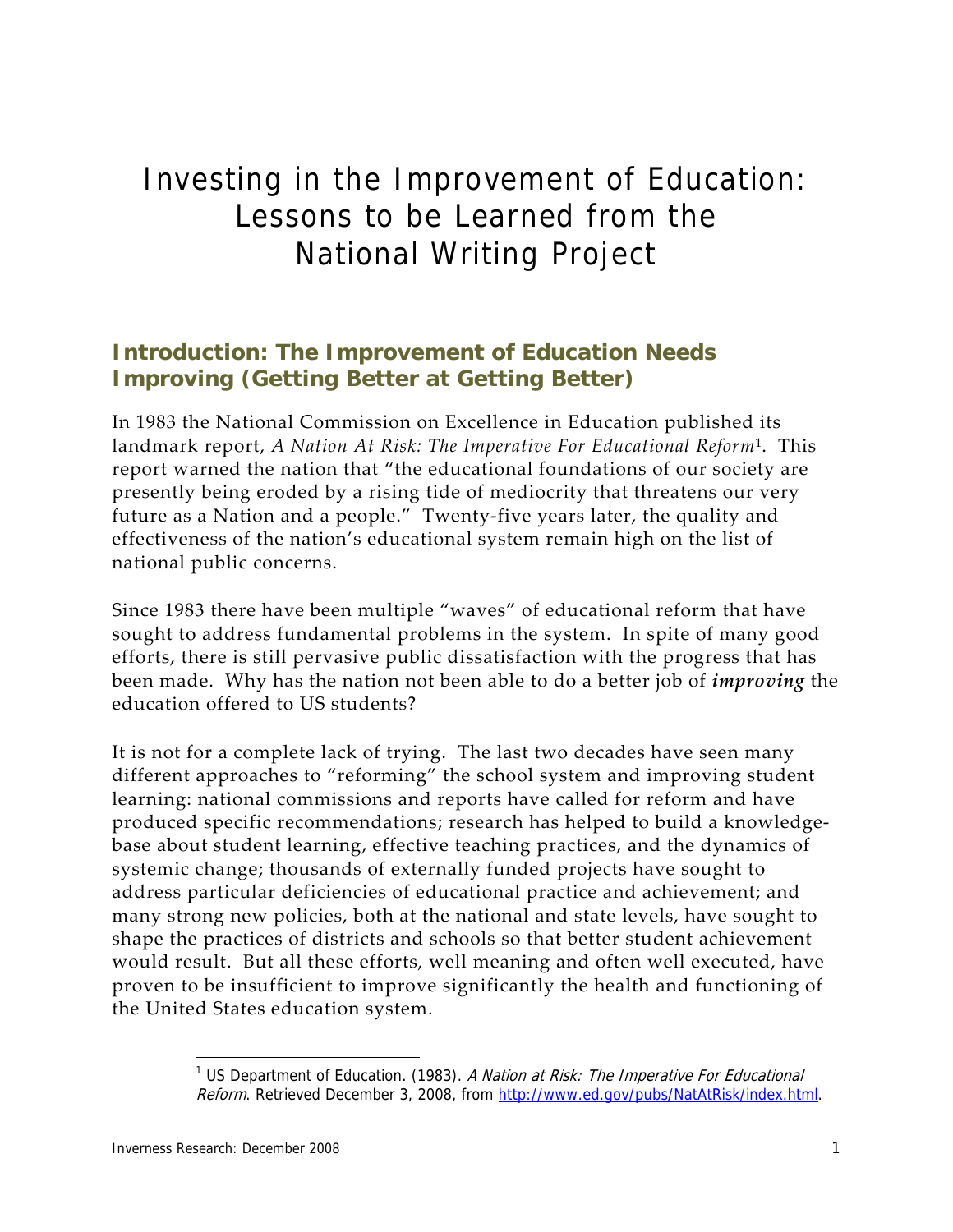## Investing in the Improvement of Education: Lessons to be Learned from the National Writing Project

## **Introduction: The Improvement of Education Needs Improving (Getting Better at Getting Better)**

In 1983 the National Commission on Excellence in Education published its landmark report, *A Nation At Risk: The Imperative For Educational Reform*<sup>1</sup>. This report warned the nation that "the educational foundations of our society are presently being eroded by a rising tide of mediocrity that threatens our very future as a Nation and a people." Twenty‐five years later, the quality and effectiveness of the nation's educational system remain high on the list of national public concerns.

Since 1983 there have been multiple "waves" of educational reform that have sought to address fundamental problems in the system. In spite of many good efforts, there is still pervasive public dissatisfaction with the progress that has been made. Why has the nation not been able to do a better job of *improving* the education offered to US students?

It is not for a complete lack of trying. The last two decades have seen many different approaches to "reforming" the school system and improving student learning: national commissions and reports have called for reform and have produced specific recommendations; research has helped to build a knowledge‐ base about student learning, effective teaching practices, and the dynamics of systemic change; thousands of externally funded projects have sought to address particular deficiencies of educational practice and achievement; and many strong new policies, both at the national and state levels, have sought to shape the practices of districts and schools so that better student achievement would result. But all these efforts, well meaning and often well executed, have proven to be insufficient to improve significantly the health and functioning of the United States education system.

<sup>&</sup>lt;sup>1</sup> US Department of Education. (1983). A Nation at Risk: The Imperative For Educational Reform. Retrieved December 3, 2008, from http://www.ed.gov/pubs/NatAtRisk/index.html.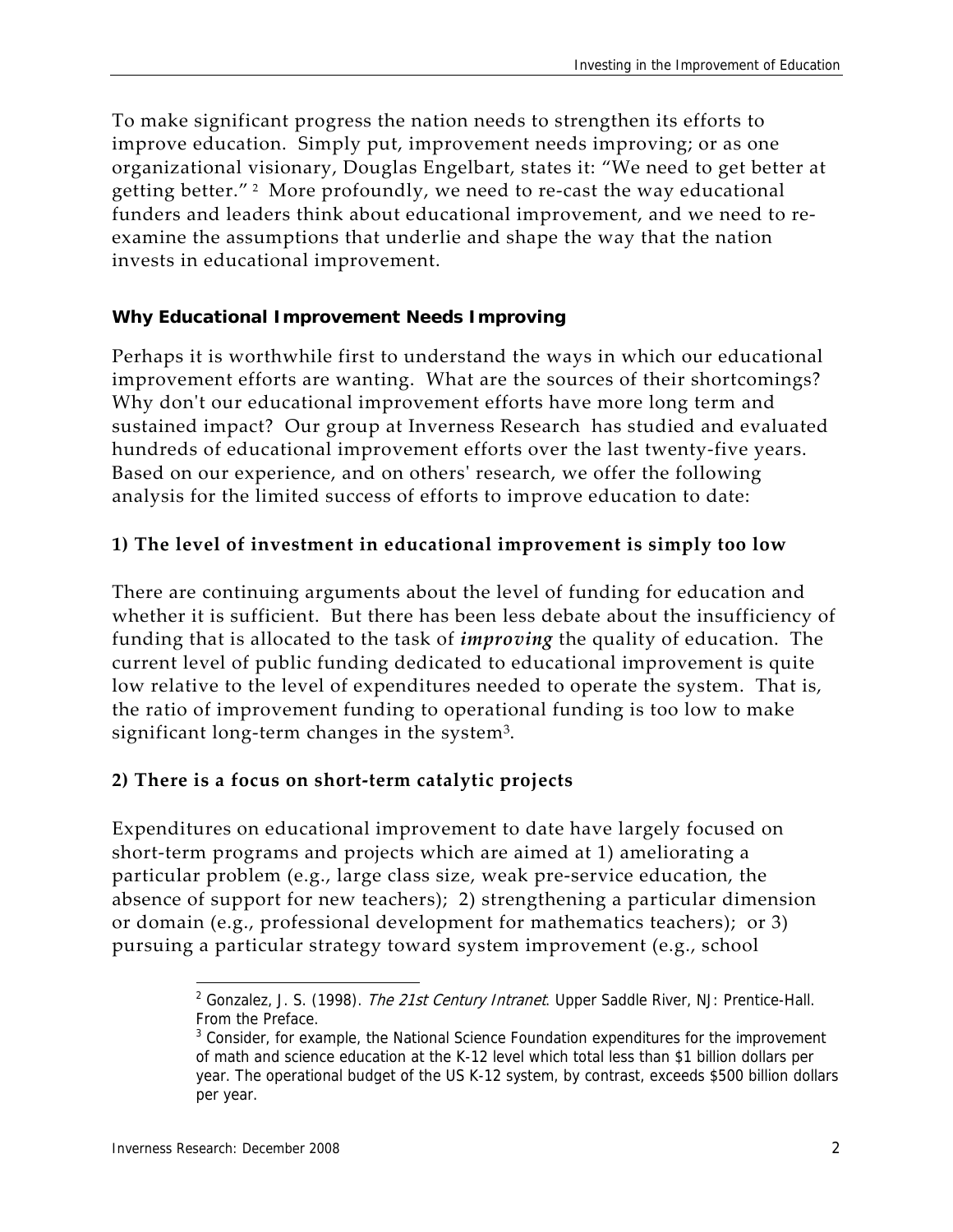To make significant progress the nation needs to strengthen its efforts to improve education. Simply put, improvement needs improving; or as one organizational visionary, Douglas Engelbart, states it: "We need to get better at getting better."<sup>2</sup> More profoundly, we need to re-cast the way educational funders and leaders think about educational improvement, and we need to re‐ examine the assumptions that underlie and shape the way that the nation invests in educational improvement.

#### **Why Educational Improvement Needs Improving**

Perhaps it is worthwhile first to understand the ways in which our educational improvement efforts are wanting. What are the sources of their shortcomings? Why don't our educational improvement efforts have more long term and sustained impact? Our group at Inverness Research has studied and evaluated hundreds of educational improvement efforts over the last twenty‐five years. Based on our experience, and on othersʹ research, we offer the following analysis for the limited success of efforts to improve education to date:

#### **1) The level of investment in educational improvement is simply too low**

There are continuing arguments about the level of funding for education and whether it is sufficient. But there has been less debate about the insufficiency of funding that is allocated to the task of *improving* the quality of education. The current level of public funding dedicated to educational improvement is quite low relative to the level of expenditures needed to operate the system. That is, the ratio of improvement funding to operational funding is too low to make significant long-term changes in the system<sup>3</sup>.

#### **2) There is a focus on short‐term catalytic projects**

Expenditures on educational improvement to date have largely focused on short-term programs and projects which are aimed at 1) ameliorating a particular problem (e.g., large class size, weak pre‐service education, the absence of support for new teachers); 2) strengthening a particular dimension or domain (e.g., professional development for mathematics teachers); or 3) pursuing a particular strategy toward system improvement (e.g., school

<sup>&</sup>lt;sup>2</sup> Gonzalez, J. S. (1998). The 21st Century Intranet. Upper Saddle River, NJ: Prentice-Hall. From the Preface.

<sup>&</sup>lt;sup>3</sup> Consider, for example, the National Science Foundation expenditures for the improvement of math and science education at the K-12 level which total less than \$1 billion dollars per year. The operational budget of the US K-12 system, by contrast, exceeds \$500 billion dollars per year.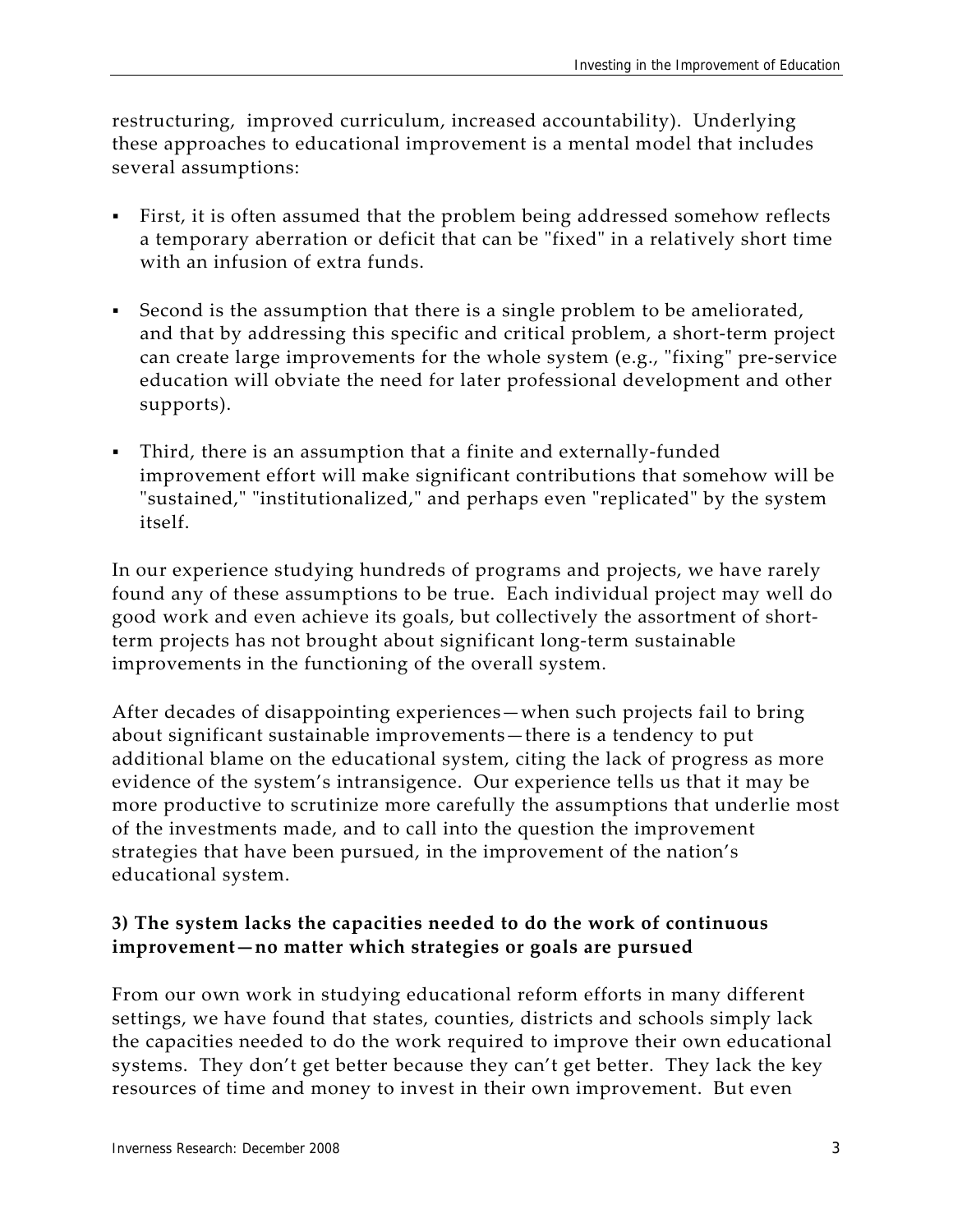restructuring, improved curriculum, increased accountability). Underlying these approaches to educational improvement is a mental model that includes several assumptions:

- First, it is often assumed that the problem being addressed somehow reflects a temporary aberration or deficit that can be "fixed" in a relatively short time with an infusion of extra funds.
- Second is the assumption that there is a single problem to be ameliorated, and that by addressing this specific and critical problem, a short‐term project can create large improvements for the whole system (e.g., "fixing" pre-service education will obviate the need for later professional development and other supports).
- Third, there is an assumption that a finite and externally-funded improvement effort will make significant contributions that somehow will be "sustained," "institutionalized," and perhaps even "replicated" by the system itself.

In our experience studying hundreds of programs and projects, we have rarely found any of these assumptions to be true. Each individual project may well do good work and even achieve its goals, but collectively the assortment of short‐ term projects has not brought about significant long‐term sustainable improvements in the functioning of the overall system.

After decades of disappointing experiences—when such projects fail to bring about significant sustainable improvements—there is a tendency to put additional blame on the educational system, citing the lack of progress as more evidence of the system's intransigence. Our experience tells us that it may be more productive to scrutinize more carefully the assumptions that underlie most of the investments made, and to call into the question the improvement strategies that have been pursued, in the improvement of the nation's educational system.

#### **3) The system lacks the capacities needed to do the work of continuous improvement—no matter which strategies or goals are pursued**

From our own work in studying educational reform efforts in many different settings, we have found that states, counties, districts and schools simply lack the capacities needed to do the work required to improve their own educational systems. They don't get better because they can't get better. They lack the key resources of time and money to invest in their own improvement. But even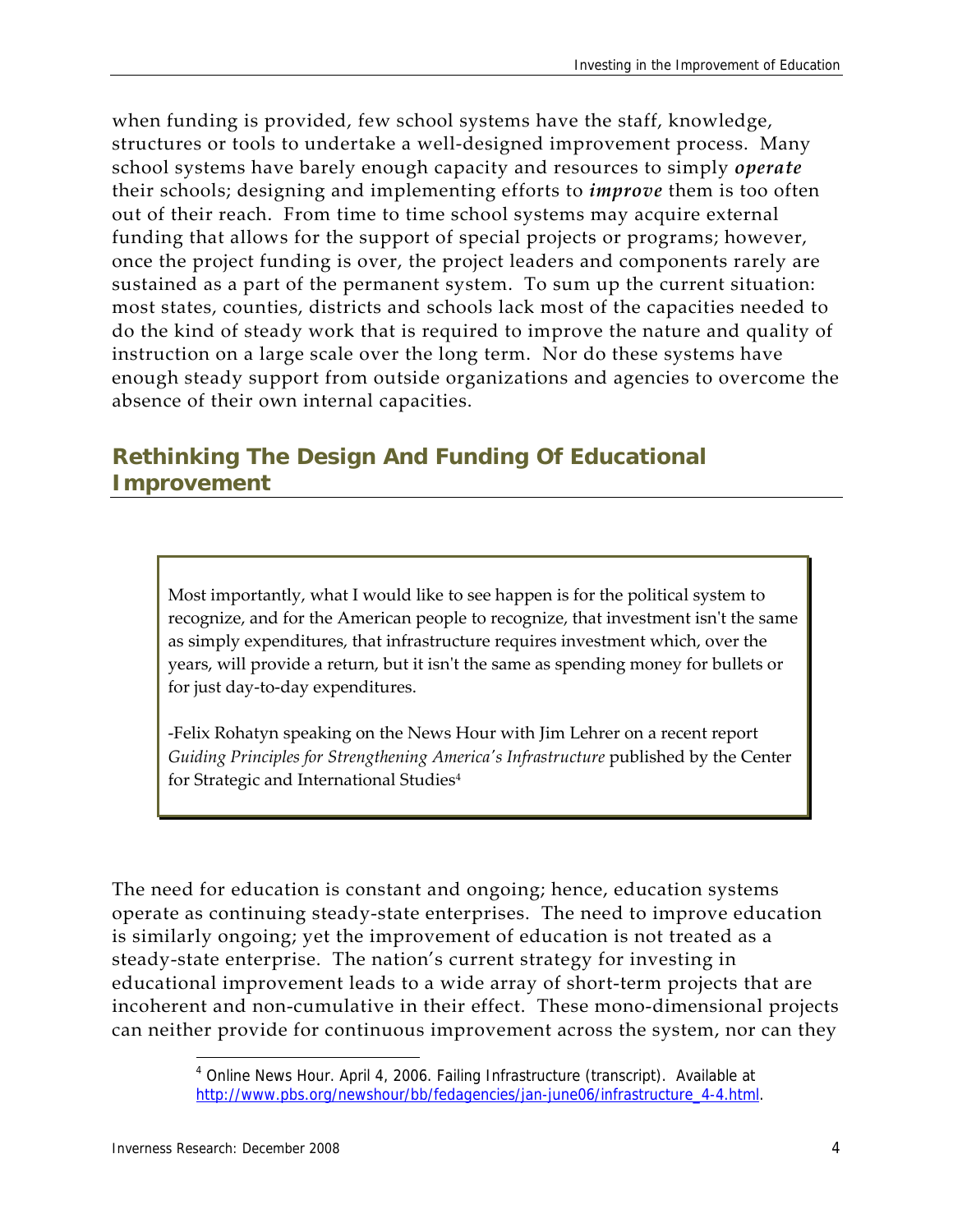when funding is provided, few school systems have the staff, knowledge, structures or tools to undertake a well‐designed improvement process. Many school systems have barely enough capacity and resources to simply *operate* their schools; designing and implementing efforts to *improve* them is too often out of their reach. From time to time school systems may acquire external funding that allows for the support of special projects or programs; however, once the project funding is over, the project leaders and components rarely are sustained as a part of the permanent system. To sum up the current situation: most states, counties, districts and schools lack most of the capacities needed to do the kind of steady work that is required to improve the nature and quality of instruction on a large scale over the long term. Nor do these systems have enough steady support from outside organizations and agencies to overcome the absence of their own internal capacities.

## **Rethinking The Design And Funding Of Educational Improvement**

Most importantly, what I would like to see happen is for the political system to recognize, and for the American people to recognize, that investment isn't the same as simply expenditures, that infrastructure requires investment which, over the years, will provide a return, but it isn't the same as spending money for bullets or for just day‐to‐day expenditures.

‐Felix Rohatyn speaking on the News Hour with Jim Lehrer on a recent report *Guiding Principles for Strengthening Americaʹs Infrastructure* published by the Center for Strategic and International Studies<sup>4</sup>

The need for education is constant and ongoing; hence, education systems operate as continuing steady-state enterprises. The need to improve education is similarly ongoing; yet the improvement of education is not treated as a steady-state enterprise. The nation's current strategy for investing in educational improvement leads to a wide array of short-term projects that are incoherent and non-cumulative in their effect. These mono-dimensional projects can neither provide for continuous improvement across the system, nor can they

<sup>&</sup>lt;sup>4</sup> Online News Hour. April 4, 2006. Failing Infrastructure (transcript). Available at http://www.pbs.org/newshour/bb/fedagencies/jan-june06/infrastructure\_4-4.html.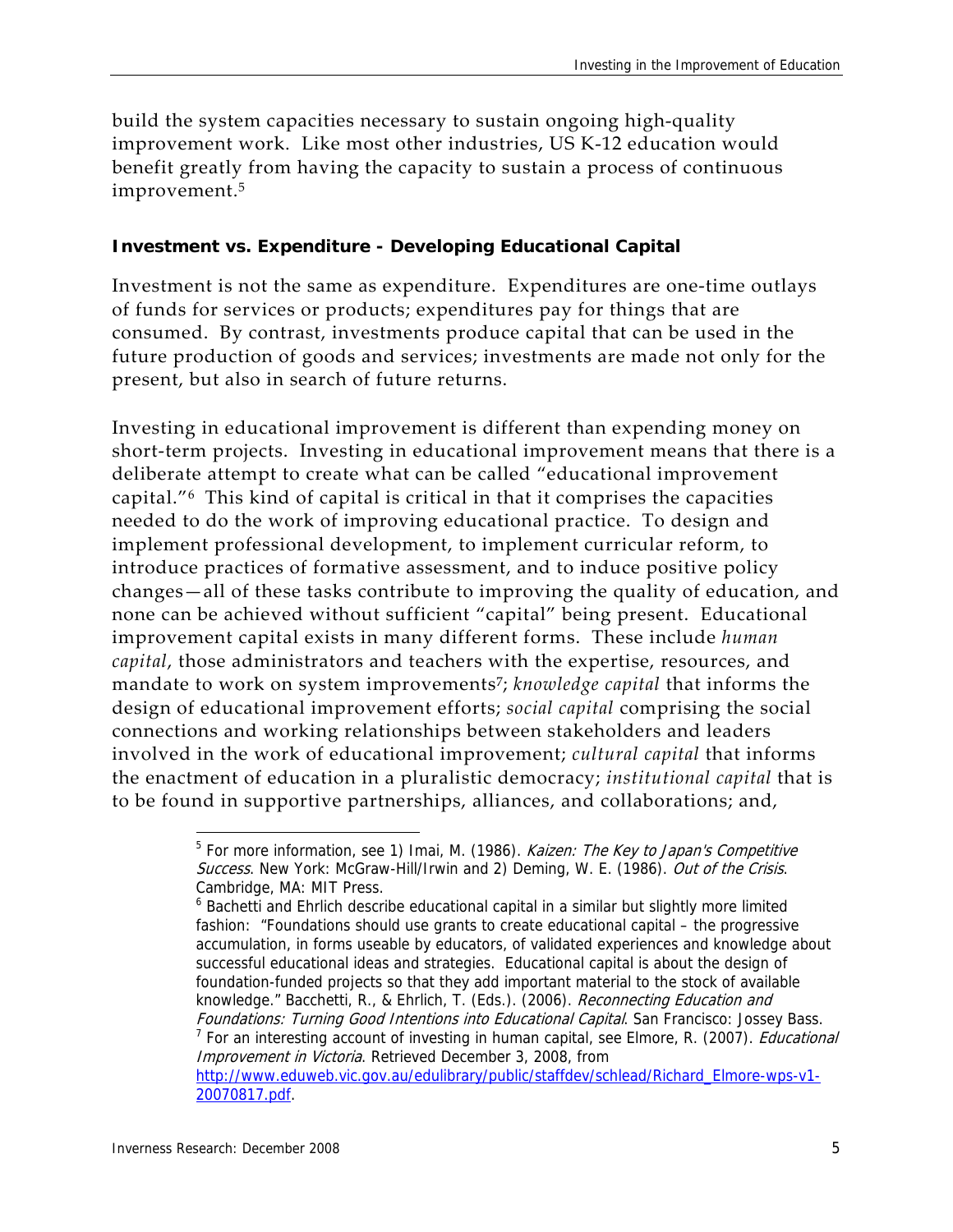build the system capacities necessary to sustain ongoing high-quality improvement work. Like most other industries, US K-12 education would benefit greatly from having the capacity to sustain a process of continuous improvement.5

#### **Investment vs. Expenditure - Developing Educational Capital**

Investment is not the same as expenditure. Expenditures are one‐time outlays of funds for services or products; expenditures pay for things that are consumed. By contrast, investments produce capital that can be used in the future production of goods and services; investments are made not only for the present, but also in search of future returns.

Investing in educational improvement is different than expending money on short-term projects. Investing in educational improvement means that there is a deliberate attempt to create what can be called "educational improvement capital."<sup>6</sup> This kind of capital is critical in that it comprises the capacities needed to do the work of improving educational practice. To design and implement professional development, to implement curricular reform, to introduce practices of formative assessment, and to induce positive policy changes—all of these tasks contribute to improving the quality of education, and none can be achieved without sufficient "capital" being present. Educational improvement capital exists in many different forms. These include *human capital*, those administrators and teachers with the expertise, resources, and mandate to work on system improvements<sup>7</sup>; *knowledge capital* that informs the design of educational improvement efforts; *social capital* comprising the social connections and working relationships between stakeholders and leaders involved in the work of educational improvement; *cultural capital* that informs the enactment of education in a pluralistic democracy; *institutional capital* that is to be found in supportive partnerships, alliances, and collaborations; and,

<sup>&</sup>lt;sup>5</sup> For more information, see 1) Imai, M. (1986). *Kaizen: The Key to Japan's Competitive* Success. New York: McGraw-Hill/Irwin and 2) Deming, W. E. (1986). Out of the Crisis. Cambridge, MA: MIT Press.

<sup>&</sup>lt;sup>6</sup> Bachetti and Ehrlich describe educational capital in a similar but slightly more limited fashion: "Foundations should use grants to create educational capital – the progressive accumulation, in forms useable by educators, of validated experiences and knowledge about successful educational ideas and strategies. Educational capital is about the design of foundation-funded projects so that they add important material to the stock of available knowledge." Bacchetti, R., & Ehrlich, T. (Eds.). (2006). Reconnecting Education and Foundations: Turning Good Intentions into Educational Capital. San Francisco: Jossey Bass. <sup>7</sup> For an interesting account of investing in human capital, see Elmore, R. (2007). *Educational* 

Improvement in Victoria. Retrieved December 3, 2008, from http://www.eduweb.vic.gov.au/edulibrary/public/staffdev/schlead/Richard\_Elmore-wps-v1- 20070817.pdf.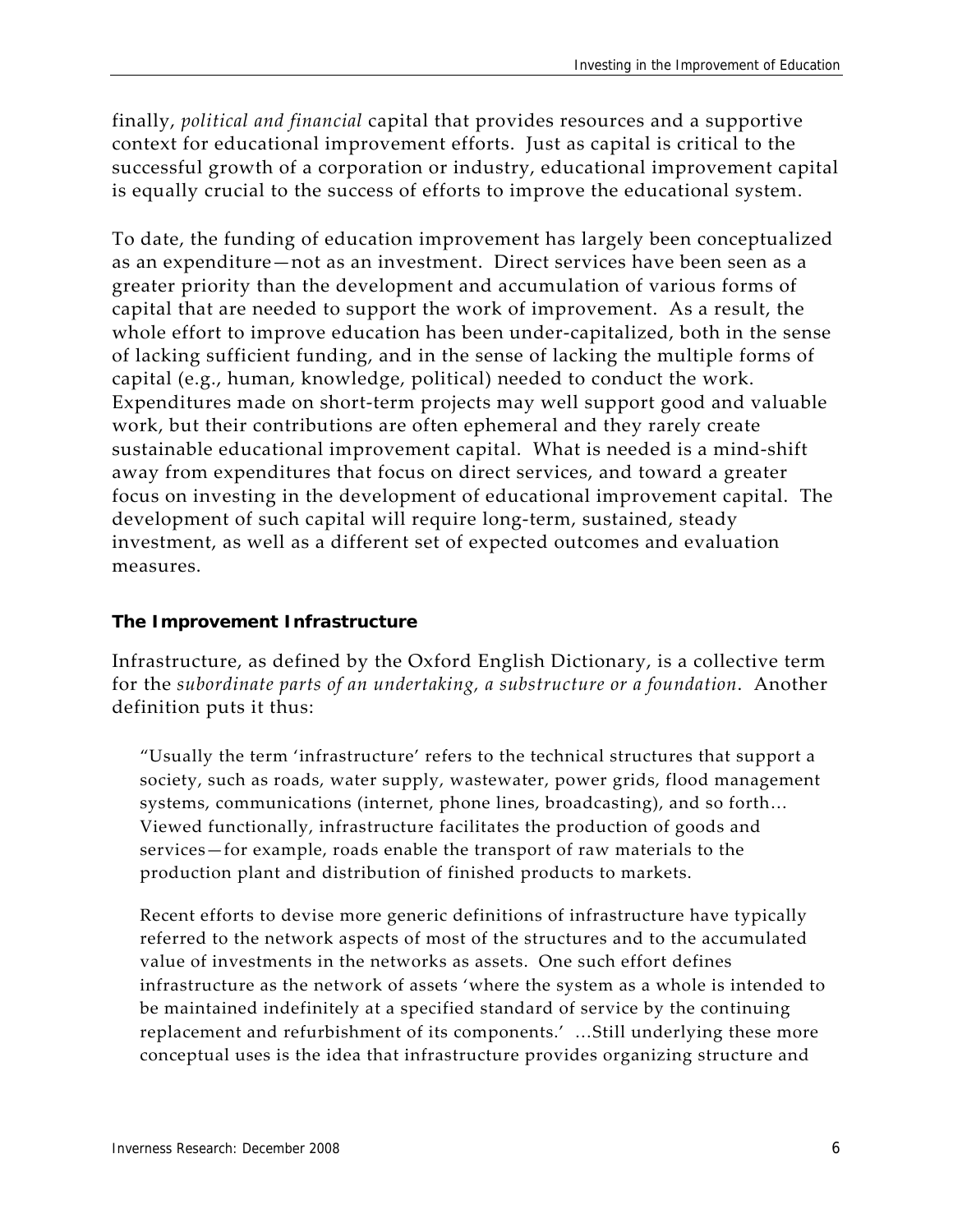finally, *political and financial* capital that provides resources and a supportive context for educational improvement efforts. Just as capital is critical to the successful growth of a corporation or industry, educational improvement capital is equally crucial to the success of efforts to improve the educational system.

To date, the funding of education improvement has largely been conceptualized as an expenditure—not as an investment. Direct services have been seen as a greater priority than the development and accumulation of various forms of capital that are needed to support the work of improvement. As a result, the whole effort to improve education has been under-capitalized, both in the sense of lacking sufficient funding, and in the sense of lacking the multiple forms of capital (e.g., human, knowledge, political) needed to conduct the work. Expenditures made on short‐term projects may well support good and valuable work, but their contributions are often ephemeral and they rarely create sustainable educational improvement capital. What is needed is a mind‐shift away from expenditures that focus on direct services, and toward a greater focus on investing in the development of educational improvement capital. The development of such capital will require long‐term, sustained, steady investment, as well as a different set of expected outcomes and evaluation measures.

#### **The Improvement Infrastructure**

Infrastructure, as defined by the Oxford English Dictionary, is a collective term for the *subordinate parts of an undertaking, a substructure or a foundation*. Another definition puts it thus:

"Usually the term 'infrastructure' refers to the technical structures that support a society, such as roads, water supply, wastewater, power grids, flood management systems, communications (internet, phone lines, broadcasting), and so forth… Viewed functionally, infrastructure facilitates the production of goods and services—for example, roads enable the transport of raw materials to the production plant and distribution of finished products to markets.

Recent efforts to devise more generic definitions of infrastructure have typically referred to the network aspects of most of the structures and to the accumulated value of investments in the networks as assets. One such effort defines infrastructure as the network of assets 'where the system as a whole is intended to be maintained indefinitely at a specified standard of service by the continuing replacement and refurbishment of its components.' …Still underlying these more conceptual uses is the idea that infrastructure provides organizing structure and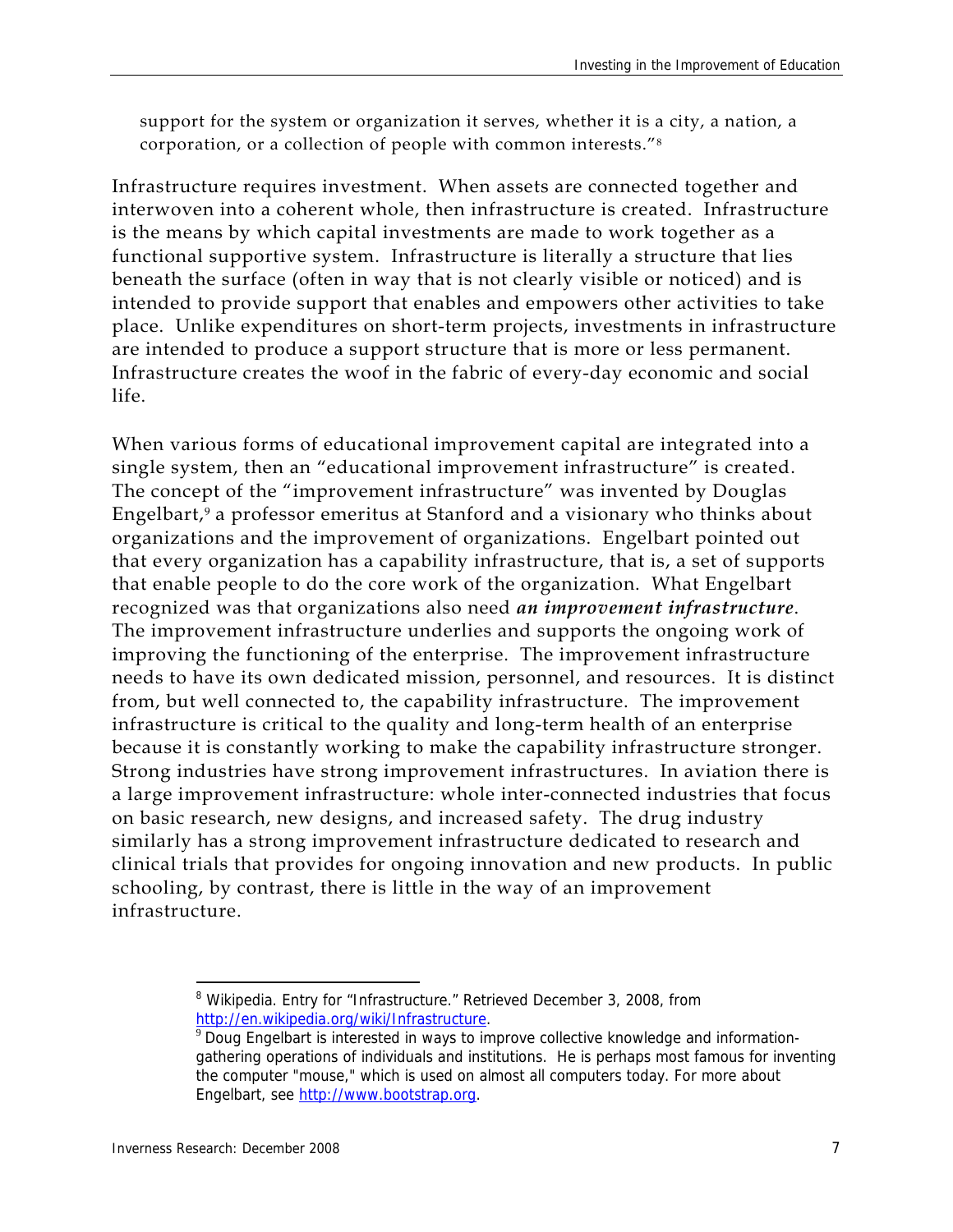support for the system or organization it serves, whether it is a city, a nation, a corporation, or a collection of people with common interests."8

Infrastructure requires investment. When assets are connected together and interwoven into a coherent whole, then infrastructure is created. Infrastructure is the means by which capital investments are made to work together as a functional supportive system. Infrastructure is literally a structure that lies beneath the surface (often in way that is not clearly visible or noticed) and is intended to provide support that enables and empowers other activities to take place. Unlike expenditures on short-term projects, investments in infrastructure are intended to produce a support structure that is more or less permanent. Infrastructure creates the woof in the fabric of every-day economic and social life.

When various forms of educational improvement capital are integrated into a single system, then an "educational improvement infrastructure" is created. The concept of the "improvement infrastructure" was invented by Douglas Engelbart,<sup>9</sup> a professor emeritus at Stanford and a visionary who thinks about organizations and the improvement of organizations. Engelbart pointed out that every organization has a capability infrastructure, that is, a set of supports that enable people to do the core work of the organization. What Engelbart recognized was that organizations also need *an improvement infrastructure*. The improvement infrastructure underlies and supports the ongoing work of improving the functioning of the enterprise. The improvement infrastructure needs to have its own dedicated mission, personnel, and resources. It is distinct from, but well connected to, the capability infrastructure. The improvement infrastructure is critical to the quality and long-term health of an enterprise because it is constantly working to make the capability infrastructure stronger. Strong industries have strong improvement infrastructures. In aviation there is a large improvement infrastructure: whole inter-connected industries that focus on basic research, new designs, and increased safety. The drug industry similarly has a strong improvement infrastructure dedicated to research and clinical trials that provides for ongoing innovation and new products. In public schooling, by contrast, there is little in the way of an improvement infrastructure.

 <sup>8</sup> Wikipedia. Entry for "Infrastructure." Retrieved December 3, 2008, from http://en.wikipedia.org/wiki/Infrastructure.

 $9$  Doug Engelbart is interested in ways to improve collective knowledge and informationgathering operations of individuals and institutions. He is perhaps most famous for inventing the computer "mouse," which is used on almost all computers today. For more about Engelbart, see http://www.bootstrap.org.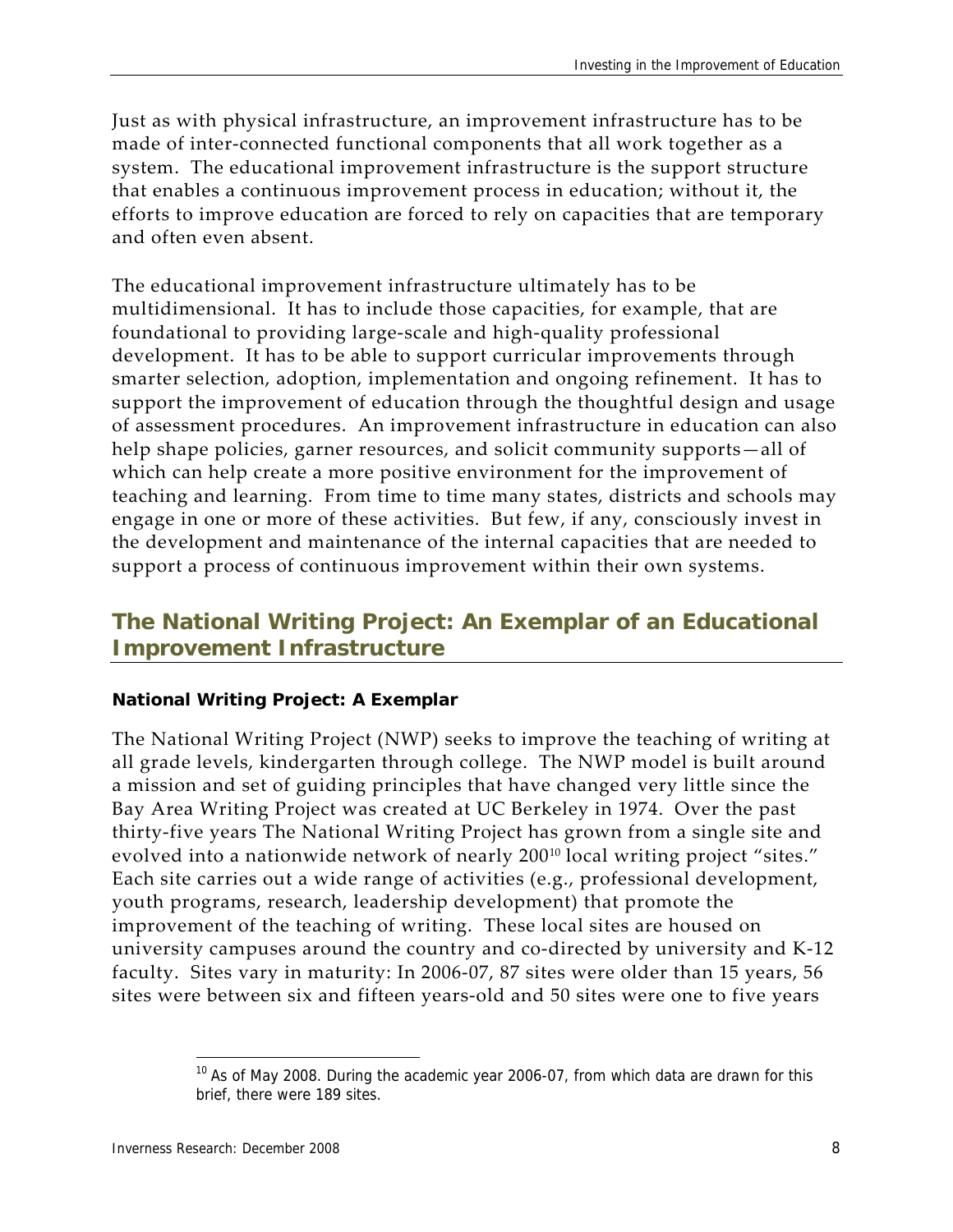Just as with physical infrastructure, an improvement infrastructure has to be made of inter‐connected functional components that all work together as a system. The educational improvement infrastructure is the support structure that enables a continuous improvement process in education; without it, the efforts to improve education are forced to rely on capacities that are temporary and often even absent.

The educational improvement infrastructure ultimately has to be multidimensional. It has to include those capacities, for example, that are foundational to providing large‐scale and high‐quality professional development. It has to be able to support curricular improvements through smarter selection, adoption, implementation and ongoing refinement. It has to support the improvement of education through the thoughtful design and usage of assessment procedures. An improvement infrastructure in education can also help shape policies, garner resources, and solicit community supports—all of which can help create a more positive environment for the improvement of teaching and learning. From time to time many states, districts and schools may engage in one or more of these activities. But few, if any, consciously invest in the development and maintenance of the internal capacities that are needed to support a process of continuous improvement within their own systems.

## **The National Writing Project: An Exemplar of an Educational Improvement Infrastructure**

#### **National Writing Project: A Exemplar**

The National Writing Project (NWP) seeks to improve the teaching of writing at all grade levels, kindergarten through college. The NWP model is built around a mission and set of guiding principles that have changed very little since the Bay Area Writing Project was created at UC Berkeley in 1974. Over the past thirty‐five years The National Writing Project has grown from a single site and evolved into a nationwide network of nearly 200<sup>10</sup> local writing project "sites." Each site carries out a wide range of activities (e.g., professional development, youth programs, research, leadership development) that promote the improvement of the teaching of writing. These local sites are housed on university campuses around the country and co‐directed by university and K‐12 faculty. Sites vary in maturity: In 2006‐07, 87 sites were older than 15 years, 56 sites were between six and fifteen years‐old and 50 sites were one to five years

<sup>&</sup>lt;sup>10</sup> As of May 2008. During the academic year 2006-07, from which data are drawn for this brief, there were 189 sites.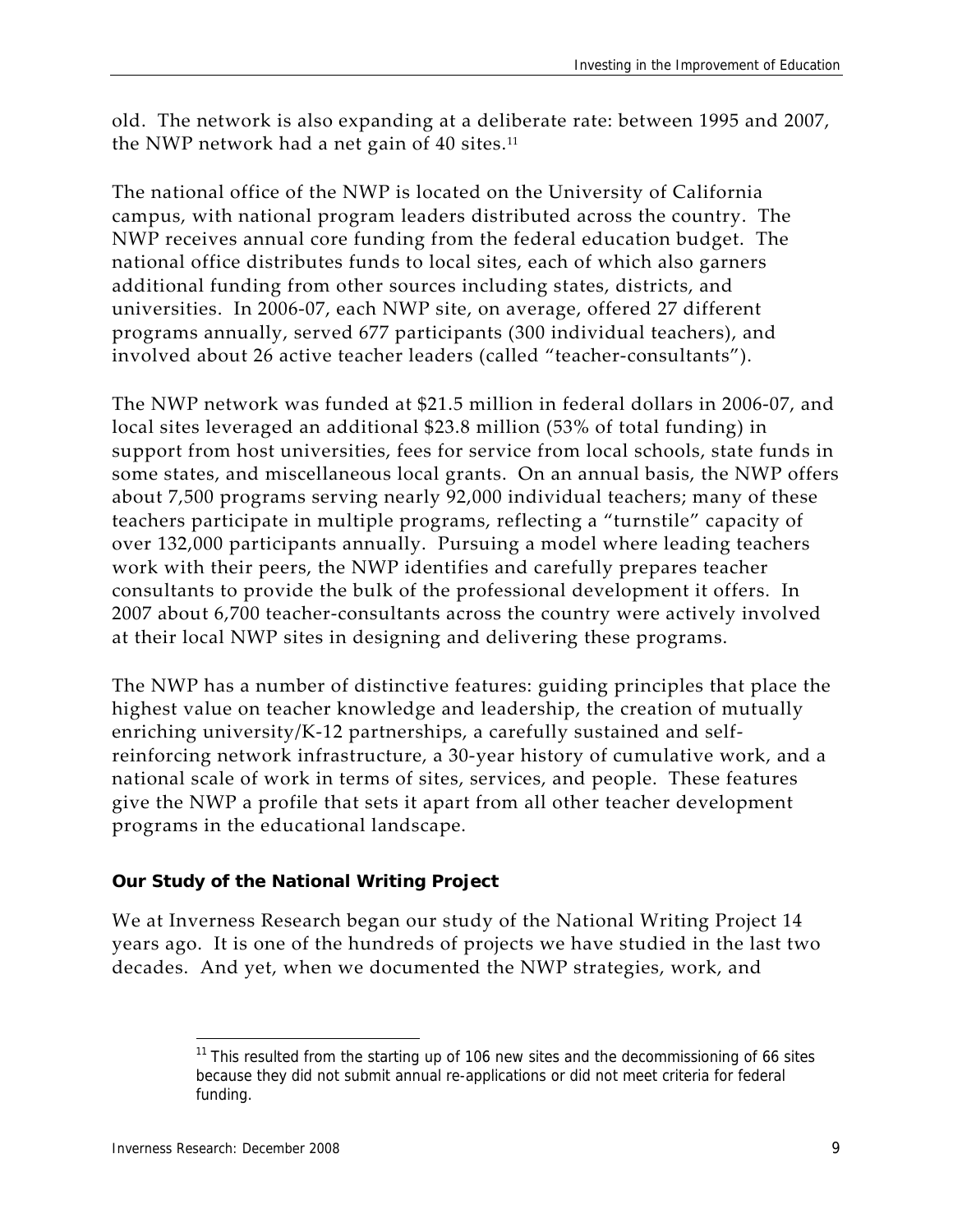old. The network is also expanding at a deliberate rate: between 1995 and 2007, the NWP network had a net gain of 40 sites.<sup>11</sup>

The national office of the NWP is located on the University of California campus, with national program leaders distributed across the country. The NWP receives annual core funding from the federal education budget. The national office distributes funds to local sites, each of which also garners additional funding from other sources including states, districts, and universities. In 2006‐07, each NWP site, on average, offered 27 different programs annually, served 677 participants (300 individual teachers), and involved about 26 active teacher leaders (called "teacher‐consultants").

The NWP network was funded at \$21.5 million in federal dollars in 2006‐07, and local sites leveraged an additional \$23.8 million (53% of total funding) in support from host universities, fees for service from local schools, state funds in some states, and miscellaneous local grants. On an annual basis, the NWP offers about 7,500 programs serving nearly 92,000 individual teachers; many of these teachers participate in multiple programs, reflecting a "turnstile" capacity of over 132,000 participants annually. Pursuing a model where leading teachers work with their peers, the NWP identifies and carefully prepares teacher consultants to provide the bulk of the professional development it offers. In 2007 about 6,700 teacher‐consultants across the country were actively involved at their local NWP sites in designing and delivering these programs.

The NWP has a number of distinctive features: guiding principles that place the highest value on teacher knowledge and leadership, the creation of mutually enriching university/K‐12 partnerships, a carefully sustained and self‐ reinforcing network infrastructure, a 30‐year history of cumulative work, and a national scale of work in terms of sites, services, and people. These features give the NWP a profile that sets it apart from all other teacher development programs in the educational landscape.

#### **Our Study of the National Writing Project**

We at Inverness Research began our study of the National Writing Project 14 years ago. It is one of the hundreds of projects we have studied in the last two decades. And yet, when we documented the NWP strategies, work, and

 $11$  This resulted from the starting up of 106 new sites and the decommissioning of 66 sites because they did not submit annual re-applications or did not meet criteria for federal funding.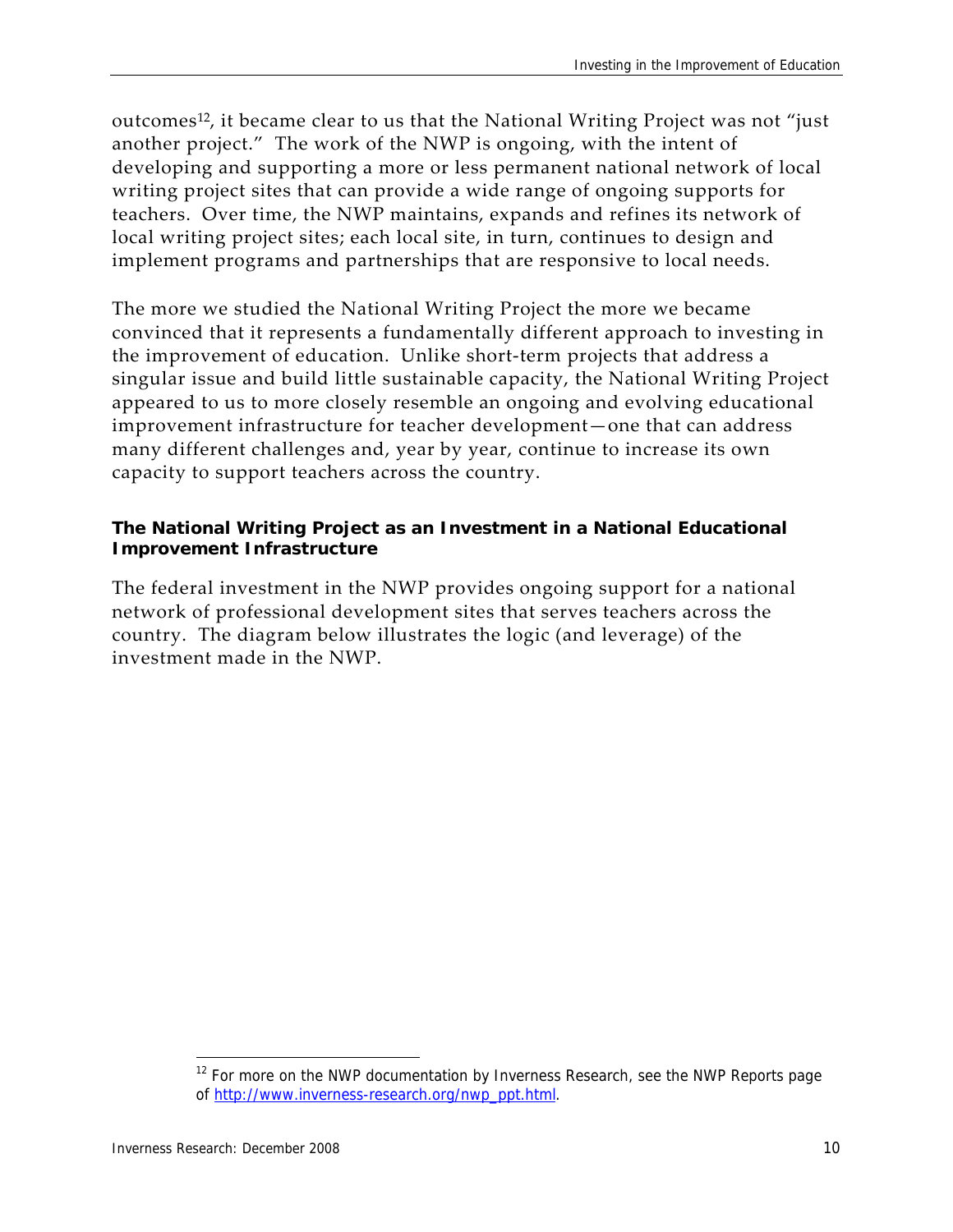outcomes<sup>12</sup>, it became clear to us that the National Writing Project was not "just another project." The work of the NWP is ongoing, with the intent of developing and supporting a more or less permanent national network of local writing project sites that can provide a wide range of ongoing supports for teachers. Over time, the NWP maintains, expands and refines its network of local writing project sites; each local site, in turn, continues to design and implement programs and partnerships that are responsive to local needs.

The more we studied the National Writing Project the more we became convinced that it represents a fundamentally different approach to investing in the improvement of education. Unlike short‐term projects that address a singular issue and build little sustainable capacity, the National Writing Project appeared to us to more closely resemble an ongoing and evolving educational improvement infrastructure for teacher development—one that can address many different challenges and, year by year, continue to increase its own capacity to support teachers across the country.

#### **The National Writing Project as an Investment in a National Educational Improvement Infrastructure**

The federal investment in the NWP provides ongoing support for a national network of professional development sites that serves teachers across the country. The diagram below illustrates the logic (and leverage) of the investment made in the NWP.

 $12$  For more on the NWP documentation by Inverness Research, see the NWP Reports page of http://www.inverness-research.org/nwp\_ppt.html.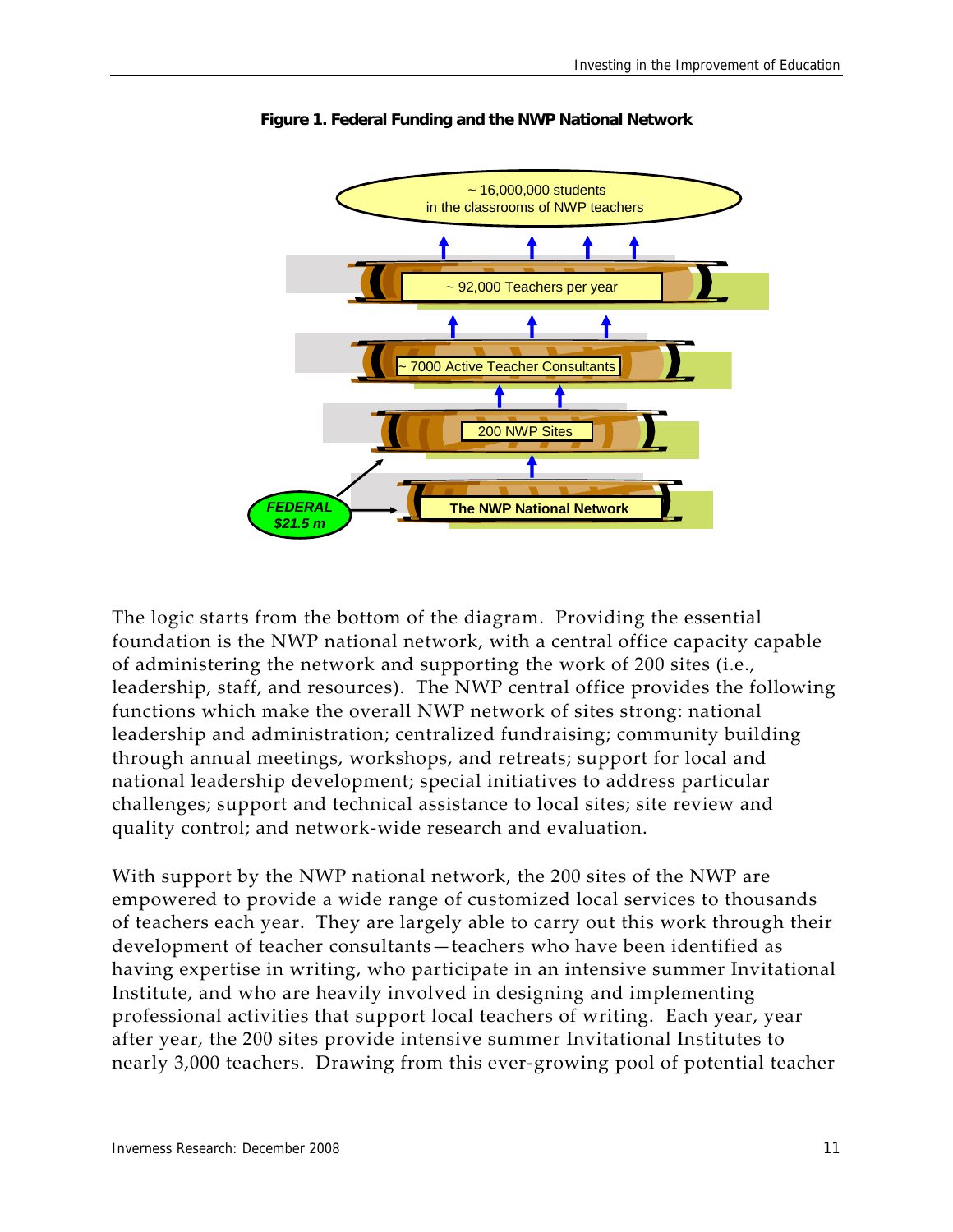

**Figure 1. Federal Funding and the NWP National Network** 

The logic starts from the bottom of the diagram. Providing the essential foundation is the NWP national network, with a central office capacity capable of administering the network and supporting the work of 200 sites (i.e., leadership, staff, and resources). The NWP central office provides the following functions which make the overall NWP network of sites strong: national leadership and administration; centralized fundraising; community building through annual meetings, workshops, and retreats; support for local and national leadership development; special initiatives to address particular challenges; support and technical assistance to local sites; site review and quality control; and network‐wide research and evaluation.

With support by the NWP national network, the 200 sites of the NWP are empowered to provide a wide range of customized local services to thousands of teachers each year. They are largely able to carry out this work through their development of teacher consultants—teachers who have been identified as having expertise in writing, who participate in an intensive summer Invitational Institute, and who are heavily involved in designing and implementing professional activities that support local teachers of writing. Each year, year after year, the 200 sites provide intensive summer Invitational Institutes to nearly 3,000 teachers. Drawing from this ever-growing pool of potential teacher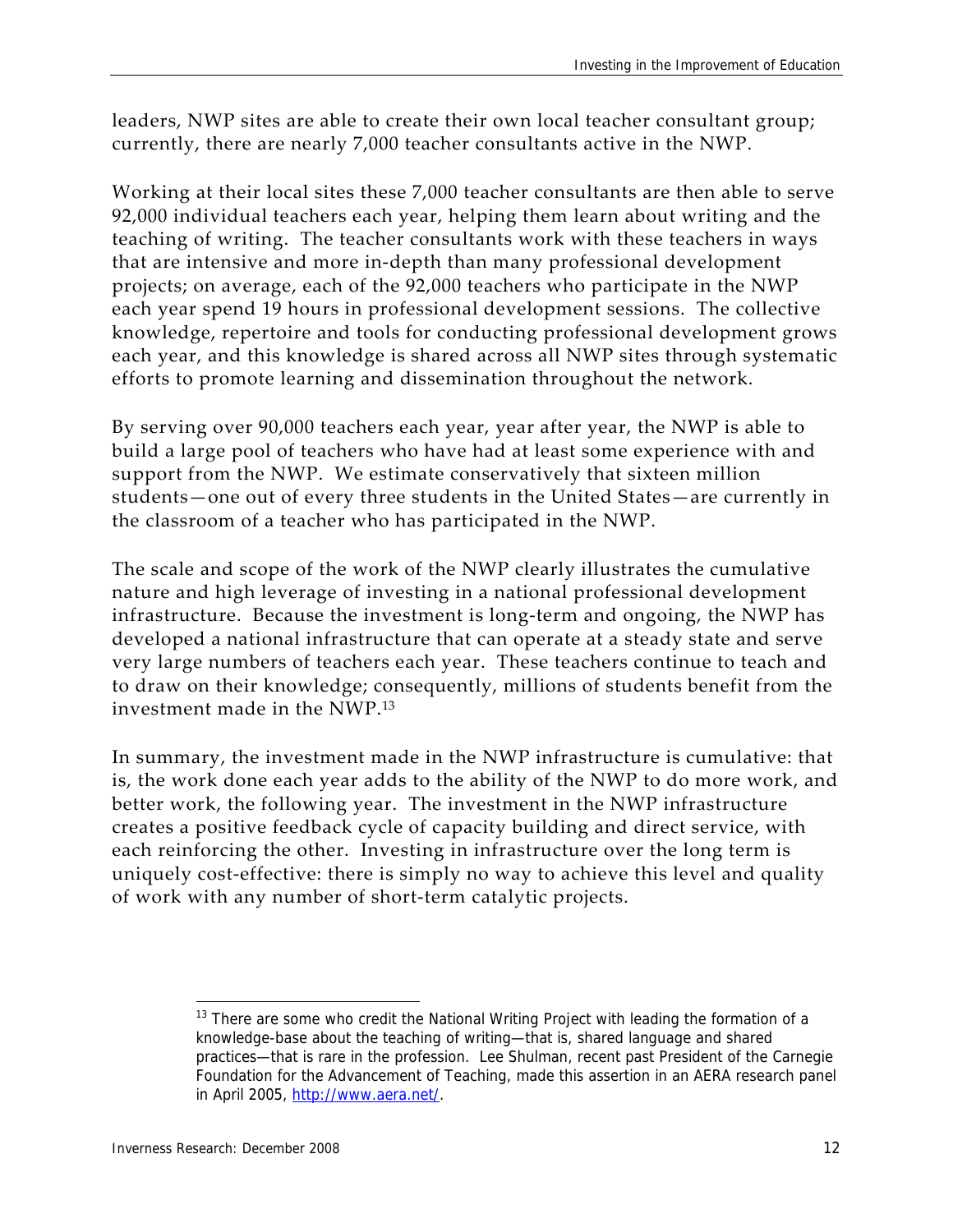leaders, NWP sites are able to create their own local teacher consultant group; currently, there are nearly 7,000 teacher consultants active in the NWP.

Working at their local sites these 7,000 teacher consultants are then able to serve 92,000 individual teachers each year, helping them learn about writing and the teaching of writing. The teacher consultants work with these teachers in ways that are intensive and more in‐depth than many professional development projects; on average, each of the 92,000 teachers who participate in the NWP each year spend 19 hours in professional development sessions. The collective knowledge, repertoire and tools for conducting professional development grows each year, and this knowledge is shared across all NWP sites through systematic efforts to promote learning and dissemination throughout the network.

By serving over 90,000 teachers each year, year after year, the NWP is able to build a large pool of teachers who have had at least some experience with and support from the NWP. We estimate conservatively that sixteen million students—one out of every three students in the United States—are currently in the classroom of a teacher who has participated in the NWP.

The scale and scope of the work of the NWP clearly illustrates the cumulative nature and high leverage of investing in a national professional development infrastructure. Because the investment is long‐term and ongoing, the NWP has developed a national infrastructure that can operate at a steady state and serve very large numbers of teachers each year. These teachers continue to teach and to draw on their knowledge; consequently, millions of students benefit from the investment made in the NWP.<sup>13</sup>

In summary, the investment made in the NWP infrastructure is cumulative: that is, the work done each year adds to the ability of the NWP to do more work, and better work, the following year. The investment in the NWP infrastructure creates a positive feedback cycle of capacity building and direct service, with each reinforcing the other. Investing in infrastructure over the long term is uniquely cost‐effective: there is simply no way to achieve this level and quality of work with any number of short‐term catalytic projects.

<sup>-</sup> $13$  There are some who credit the National Writing Project with leading the formation of a knowledge-base about the teaching of writing—that is, shared language and shared practices—that is rare in the profession. Lee Shulman, recent past President of the Carnegie Foundation for the Advancement of Teaching, made this assertion in an AERA research panel in April 2005, http://www.aera.net/.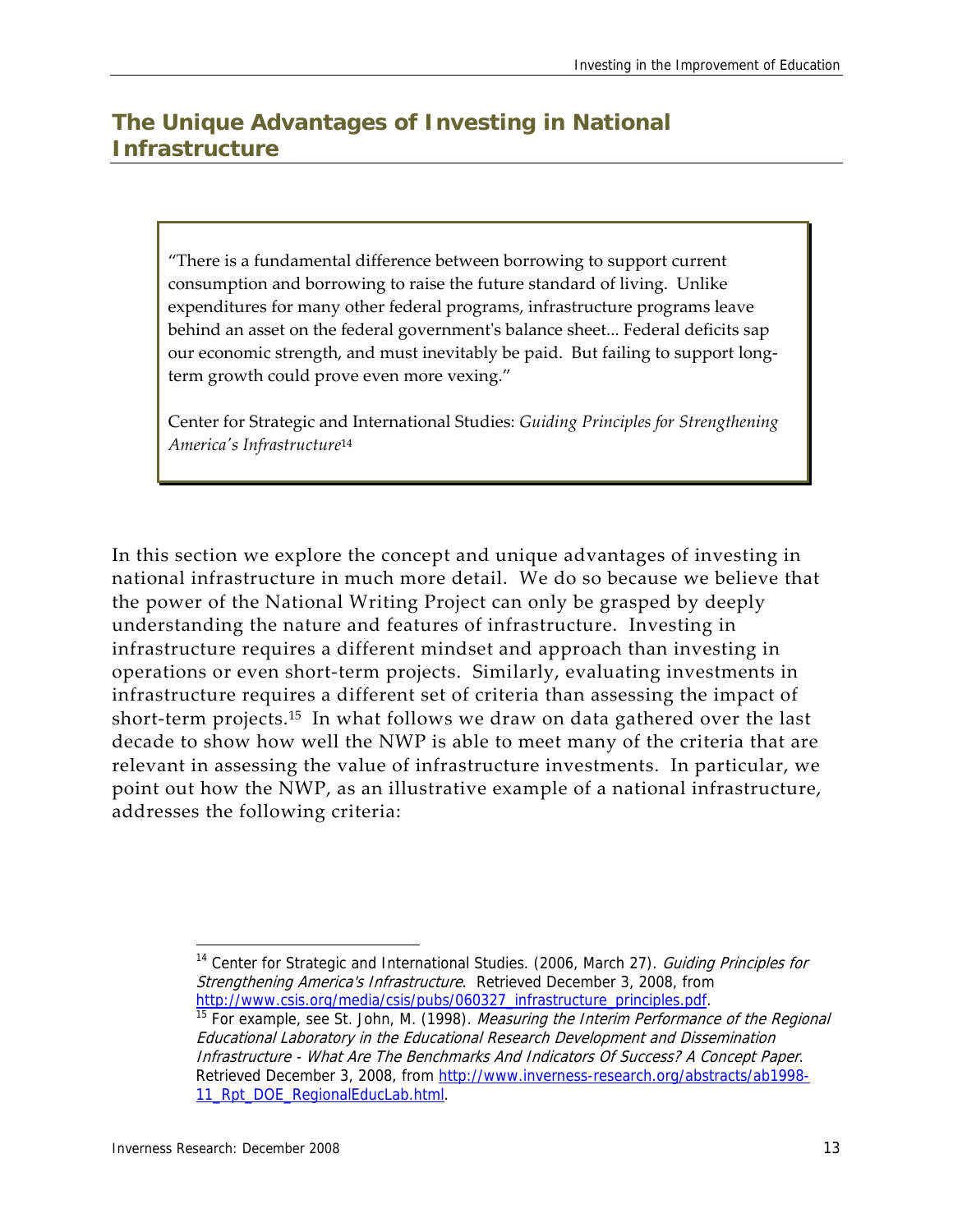## **The Unique Advantages of Investing in National Infrastructure**

"There is a fundamental difference between borrowing to support current consumption and borrowing to raise the future standard of living. Unlike expenditures for many other federal programs, infrastructure programs leave behind an asset on the federal governmentʹs balance sheet... Federal deficits sap our economic strength, and must inevitably be paid. But failing to support longterm growth could prove even more vexing."

Center for Strategic and International Studies: *Guiding Principles for Strengthening Americaʹs Infrastructure*<sup>14</sup>

In this section we explore the concept and unique advantages of investing in national infrastructure in much more detail. We do so because we believe that the power of the National Writing Project can only be grasped by deeply understanding the nature and features of infrastructure. Investing in infrastructure requires a different mindset and approach than investing in operations or even short‐term projects. Similarly, evaluating investments in infrastructure requires a different set of criteria than assessing the impact of short-term projects.<sup>15</sup> In what follows we draw on data gathered over the last decade to show how well the NWP is able to meet many of the criteria that are relevant in assessing the value of infrastructure investments. In particular, we point out how the NWP, as an illustrative example of a national infrastructure, addresses the following criteria:

<sup>-</sup><sup>14</sup> Center for Strategic and International Studies. (2006, March 27). Guiding Principles for Strengthening America's Infrastructure. Retrieved December 3, 2008, from<br>http://www.csis.org/media/csis/pubs/060327\_infrastructure\_principles.pdf.

<sup>&</sup>lt;sup>15</sup> For example, see St. John, M. (1998). *Measuring the Interim Performance of the Regional* Educational Laboratory in the Educational Research Development and Dissemination Infrastructure - What Are The Benchmarks And Indicators Of Success? A Concept Paper. Retrieved December 3, 2008, from http://www.inverness-research.org/abstracts/ab1998-11\_Rpt\_DOE\_RegionalEducLab.html.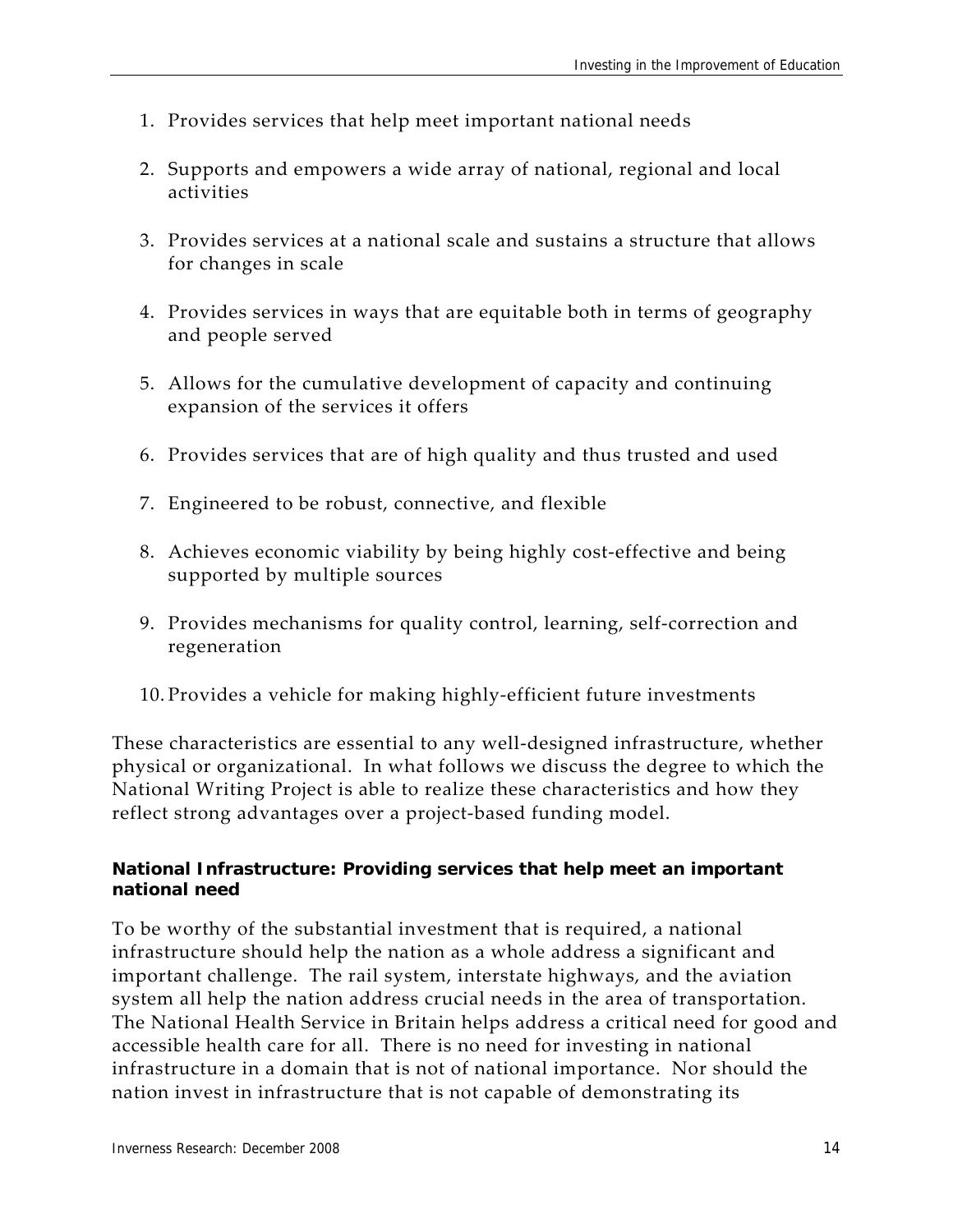- 1. Provides services that help meet important national needs
- 2. Supports and empowers a wide array of national, regional and local activities
- 3. Provides services at a national scale and sustains a structure that allows for changes in scale
- 4. Provides services in ways that are equitable both in terms of geography and people served
- 5. Allows for the cumulative development of capacity and continuing expansion of the services it offers
- 6. Provides services that are of high quality and thus trusted and used
- 7. Engineered to be robust, connective, and flexible
- 8. Achieves economic viability by being highly cost‐effective and being supported by multiple sources
- 9. Provides mechanisms for quality control, learning, self‐correction and regeneration
- 10. Provides a vehicle for making highly‐efficient future investments

These characteristics are essential to any well‐designed infrastructure, whether physical or organizational. In what follows we discuss the degree to which the National Writing Project is able to realize these characteristics and how they reflect strong advantages over a project‐based funding model.

#### **National Infrastructure: Providing services that help meet an important national need**

To be worthy of the substantial investment that is required, a national infrastructure should help the nation as a whole address a significant and important challenge. The rail system, interstate highways, and the aviation system all help the nation address crucial needs in the area of transportation. The National Health Service in Britain helps address a critical need for good and accessible health care for all. There is no need for investing in national infrastructure in a domain that is not of national importance. Nor should the nation invest in infrastructure that is not capable of demonstrating its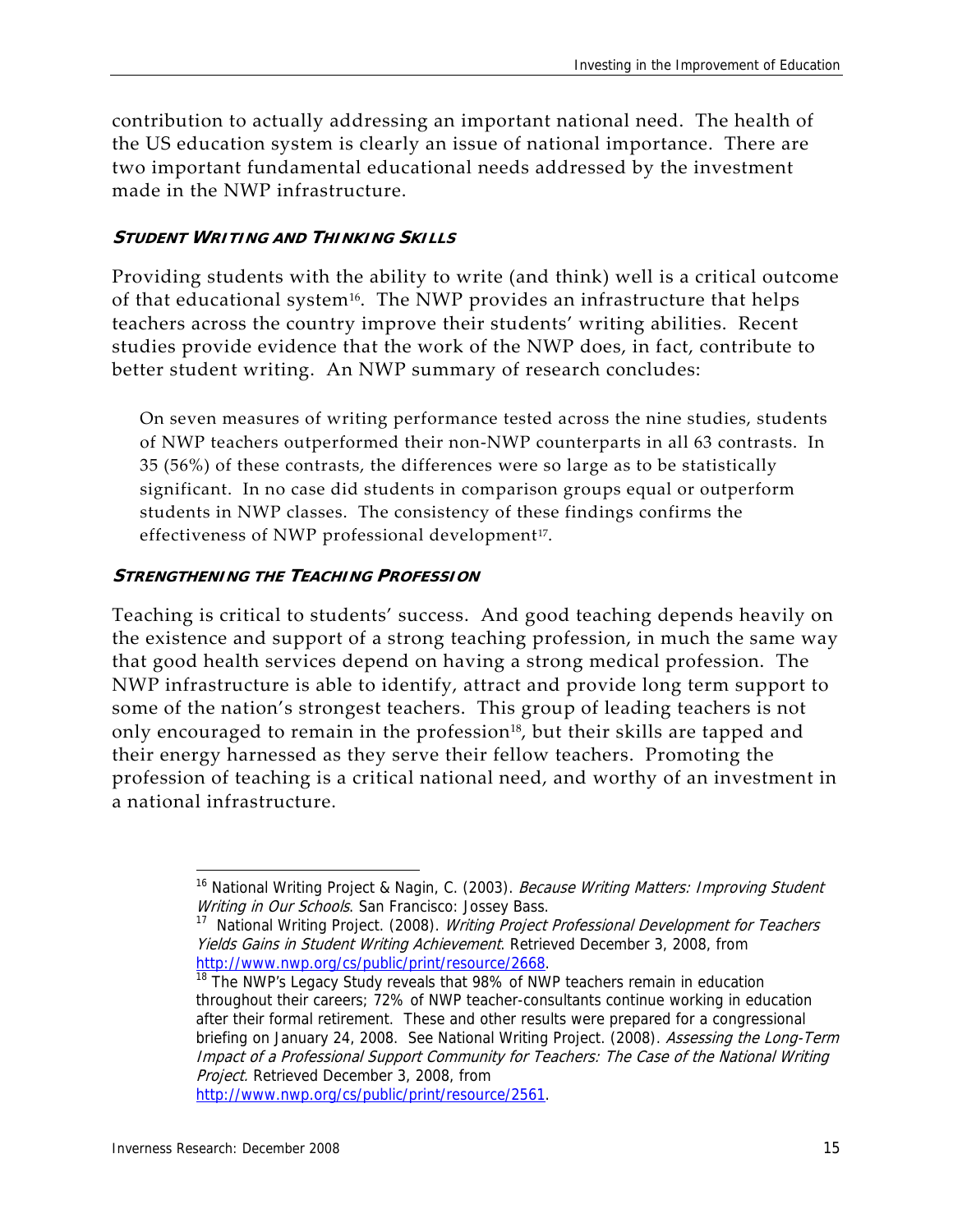contribution to actually addressing an important national need. The health of the US education system is clearly an issue of national importance. There are two important fundamental educational needs addressed by the investment made in the NWP infrastructure.

#### **STUDENT WRITING AND THINKING SKILLS**

Providing students with the ability to write (and think) well is a critical outcome of that educational system<sup>16</sup>. The NWP provides an infrastructure that helps teachers across the country improve their students' writing abilities. Recent studies provide evidence that the work of the NWP does, in fact, contribute to better student writing. An NWP summary of research concludes:

On seven measures of writing performance tested across the nine studies, students of NWP teachers outperformed their non‐NWP counterparts in all 63 contrasts. In 35 (56%) of these contrasts, the differences were so large as to be statistically significant. In no case did students in comparison groups equal or outperform students in NWP classes. The consistency of these findings confirms the effectiveness of NWP professional development<sup>17</sup>.

#### **STRENGTHENING THE TEACHING PROFESSION**

Teaching is critical to students' success. And good teaching depends heavily on the existence and support of a strong teaching profession, in much the same way that good health services depend on having a strong medical profession. The NWP infrastructure is able to identify, attract and provide long term support to some of the nation's strongest teachers. This group of leading teachers is not only encouraged to remain in the profession<sup>18</sup>, but their skills are tapped and their energy harnessed as they serve their fellow teachers. Promoting the profession of teaching is a critical national need, and worthy of an investment in a national infrastructure.

http://www.nwp.org/cs/public/print/resource/2561.

<sup>&</sup>lt;sup>16</sup> National Writing Project & Nagin, C. (2003). *Because Writing Matters: Improving Student* Writing in Our Schools. San Francisco: Jossey Bass.

<sup>&</sup>lt;sup>17</sup> National Writing Project. (2008). Writing Project Professional Development for Teachers Yields Gains in Student Writing Achievement. Retrieved December 3, 2008, from

http://www.nwp.org/cs/public/print/resource/2668.<br><sup>18</sup> The NWP's Legacy Study reveals that 98% of NWP teachers remain in education throughout their careers; 72% of NWP teacher-consultants continue working in education after their formal retirement. These and other results were prepared for a congressional briefing on January 24, 2008. See National Writing Project. (2008). Assessing the Long-Term Impact of a Professional Support Community for Teachers: The Case of the National Writing Project. Retrieved December 3, 2008, from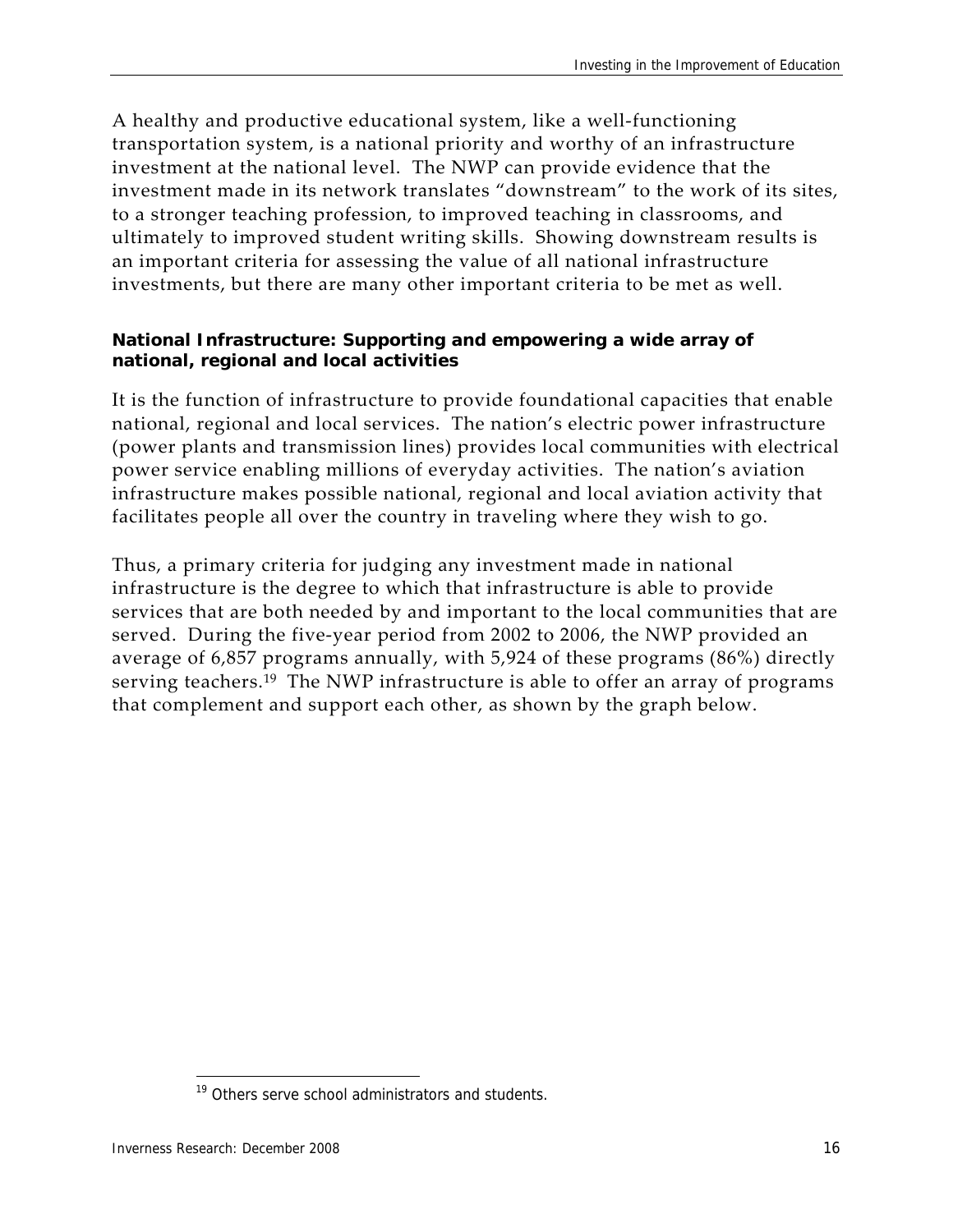A healthy and productive educational system, like a well‐functioning transportation system, is a national priority and worthy of an infrastructure investment at the national level. The NWP can provide evidence that the investment made in its network translates "downstream" to the work of its sites, to a stronger teaching profession, to improved teaching in classrooms, and ultimately to improved student writing skills. Showing downstream results is an important criteria for assessing the value of all national infrastructure investments, but there are many other important criteria to be met as well.

#### **National Infrastructure: Supporting and empowering a wide array of national, regional and local activities**

It is the function of infrastructure to provide foundational capacities that enable national, regional and local services. The nation's electric power infrastructure (power plants and transmission lines) provides local communities with electrical power service enabling millions of everyday activities. The nation's aviation infrastructure makes possible national, regional and local aviation activity that facilitates people all over the country in traveling where they wish to go.

Thus, a primary criteria for judging any investment made in national infrastructure is the degree to which that infrastructure is able to provide services that are both needed by and important to the local communities that are served. During the five-year period from 2002 to 2006, the NWP provided an average of 6,857 programs annually, with 5,924 of these programs (86%) directly serving teachers.<sup>19</sup> The NWP infrastructure is able to offer an array of programs that complement and support each other, as shown by the graph below.

<sup>&</sup>lt;sup>19</sup> Others serve school administrators and students.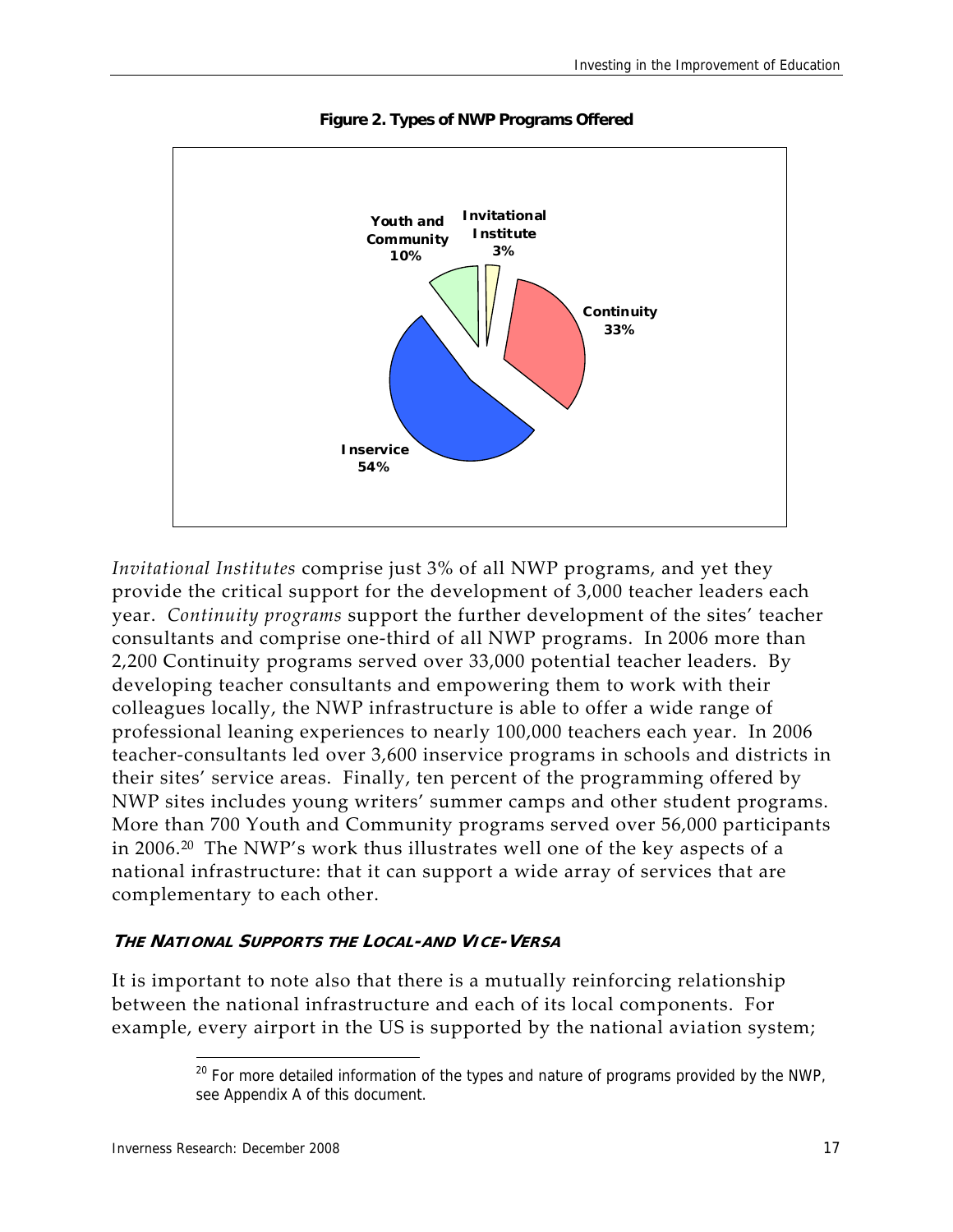

**Figure 2. Types of NWP Programs Offered** 

*Invitational Institutes* comprise just 3% of all NWP programs, and yet they provide the critical support for the development of 3,000 teacher leaders each year. *Continuity programs* support the further development of the sites' teacher consultants and comprise one‐third of all NWP programs. In 2006 more than 2,200 Continuity programs served over 33,000 potential teacher leaders. By developing teacher consultants and empowering them to work with their colleagues locally, the NWP infrastructure is able to offer a wide range of professional leaning experiences to nearly 100,000 teachers each year. In 2006 teacher‐consultants led over 3,600 inservice programs in schools and districts in their sites' service areas. Finally, ten percent of the programming offered by NWP sites includes young writers' summer camps and other student programs. More than 700 Youth and Community programs served over 56,000 participants in 2006.<sup>20</sup> The NWP's work thus illustrates well one of the key aspects of a national infrastructure: that it can support a wide array of services that are complementary to each other.

#### **THE NATIONAL SUPPORTS THE LOCAL-AND VICE-VERSA**

It is important to note also that there is a mutually reinforcing relationship between the national infrastructure and each of its local components. For example, every airport in the US is supported by the national aviation system;

<sup>&</sup>lt;sup>20</sup> For more detailed information of the types and nature of programs provided by the NWP, see Appendix A of this document.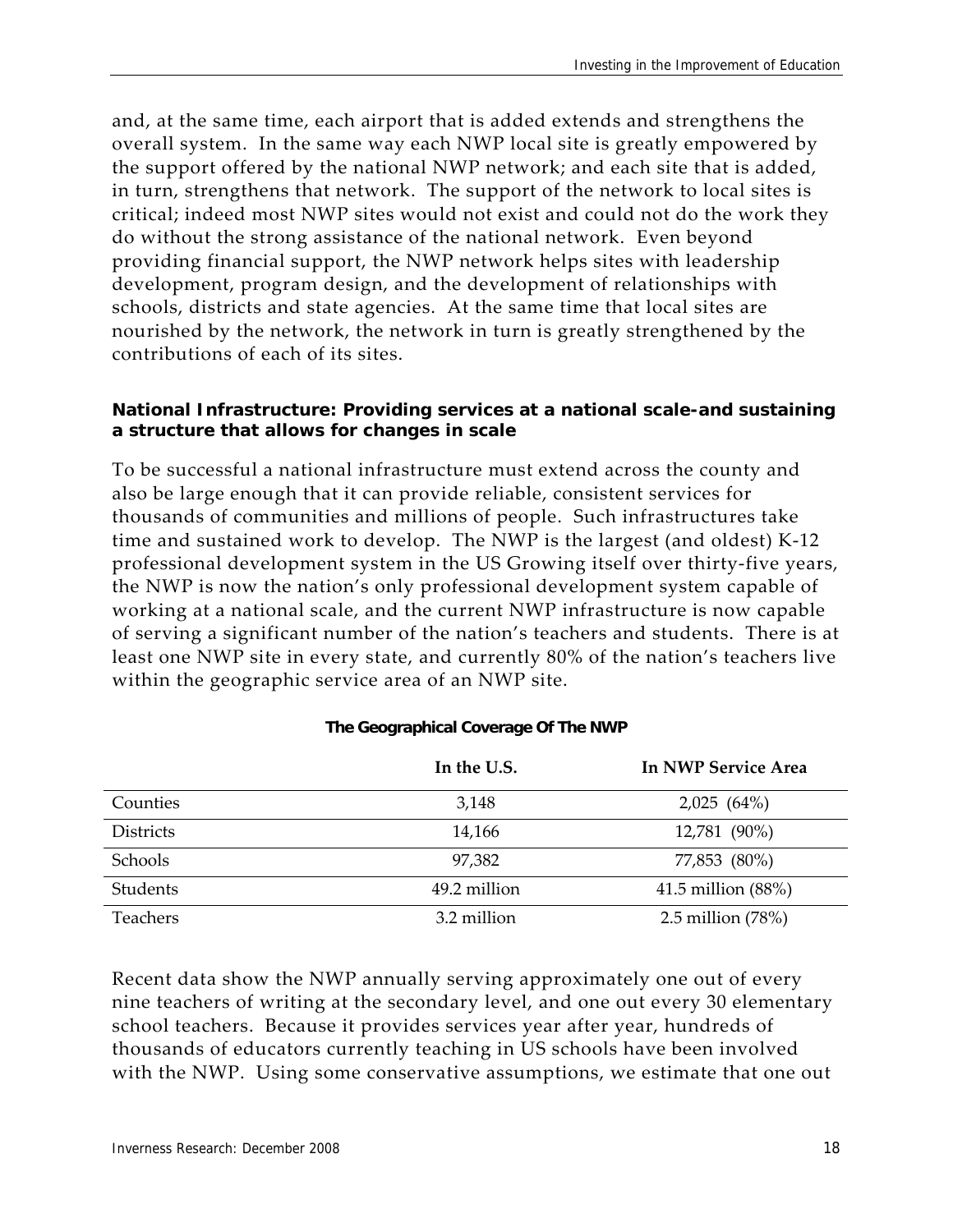and, at the same time, each airport that is added extends and strengthens the overall system. In the same way each NWP local site is greatly empowered by the support offered by the national NWP network; and each site that is added, in turn, strengthens that network. The support of the network to local sites is critical; indeed most NWP sites would not exist and could not do the work they do without the strong assistance of the national network. Even beyond providing financial support, the NWP network helps sites with leadership development, program design, and the development of relationships with schools, districts and state agencies. At the same time that local sites are nourished by the network, the network in turn is greatly strengthened by the contributions of each of its sites.

#### **National Infrastructure: Providing services at a national scale-and sustaining a structure that allows for changes in scale**

To be successful a national infrastructure must extend across the county and also be large enough that it can provide reliable, consistent services for thousands of communities and millions of people. Such infrastructures take time and sustained work to develop. The NWP is the largest (and oldest) K‐12 professional development system in the US Growing itself over thirty‐five years, the NWP is now the nation's only professional development system capable of working at a national scale, and the current NWP infrastructure is now capable of serving a significant number of the nation's teachers and students. There is at least one NWP site in every state, and currently 80% of the nation's teachers live within the geographic service area of an NWP site.

|                  | In the U.S.  | In NWP Service Area  |  |  |
|------------------|--------------|----------------------|--|--|
| Counties         | 3,148        | 2,025(64%)           |  |  |
| <b>Districts</b> | 14,166       | 12,781 (90%)         |  |  |
| Schools          | 97,382       | 77,853 (80%)         |  |  |
| Students         | 49.2 million | 41.5 million $(88%)$ |  |  |
| Teachers         | 3.2 million  | 2.5 million $(78%)$  |  |  |

#### **The Geographical Coverage Of The NWP**

Recent data show the NWP annually serving approximately one out of every nine teachers of writing at the secondary level, and one out every 30 elementary school teachers. Because it provides services year after year, hundreds of thousands of educators currently teaching in US schools have been involved with the NWP. Using some conservative assumptions, we estimate that one out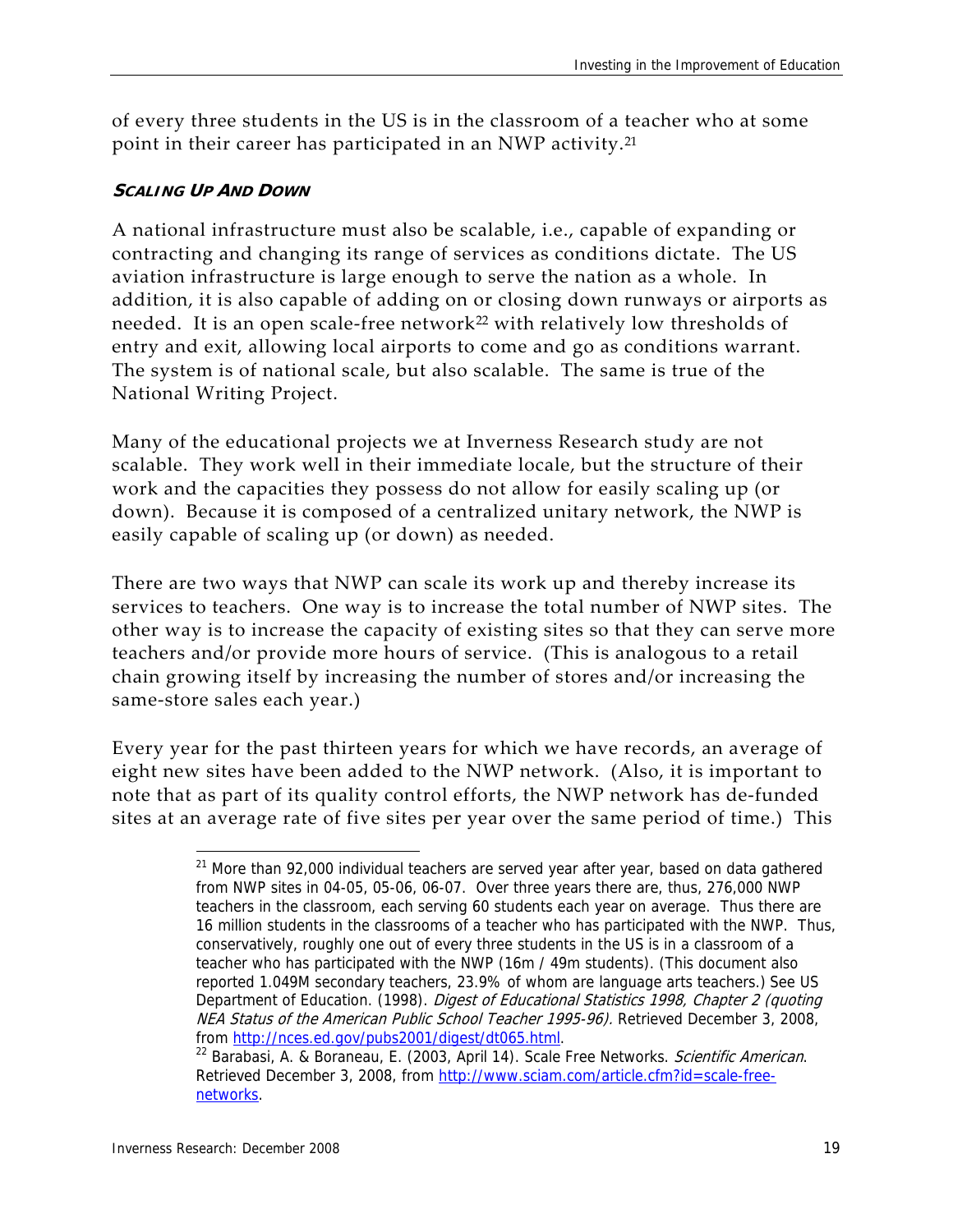of every three students in the US is in the classroom of a teacher who at some point in their career has participated in an NWP activity.<sup>21</sup>

#### **SCALING UP AND DOWN**

A national infrastructure must also be scalable, i.e., capable of expanding or contracting and changing its range of services as conditions dictate. The US aviation infrastructure is large enough to serve the nation as a whole. In addition, it is also capable of adding on or closing down runways or airports as needed. It is an open scale-free network<sup>22</sup> with relatively low thresholds of entry and exit, allowing local airports to come and go as conditions warrant. The system is of national scale, but also scalable. The same is true of the National Writing Project.

Many of the educational projects we at Inverness Research study are not scalable. They work well in their immediate locale, but the structure of their work and the capacities they possess do not allow for easily scaling up (or down). Because it is composed of a centralized unitary network, the NWP is easily capable of scaling up (or down) as needed.

There are two ways that NWP can scale its work up and thereby increase its services to teachers. One way is to increase the total number of NWP sites. The other way is to increase the capacity of existing sites so that they can serve more teachers and/or provide more hours of service. (This is analogous to a retail chain growing itself by increasing the number of stores and/or increasing the same‐store sales each year.)

Every year for the past thirteen years for which we have records, an average of eight new sites have been added to the NWP network. (Also, it is important to note that as part of its quality control efforts, the NWP network has de‐funded sites at an average rate of five sites per year over the same period of time.) This

  $21$  More than 92,000 individual teachers are served year after year, based on data gathered from NWP sites in 04-05, 05-06, 06-07. Over three years there are, thus, 276,000 NWP teachers in the classroom, each serving 60 students each year on average. Thus there are 16 million students in the classrooms of a teacher who has participated with the NWP. Thus, conservatively, roughly one out of every three students in the US is in a classroom of a teacher who has participated with the NWP (16m / 49m students). (This document also reported 1.049M secondary teachers, 23.9% of whom are language arts teachers.) See US Department of Education. (1998). Digest of Educational Statistics 1998, Chapter 2 (quoting NEA Status of the American Public School Teacher 1995-96). Retrieved December 3, 2008,

from http://nces.ed.gov/pubs2001/digest/dt065.html.<br><sup>22</sup> Barabasi, A. & Boraneau, E. (2003, April 14). Scale Free Networks. *Scientific American*. Retrieved December 3, 2008, from http://www.sciam.com/article.cfm?id=scale-freenetworks.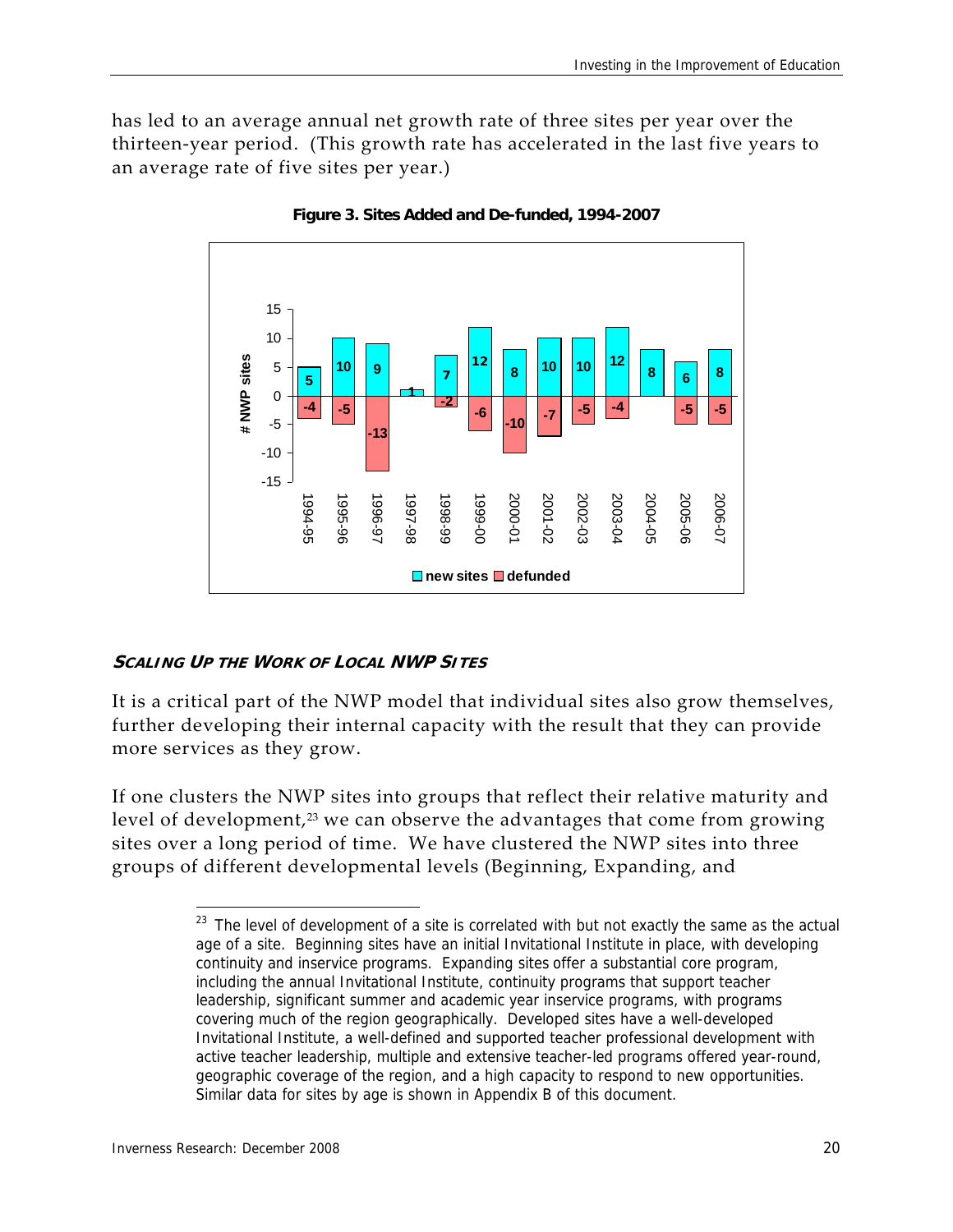has led to an average annual net growth rate of three sites per year over the thirteen‐year period. (This growth rate has accelerated in the last five years to an average rate of five sites per year.)



**Figure 3. Sites Added and De-funded, 1994-2007** 

#### **SCALING UP THE WORK OF LOCAL NWP SITES**

It is a critical part of the NWP model that individual sites also grow themselves, further developing their internal capacity with the result that they can provide more services as they grow.

If one clusters the NWP sites into groups that reflect their relative maturity and level of development,<sup>23</sup> we can observe the advantages that come from growing sites over a long period of time. We have clustered the NWP sites into three groups of different developmental levels (Beginning, Expanding, and

 $23$  The level of development of a site is correlated with but not exactly the same as the actual age of a site. Beginning sites have an initial Invitational Institute in place, with developing continuity and inservice programs. Expanding sites offer a substantial core program, including the annual Invitational Institute, continuity programs that support teacher leadership, significant summer and academic year inservice programs, with programs covering much of the region geographically. Developed sites have a well-developed Invitational Institute, a well-defined and supported teacher professional development with active teacher leadership, multiple and extensive teacher-led programs offered year-round, geographic coverage of the region, and a high capacity to respond to new opportunities. Similar data for sites by age is shown in Appendix B of this document.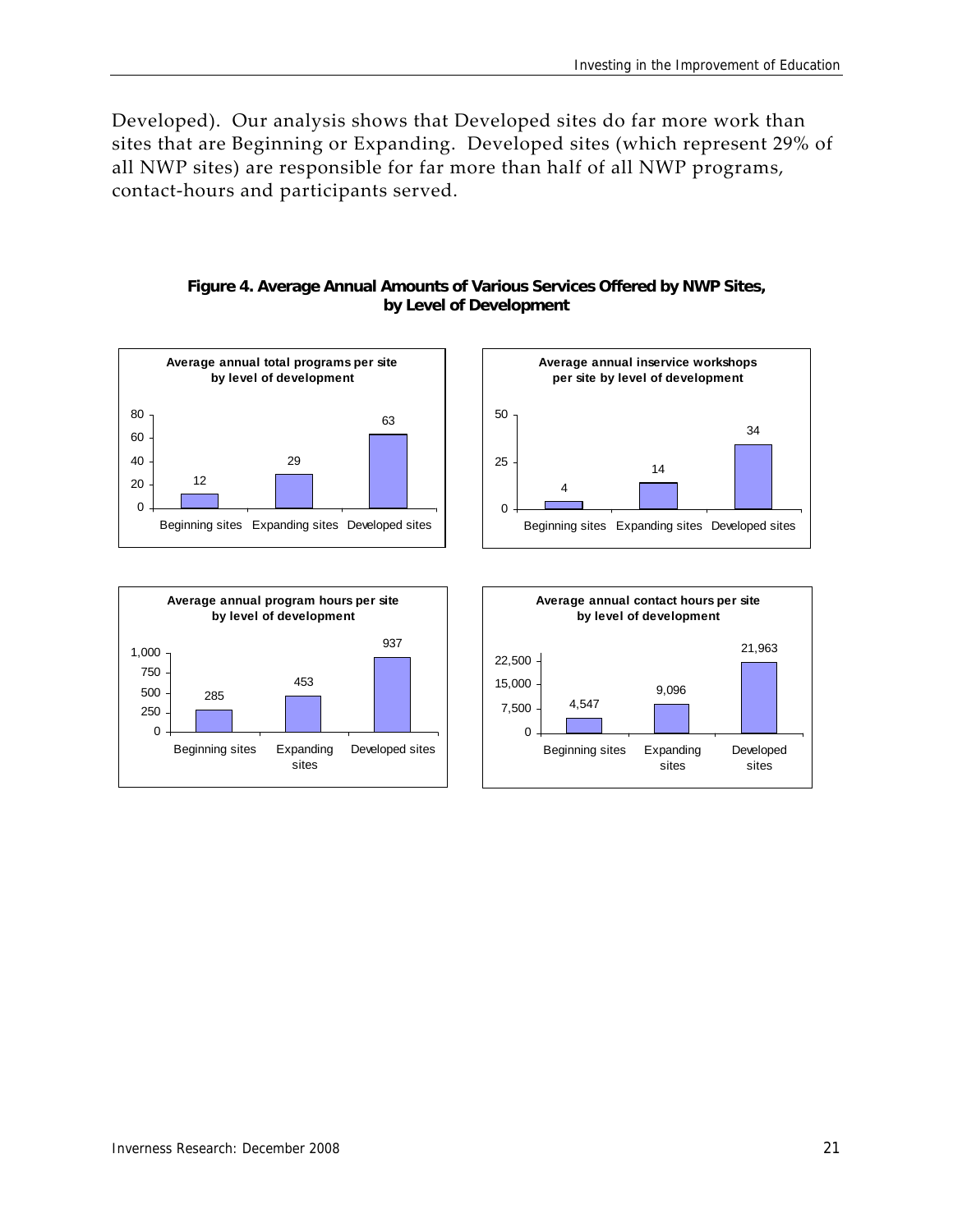Developed). Our analysis shows that Developed sites do far more work than sites that are Beginning or Expanding. Developed sites (which represent 29% of all NWP sites) are responsible for far more than half of all NWP programs, contact‐hours and participants served.

#### **Figure 4. Average Annual Amounts of Various Services Offered by NWP Sites, by Level of Development**





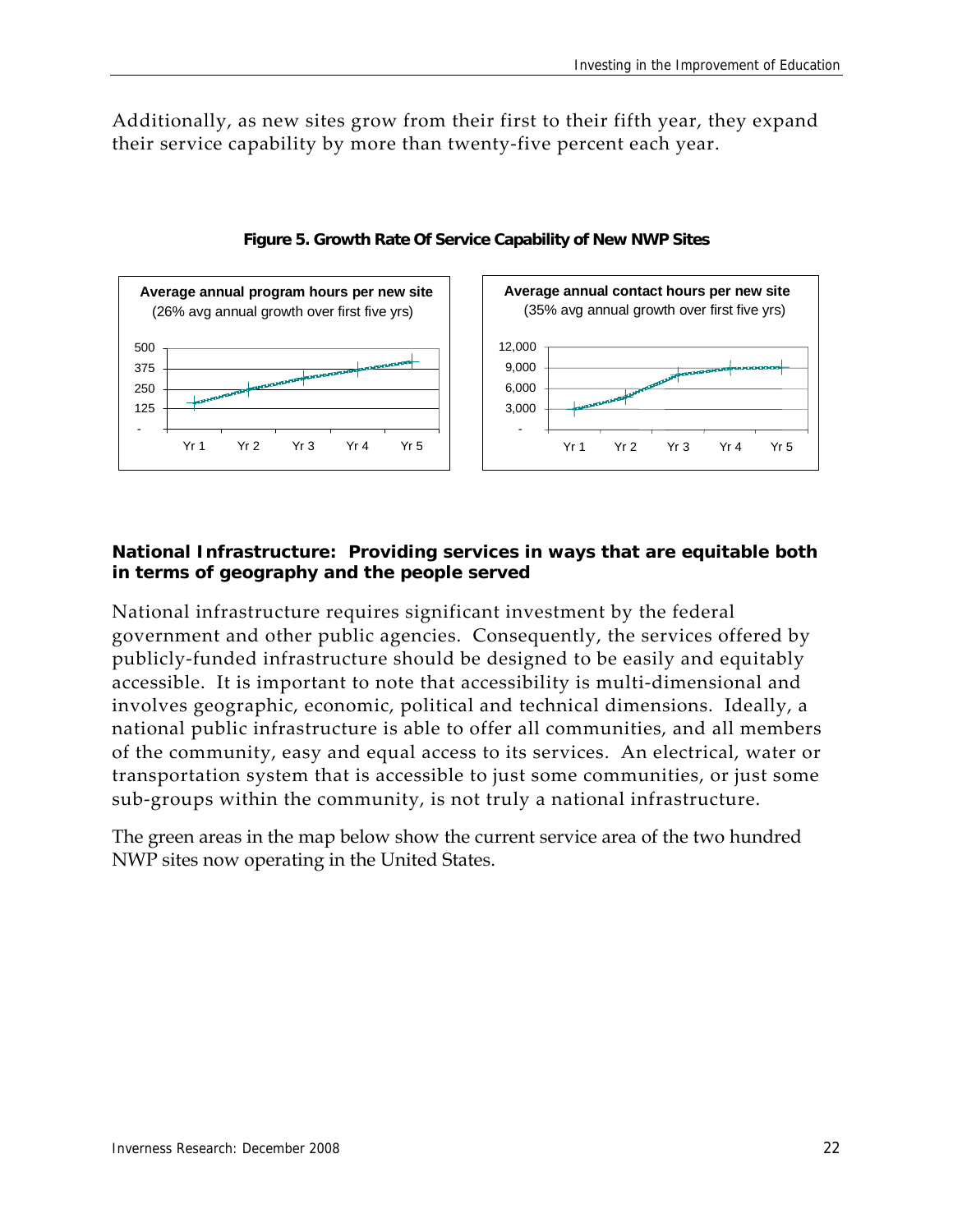Additionally, as new sites grow from their first to their fifth year, they expand their service capability by more than twenty‐five percent each year.





#### **National Infrastructure: Providing services in ways that are equitable both in terms of geography and the people served**

National infrastructure requires significant investment by the federal government and other public agencies. Consequently, the services offered by publicly‐funded infrastructure should be designed to be easily and equitably accessible. It is important to note that accessibility is multi‐dimensional and involves geographic, economic, political and technical dimensions. Ideally, a national public infrastructure is able to offer all communities, and all members of the community, easy and equal access to its services. An electrical, water or transportation system that is accessible to just some communities, or just some sub‐groups within the community, is not truly a national infrastructure.

The green areas in the map below show the current service area of the two hundred NWP sites now operating in the United States.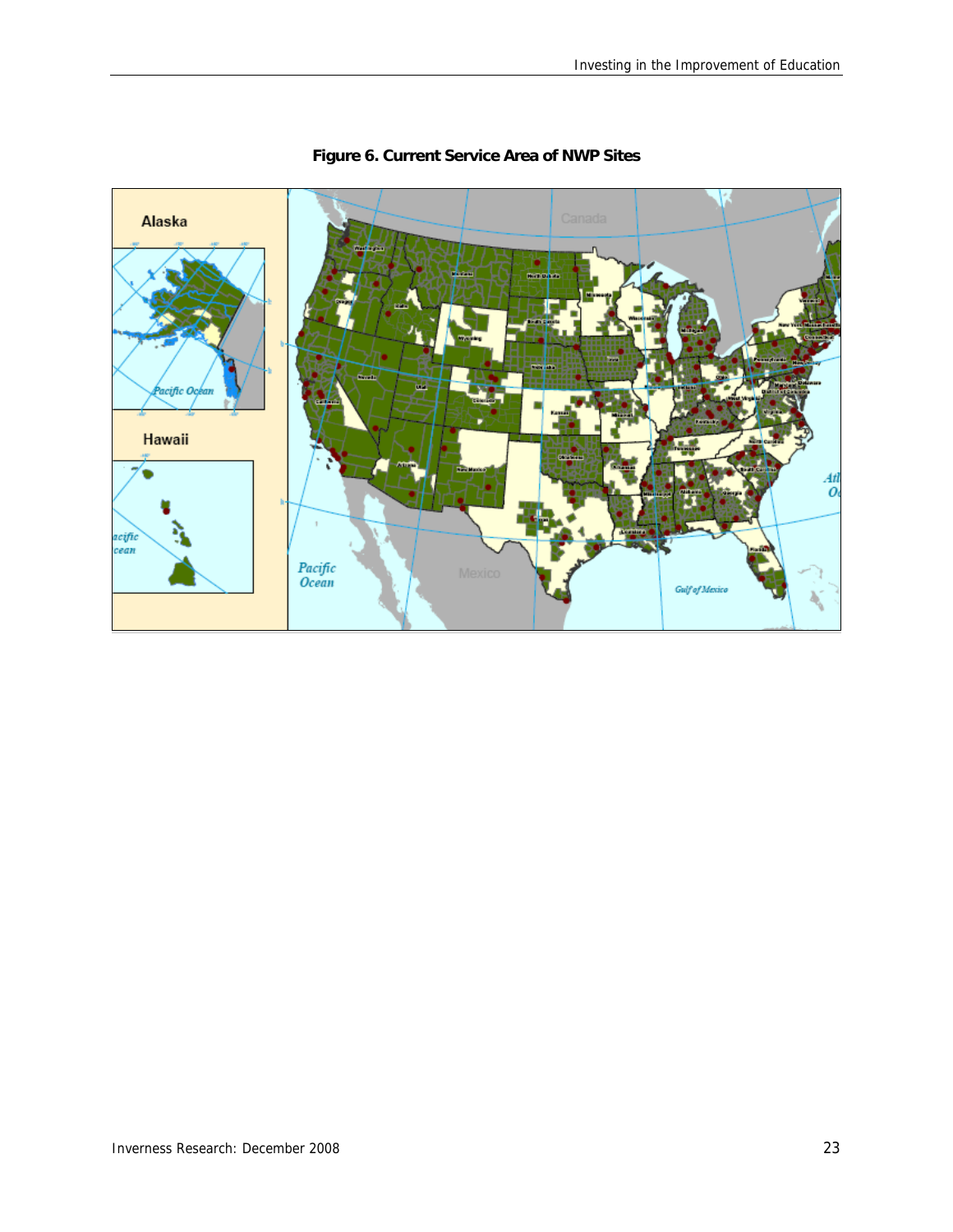

#### **Figure 6. Current Service Area of NWP Sites**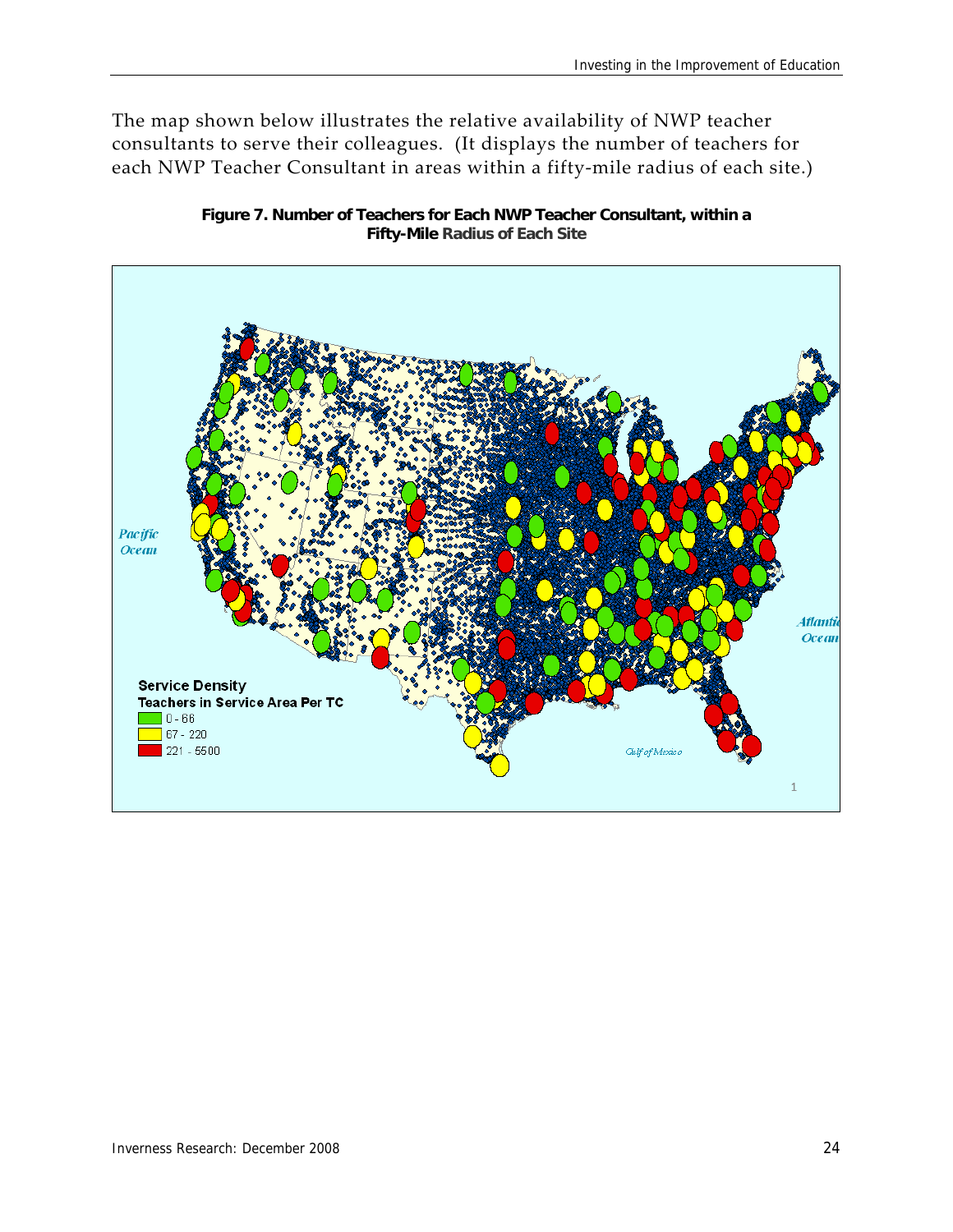The map shown below illustrates the relative availability of NWP teacher consultants to serve their colleagues. (It displays the number of teachers for each NWP Teacher Consultant in areas within a fifty-mile radius of each site.)



**Figure 7. Number of Teachers for Each NWP Teacher Consultant, within a Fifty-Mile Radius of Each Site**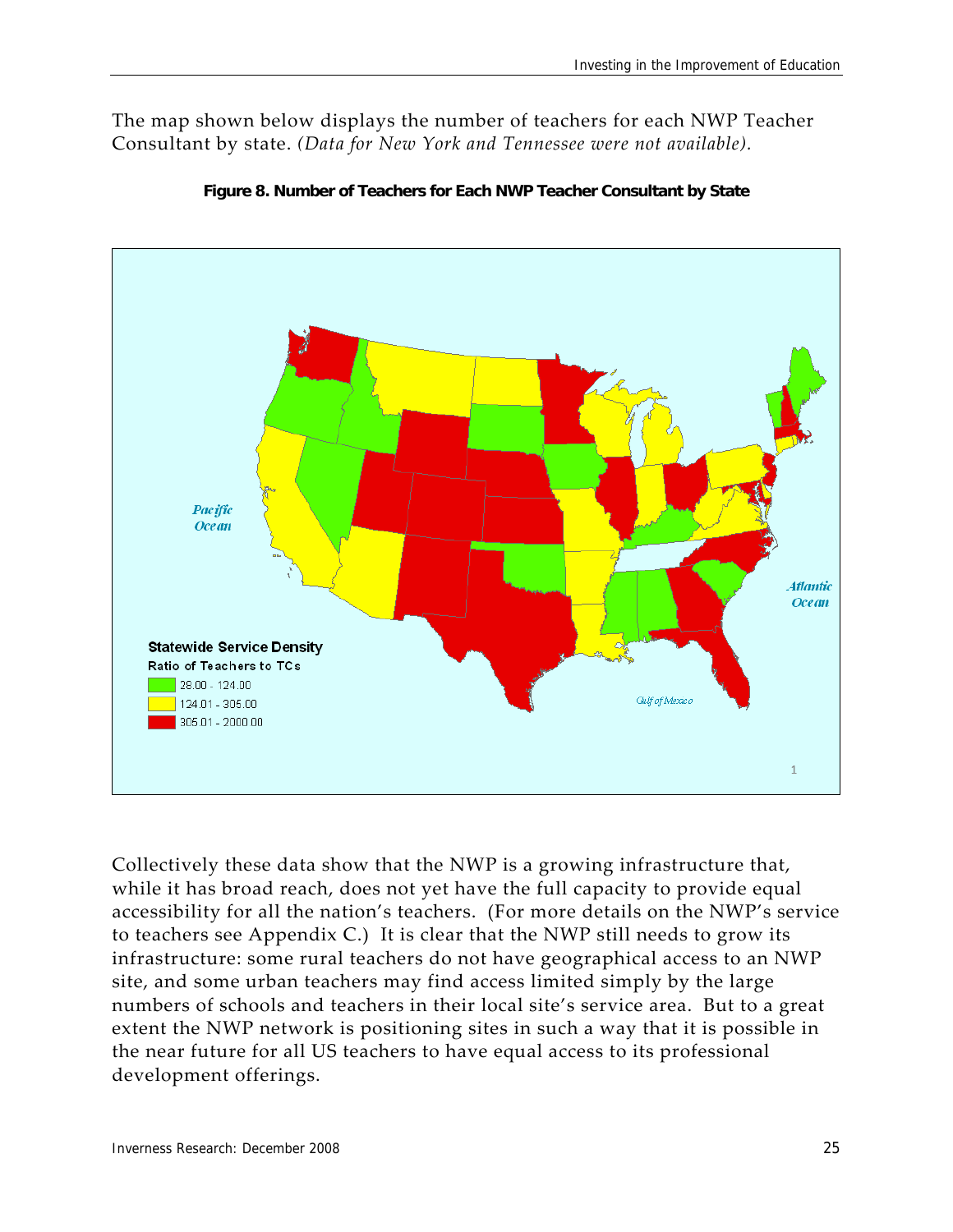The map shown below displays the number of teachers for each NWP Teacher Consultant by state. *(Data for New York and Tennessee were not available).*





Collectively these data show that the NWP is a growing infrastructure that, while it has broad reach, does not yet have the full capacity to provide equal accessibility for all the nation's teachers. (For more details on the NWP's service to teachers see Appendix C.) It is clear that the NWP still needs to grow its infrastructure: some rural teachers do not have geographical access to an NWP site, and some urban teachers may find access limited simply by the large numbers of schools and teachers in their local site's service area. But to a great extent the NWP network is positioning sites in such a way that it is possible in the near future for all US teachers to have equal access to its professional development offerings.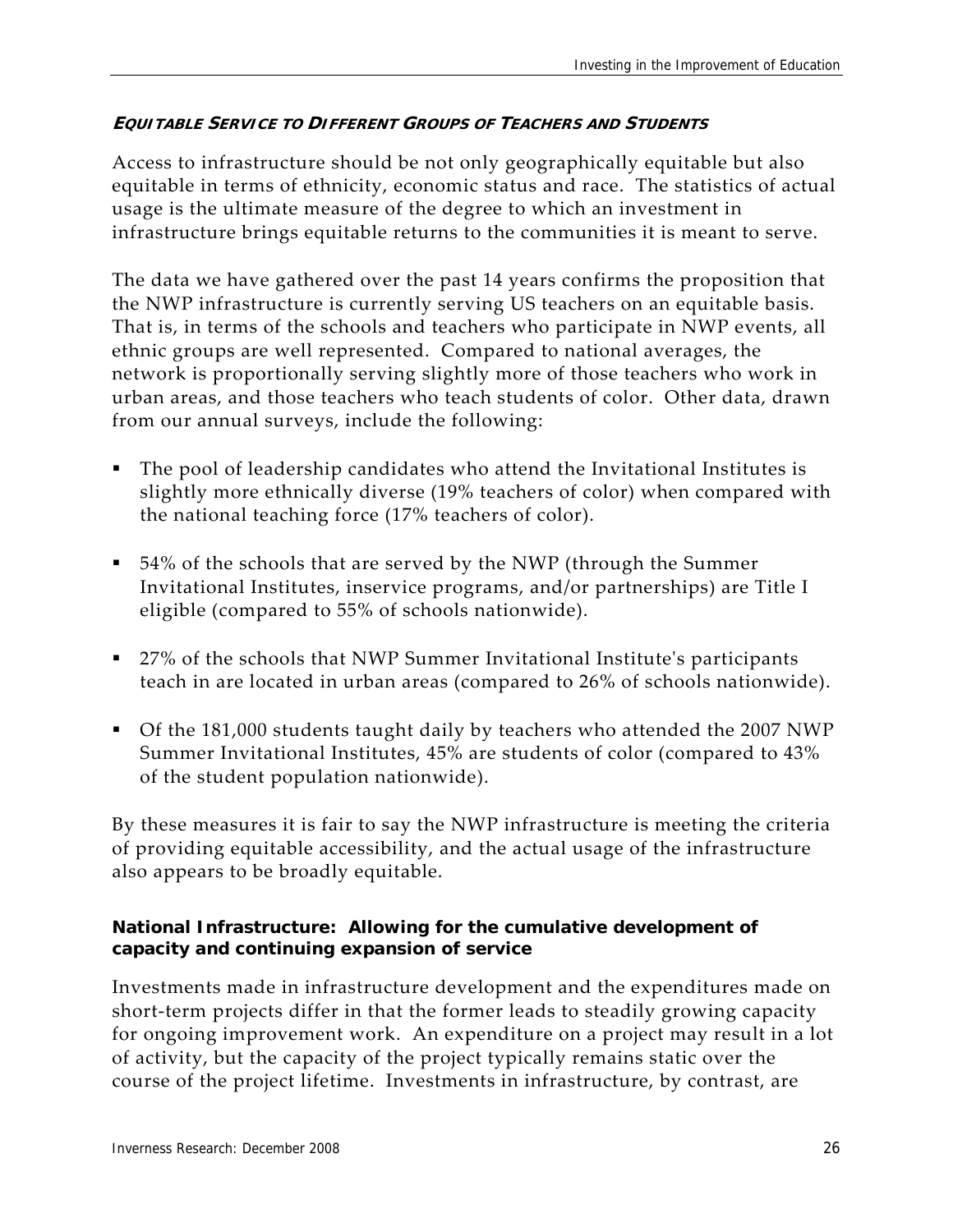#### **EQUITABLE SERVICE TO DIFFERENT GROUPS OF TEACHERS AND STUDENTS**

Access to infrastructure should be not only geographically equitable but also equitable in terms of ethnicity, economic status and race. The statistics of actual usage is the ultimate measure of the degree to which an investment in infrastructure brings equitable returns to the communities it is meant to serve.

The data we have gathered over the past 14 years confirms the proposition that the NWP infrastructure is currently serving US teachers on an equitable basis. That is, in terms of the schools and teachers who participate in NWP events, all ethnic groups are well represented. Compared to national averages, the network is proportionally serving slightly more of those teachers who work in urban areas, and those teachers who teach students of color. Other data, drawn from our annual surveys, include the following:

- The pool of leadership candidates who attend the Invitational Institutes is slightly more ethnically diverse (19% teachers of color) when compared with the national teaching force (17% teachers of color).
- 54% of the schools that are served by the NWP (through the Summer Invitational Institutes, inservice programs, and/or partnerships) are Title I eligible (compared to 55% of schools nationwide).
- 27% of the schools that NWP Summer Invitational Institute's participants teach in are located in urban areas (compared to 26% of schools nationwide).
- Of the 181,000 students taught daily by teachers who attended the 2007 NWP Summer Invitational Institutes, 45% are students of color (compared to 43% of the student population nationwide).

By these measures it is fair to say the NWP infrastructure is meeting the criteria of providing equitable accessibility, and the actual usage of the infrastructure also appears to be broadly equitable.

#### **National Infrastructure: Allowing for the cumulative development of capacity and continuing expansion of service**

Investments made in infrastructure development and the expenditures made on short-term projects differ in that the former leads to steadily growing capacity for ongoing improvement work. An expenditure on a project may result in a lot of activity, but the capacity of the project typically remains static over the course of the project lifetime. Investments in infrastructure, by contrast, are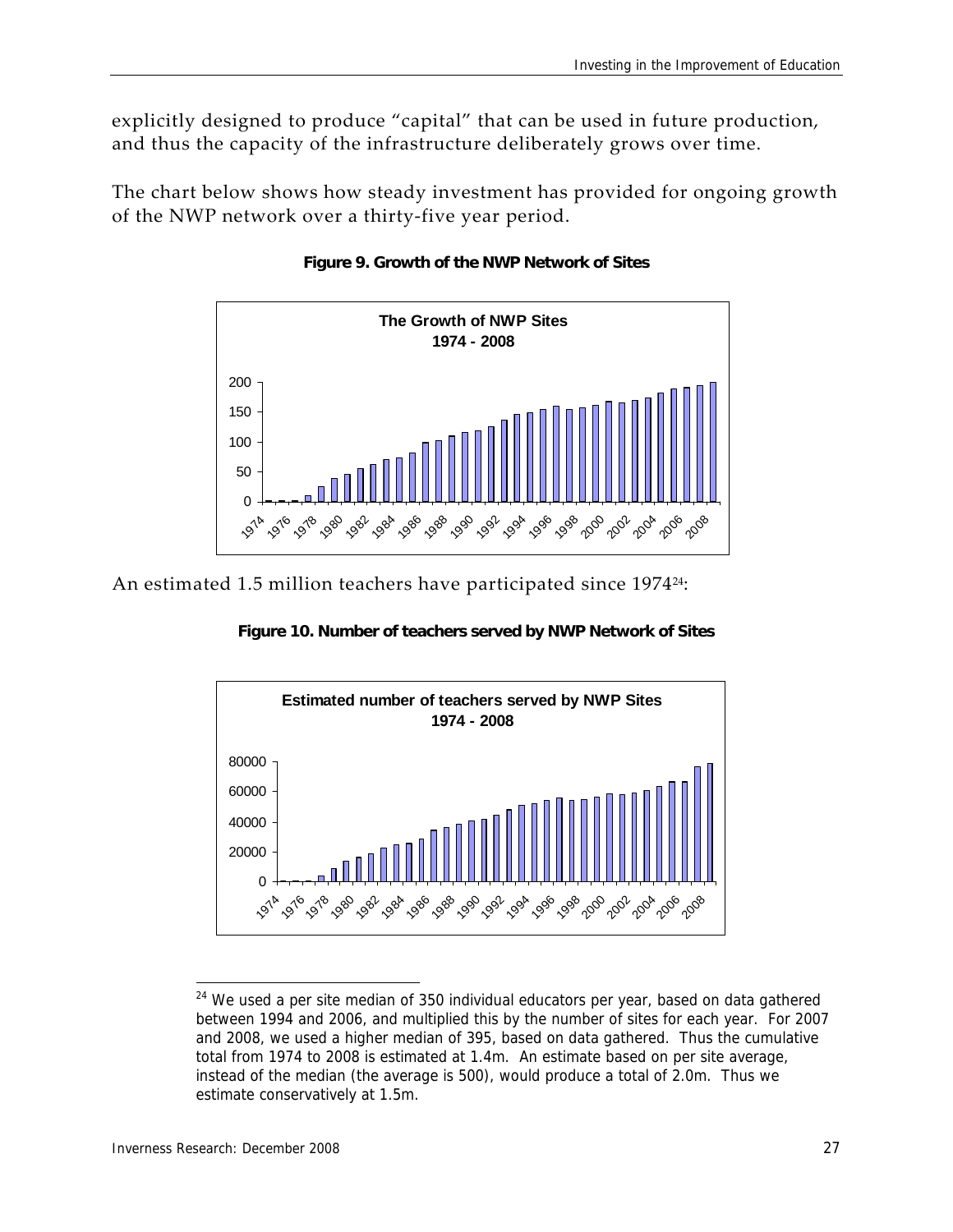explicitly designed to produce "capital" that can be used in future production, and thus the capacity of the infrastructure deliberately grows over time.

The chart below shows how steady investment has provided for ongoing growth of the NWP network over a thirty‐five year period.



#### **Figure 9. Growth of the NWP Network of Sites**

An estimated 1.5 million teachers have participated since 1974<sup>24</sup>:

**Figure 10. Number of teachers served by NWP Network of Sites**



 We used a per site median of 350 individual educators per year, based on data gathered between 1994 and 2006, and multiplied this by the number of sites for each year. For 2007 and 2008, we used a higher median of 395, based on data gathered. Thus the cumulative total from 1974 to 2008 is estimated at 1.4m. An estimate based on per site average, instead of the median (the average is 500), would produce a total of 2.0m. Thus we estimate conservatively at 1.5m.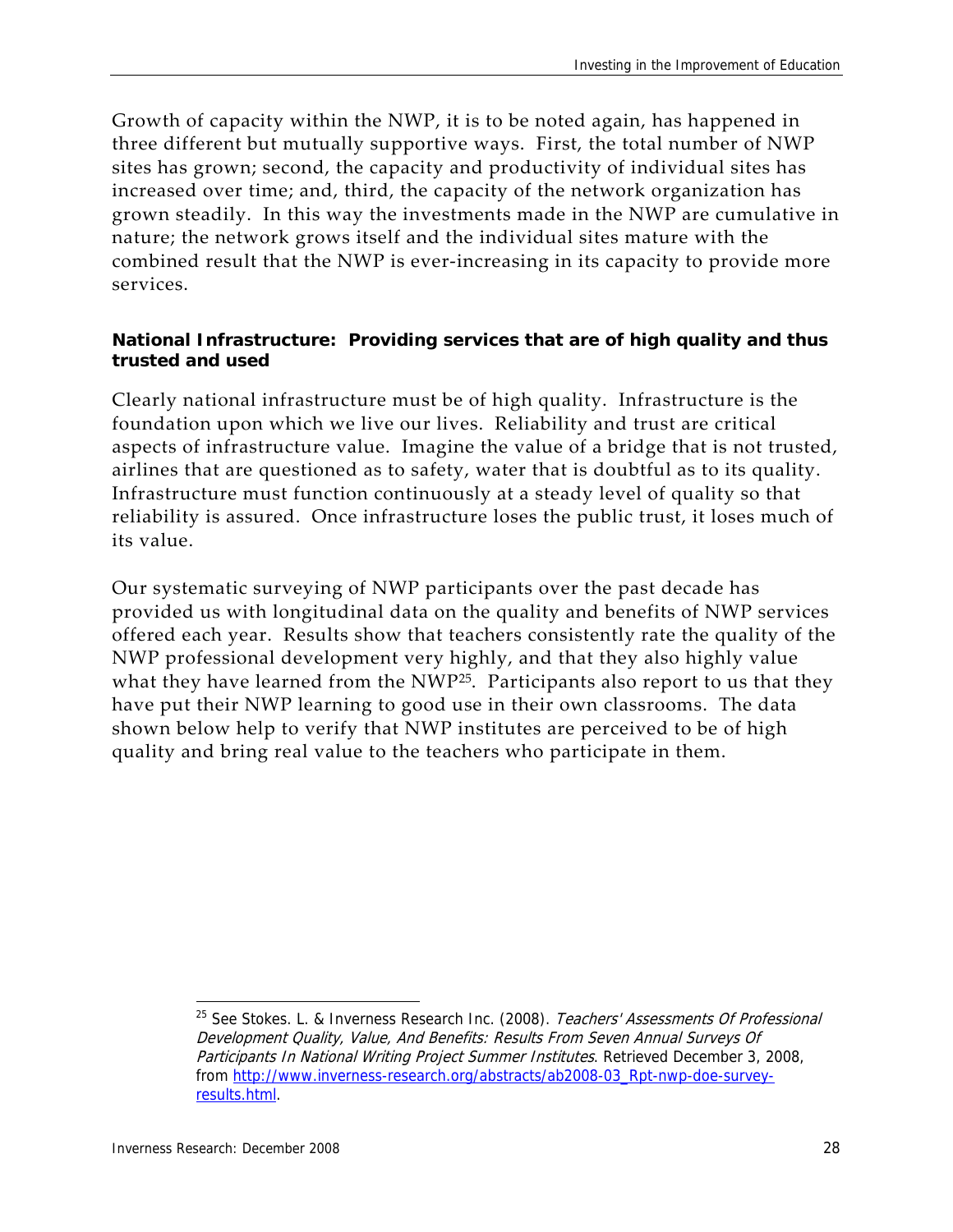Growth of capacity within the NWP, it is to be noted again, has happened in three different but mutually supportive ways. First, the total number of NWP sites has grown; second, the capacity and productivity of individual sites has increased over time; and, third, the capacity of the network organization has grown steadily. In this way the investments made in the NWP are cumulative in nature; the network grows itself and the individual sites mature with the combined result that the NWP is ever‐increasing in its capacity to provide more services.

#### **National Infrastructure: Providing services that are of high quality and thus trusted and used**

Clearly national infrastructure must be of high quality. Infrastructure is the foundation upon which we live our lives. Reliability and trust are critical aspects of infrastructure value. Imagine the value of a bridge that is not trusted, airlines that are questioned as to safety, water that is doubtful as to its quality. Infrastructure must function continuously at a steady level of quality so that reliability is assured. Once infrastructure loses the public trust, it loses much of its value.

Our systematic surveying of NWP participants over the past decade has provided us with longitudinal data on the quality and benefits of NWP services offered each year. Results show that teachers consistently rate the quality of the NWP professional development very highly, and that they also highly value what they have learned from the NWP<sup>25</sup>. Participants also report to us that they have put their NWP learning to good use in their own classrooms. The data shown below help to verify that NWP institutes are perceived to be of high quality and bring real value to the teachers who participate in them.

<sup>&</sup>lt;sup>25</sup> See Stokes. L. & Inverness Research Inc. (2008). Teachers' Assessments Of Professional Development Quality, Value, And Benefits: Results From Seven Annual Surveys Of Participants In National Writing Project Summer Institutes. Retrieved December 3, 2008, from http://www.inverness-research.org/abstracts/ab2008-03\_Rpt-nwp-doe-surveyresults.html.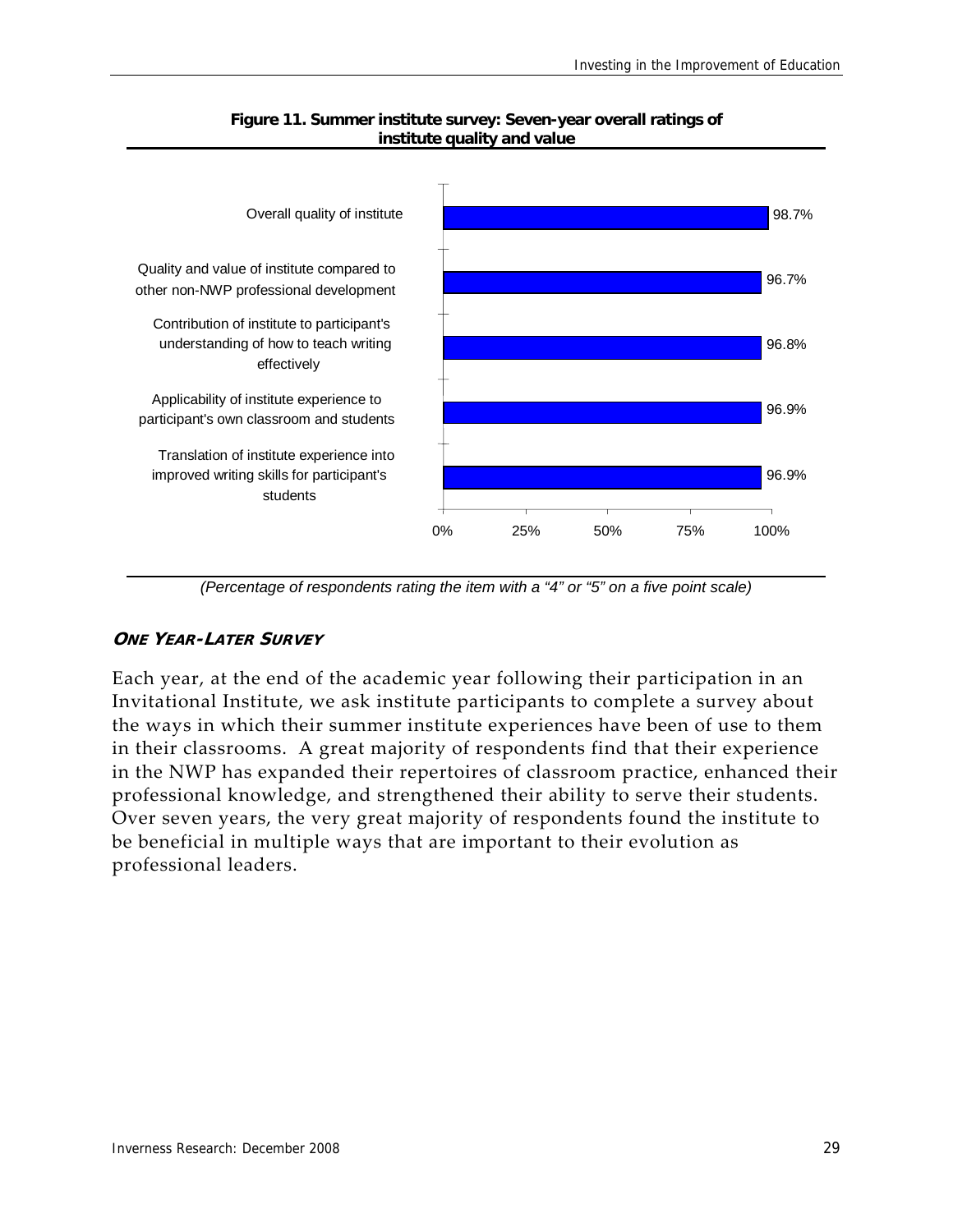

#### **Figure 11. Summer institute survey: Seven-year overall ratings of institute quality and value**

*(Percentage of respondents rating the item with a "4" or "5" on a five point scale)* 

#### **ONE YEAR-LATER SURVEY**

Each year, at the end of the academic year following their participation in an Invitational Institute, we ask institute participants to complete a survey about the ways in which their summer institute experiences have been of use to them in their classrooms. A great majority of respondents find that their experience in the NWP has expanded their repertoires of classroom practice, enhanced their professional knowledge, and strengthened their ability to serve their students. Over seven years, the very great majority of respondents found the institute to be beneficial in multiple ways that are important to their evolution as professional leaders.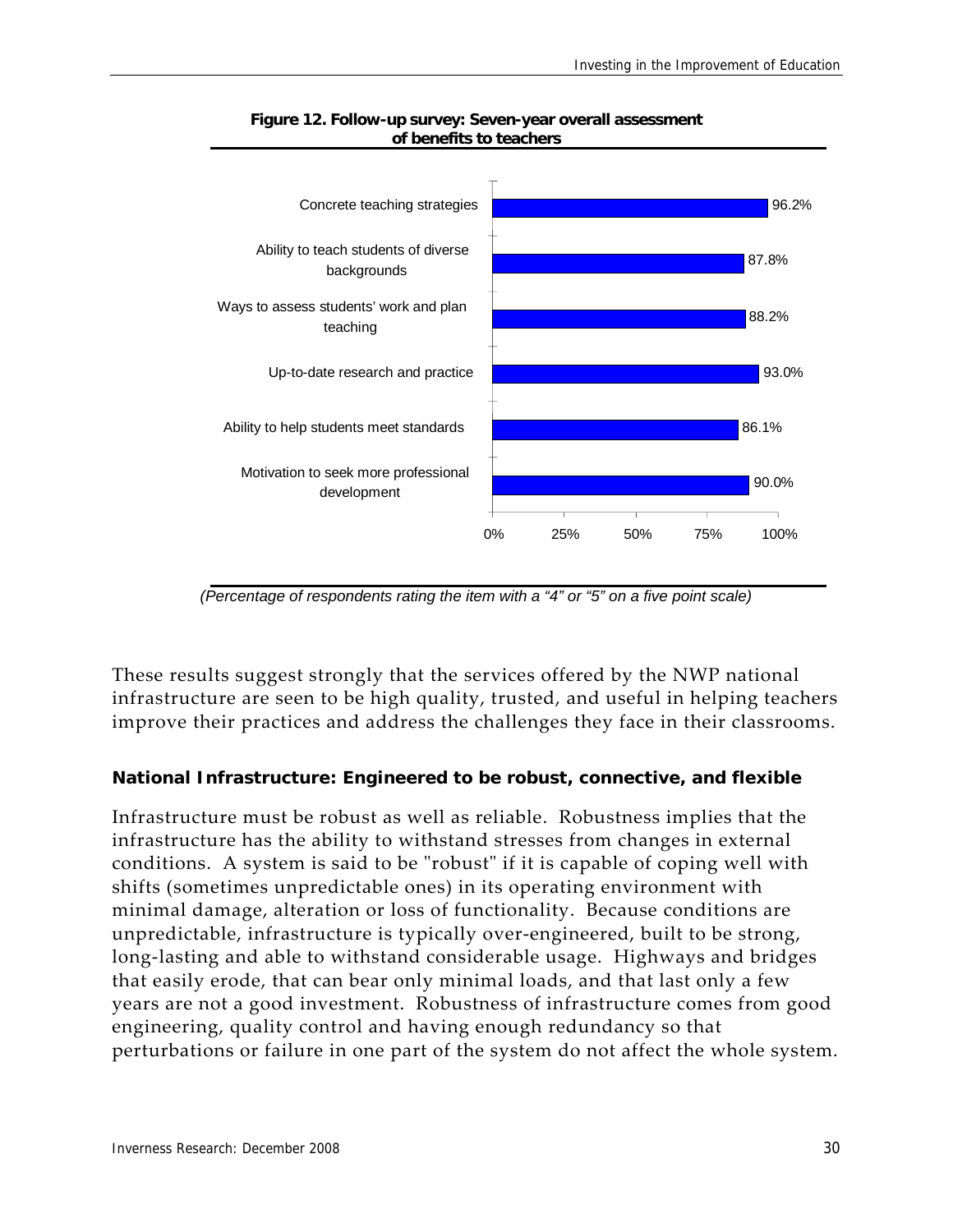

#### **Figure 12. Follow-up survey: Seven-year overall assessment of benefits to teachers**

*(Percentage of respondents rating the item with a "4" or "5" on a five point scale)* 

These results suggest strongly that the services offered by the NWP national infrastructure are seen to be high quality, trusted, and useful in helping teachers improve their practices and address the challenges they face in their classrooms.

#### **National Infrastructure: Engineered to be robust, connective, and flexible**

Infrastructure must be robust as well as reliable. Robustness implies that the infrastructure has the ability to withstand stresses from changes in external conditions. A system is said to be "robust" if it is capable of coping well with shifts (sometimes unpredictable ones) in its operating environment with minimal damage, alteration or loss of functionality. Because conditions are unpredictable, infrastructure is typically over‐engineered, built to be strong, long‐lasting and able to withstand considerable usage. Highways and bridges that easily erode, that can bear only minimal loads, and that last only a few years are not a good investment. Robustness of infrastructure comes from good engineering, quality control and having enough redundancy so that perturbations or failure in one part of the system do not affect the whole system.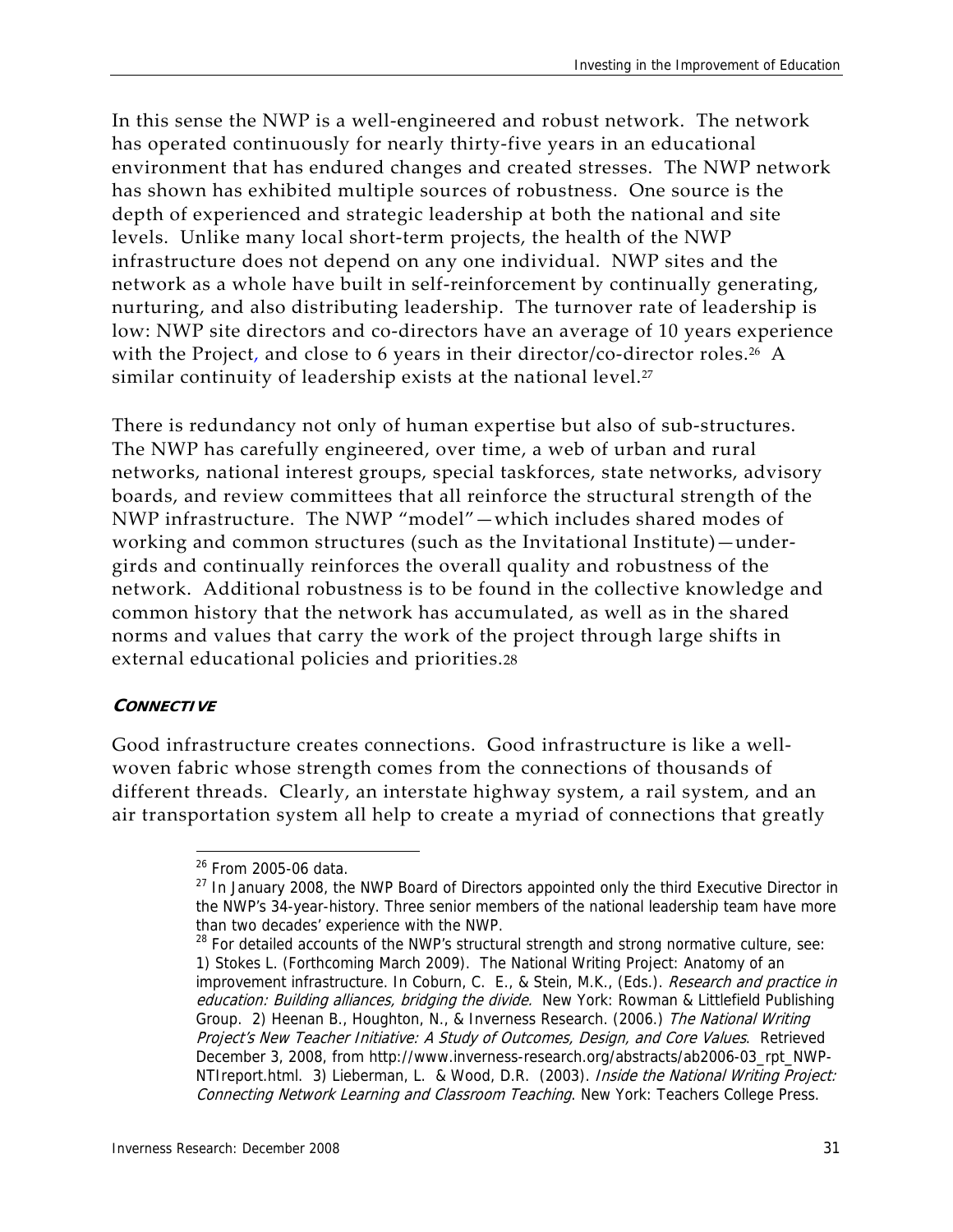In this sense the NWP is a well‐engineered and robust network. The network has operated continuously for nearly thirty‐five years in an educational environment that has endured changes and created stresses. The NWP network has shown has exhibited multiple sources of robustness. One source is the depth of experienced and strategic leadership at both the national and site levels. Unlike many local short‐term projects, the health of the NWP infrastructure does not depend on any one individual. NWP sites and the network as a whole have built in self‐reinforcement by continually generating, nurturing, and also distributing leadership. The turnover rate of leadership is low: NWP site directors and co-directors have an average of 10 years experience with the Project, and close to 6 years in their director/co-director roles.<sup>26</sup> A similar continuity of leadership exists at the national level.<sup>27</sup>

There is redundancy not only of human expertise but also of sub‐structures. The NWP has carefully engineered, over time, a web of urban and rural networks, national interest groups, special taskforces, state networks, advisory boards, and review committees that all reinforce the structural strength of the NWP infrastructure. The NWP "model"—which includes shared modes of working and common structures (such as the Invitational Institute)—under‐ girds and continually reinforces the overall quality and robustness of the network. Additional robustness is to be found in the collective knowledge and common history that the network has accumulated, as well as in the shared norms and values that carry the work of the project through large shifts in external educational policies and priorities.28

#### **CONNECTIVE**

Good infrastructure creates connections. Good infrastructure is like a well‐ woven fabric whose strength comes from the connections of thousands of different threads. Clearly, an interstate highway system, a rail system, and an air transportation system all help to create a myriad of connections that greatly

<sup>&</sup>lt;sup>26</sup> From 2005-06 data.

 $27$  In January 2008, the NWP Board of Directors appointed only the third Executive Director in the NWP's 34-year-history. Three senior members of the national leadership team have more than two decades' experience with the NWP.

 $28$  For detailed accounts of the NWP's structural strength and strong normative culture, see: 1) Stokes L. (Forthcoming March 2009). The National Writing Project: Anatomy of an improvement infrastructure. In Coburn, C. E., & Stein, M.K., (Eds.). Research and practice in education: Building alliances, bridging the divide. New York: Rowman & Littlefield Publishing Group. 2) Heenan B., Houghton, N., & Inverness Research. (2006.) The National Writing Project's New Teacher Initiative: A Study of Outcomes, Design, and Core Values. Retrieved December 3, 2008, from http://www.inverness-research.org/abstracts/ab2006-03\_rpt\_NWP-NTIreport.html. 3) Lieberman, L. & Wood, D.R. (2003). Inside the National Writing Project: Connecting Network Learning and Classroom Teaching. New York: Teachers College Press.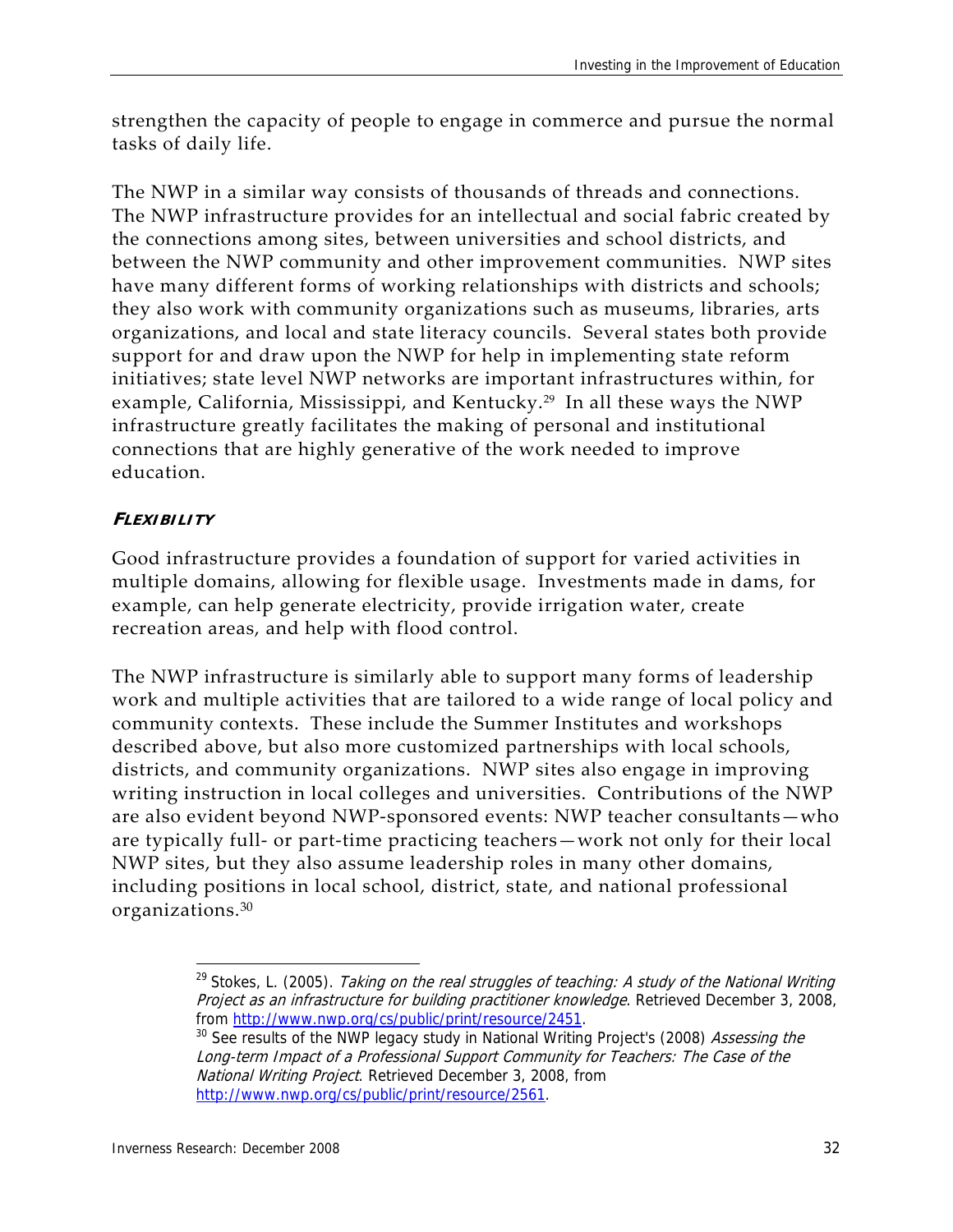strengthen the capacity of people to engage in commerce and pursue the normal tasks of daily life.

The NWP in a similar way consists of thousands of threads and connections. The NWP infrastructure provides for an intellectual and social fabric created by the connections among sites, between universities and school districts, and between the NWP community and other improvement communities. NWP sites have many different forms of working relationships with districts and schools; they also work with community organizations such as museums, libraries, arts organizations, and local and state literacy councils. Several states both provide support for and draw upon the NWP for help in implementing state reform initiatives; state level NWP networks are important infrastructures within, for example, California, Mississippi, and Kentucky.<sup>29</sup> In all these ways the NWP infrastructure greatly facilitates the making of personal and institutional connections that are highly generative of the work needed to improve education.

#### **FLEXIBILITY**

Good infrastructure provides a foundation of support for varied activities in multiple domains, allowing for flexible usage. Investments made in dams, for example, can help generate electricity, provide irrigation water, create recreation areas, and help with flood control.

The NWP infrastructure is similarly able to support many forms of leadership work and multiple activities that are tailored to a wide range of local policy and community contexts. These include the Summer Institutes and workshops described above, but also more customized partnerships with local schools, districts, and community organizations. NWP sites also engage in improving writing instruction in local colleges and universities. Contributions of the NWP are also evident beyond NWP‐sponsored events: NWP teacher consultants—who are typically full‐ or part‐time practicing teachers—work not only for their local NWP sites, but they also assume leadership roles in many other domains, including positions in local school, district, state, and national professional organizations.<sup>30</sup>

<sup>&</sup>lt;sup>29</sup> Stokes, L. (2005). Taking on the real struggles of teaching: A study of the National Writing Project as an infrastructure for building practitioner knowledge. Retrieved December 3, 2008,

from http://www.nwp.org/cs/public/print/resource/2451.<br><sup>30</sup> See results of the NWP legacy study in National Writing Project's (2008) *Assessing the* Long-term Impact of a Professional Support Community for Teachers: The Case of the National Writing Project. Retrieved December 3, 2008, from http://www.nwp.org/cs/public/print/resource/2561.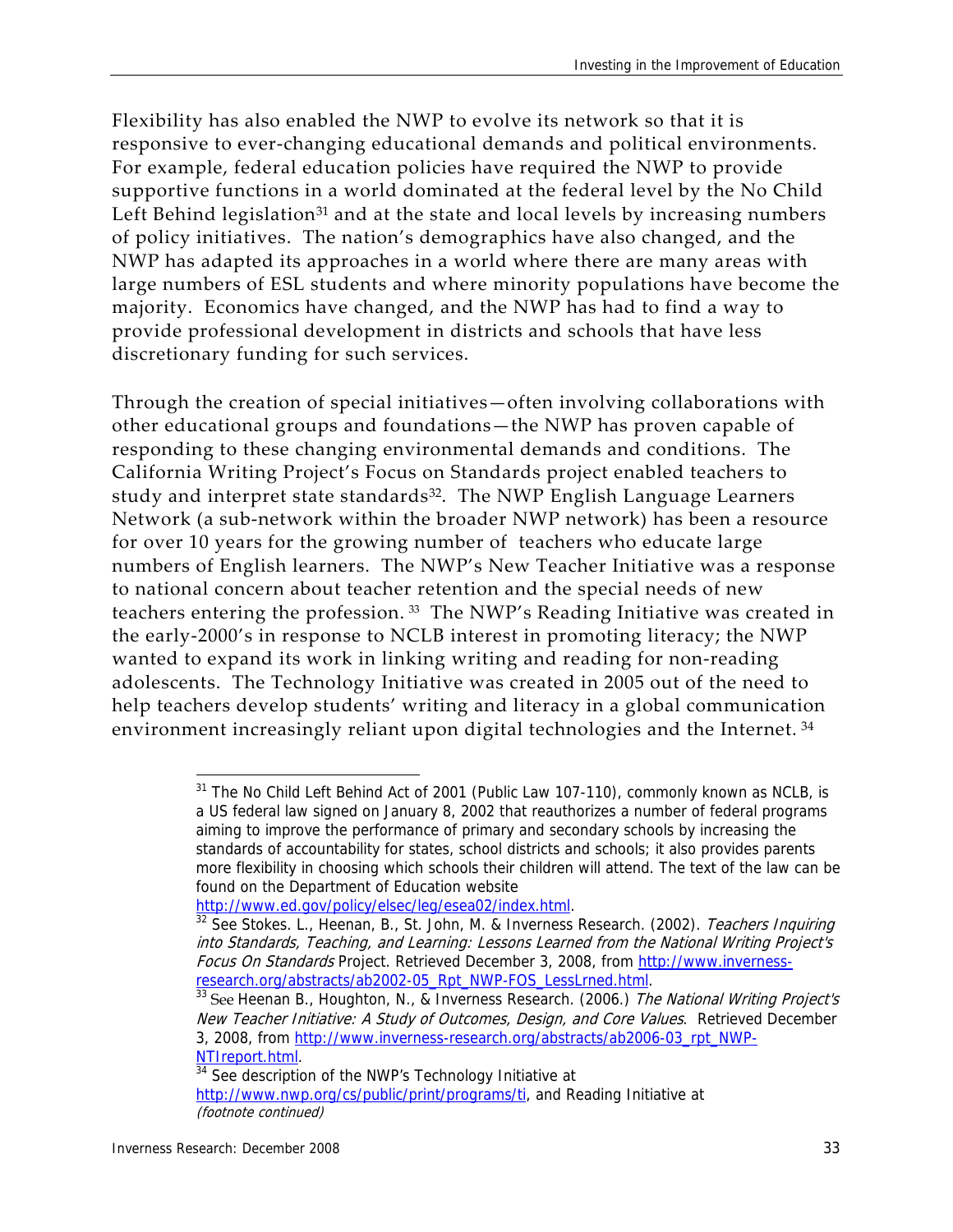Flexibility has also enabled the NWP to evolve its network so that it is responsive to ever-changing educational demands and political environments. For example, federal education policies have required the NWP to provide supportive functions in a world dominated at the federal level by the No Child Left Behind legislation<sup>31</sup> and at the state and local levels by increasing numbers of policy initiatives. The nation's demographics have also changed, and the NWP has adapted its approaches in a world where there are many areas with large numbers of ESL students and where minority populations have become the majority. Economics have changed, and the NWP has had to find a way to provide professional development in districts and schools that have less discretionary funding for such services.

Through the creation of special initiatives—often involving collaborations with other educational groups and foundations—the NWP has proven capable of responding to these changing environmental demands and conditions. The California Writing Project's Focus on Standards project enabled teachers to study and interpret state standards<sup>32</sup>. The NWP English Language Learners Network (a sub‐network within the broader NWP network) has been a resource for over 10 years for the growing number of teachers who educate large numbers of English learners. The NWP's New Teacher Initiative was a response to national concern about teacher retention and the special needs of new teachers entering the profession. <sup>33</sup> The NWP's Reading Initiative was created in the early‐2000's in response to NCLB interest in promoting literacy; the NWP wanted to expand its work in linking writing and reading for non-reading adolescents. The Technology Initiative was created in 2005 out of the need to help teachers develop students' writing and literacy in a global communication environment increasingly reliant upon digital technologies and the Internet.<sup>34</sup>

 $31$  The No Child Left Behind Act of 2001 (Public Law 107-110), commonly known as NCLB, is a US federal law signed on January 8, 2002 that reauthorizes a number of federal programs aiming to improve the performance of primary and secondary schools by increasing the standards of accountability for states, school districts and schools; it also provides parents more flexibility in choosing which schools their children will attend. The text of the law can be found on the Department of Education website

http://www.ed.gov/policy/elsec/leg/esea02/index.html.<br><sup>32</sup> See Stokes. L., Heenan, B., St. John, M. & Inverness Research. (2002). *Teachers Inquiring* into Standards, Teaching, and Learning: Lessons Learned from the National Writing Project's Focus On Standards Project. Retrieved December 3, 2008, from http://www.inverness-

research.org/abstracts/ab2002-05\_Rpt\_NWP-FOS\_LessLrned.html.<br><sup>33</sup> See Heenan B., Houghton, N., & Inverness Research. (2006.) The National Writing Project's New Teacher Initiative: A Study of Outcomes, Design, and Core Values. Retrieved December 3, 2008, from http://www.inverness-research.org/abstracts/ab2006-03\_rpt\_NWP-

NTIreport.html.<br><sup>34</sup> See description of the NWP's Technology Initiative at http://www.nwp.org/cs/public/print/programs/ti, and Reading Initiative at (footnote continued)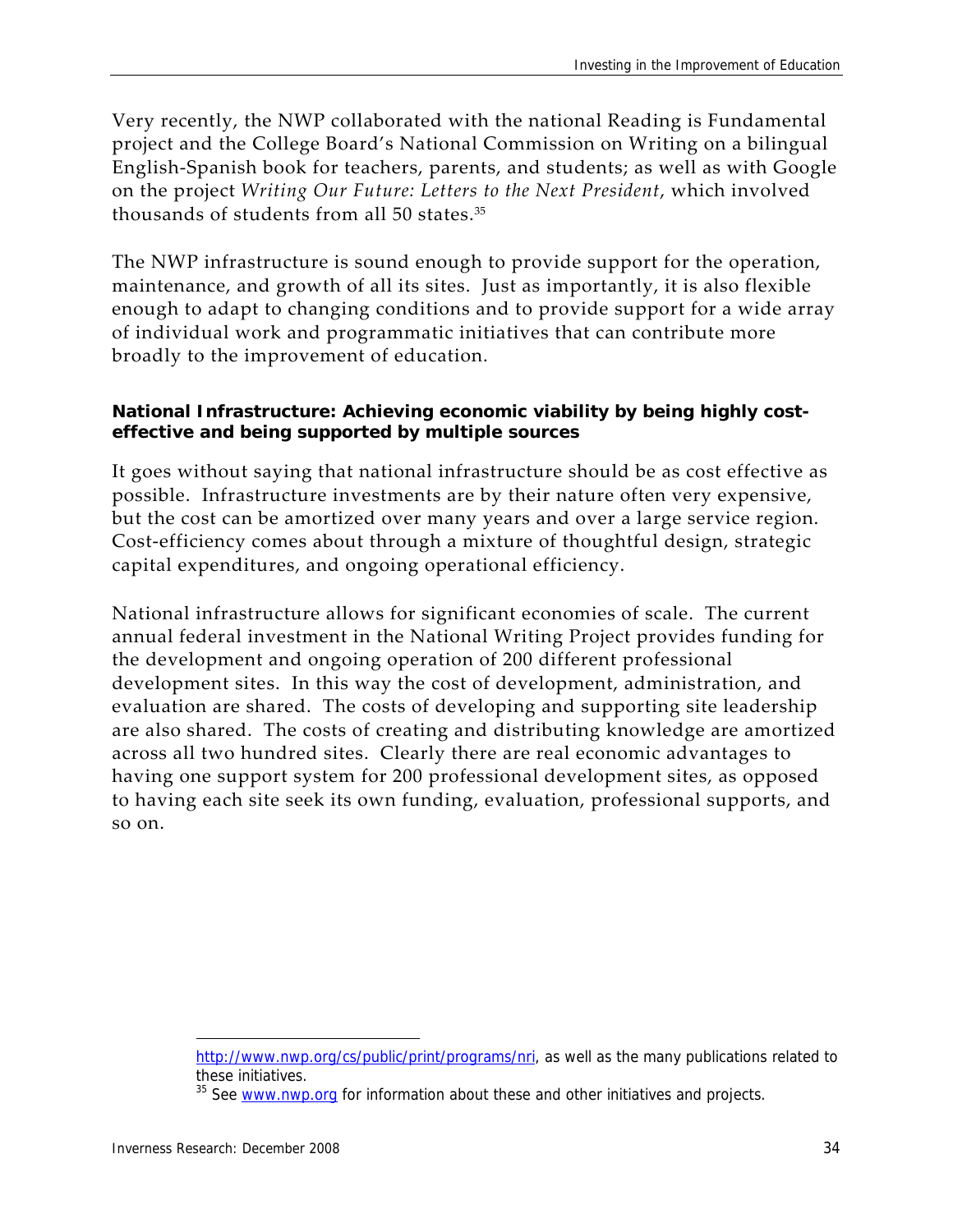Very recently, the NWP collaborated with the national Reading is Fundamental project and the College Board's National Commission on Writing on a bilingual English‐Spanish book for teachers, parents, and students; as well as with Google on the project *Writing Our Future: Letters to the Next President*, which involved thousands of students from all 50 states.35

The NWP infrastructure is sound enough to provide support for the operation, maintenance, and growth of all its sites. Just as importantly, it is also flexible enough to adapt to changing conditions and to provide support for a wide array of individual work and programmatic initiatives that can contribute more broadly to the improvement of education.

#### **National Infrastructure: Achieving economic viability by being highly costeffective and being supported by multiple sources**

It goes without saying that national infrastructure should be as cost effective as possible. Infrastructure investments are by their nature often very expensive, but the cost can be amortized over many years and over a large service region. Cost‐efficiency comes about through a mixture of thoughtful design, strategic capital expenditures, and ongoing operational efficiency.

National infrastructure allows for significant economies of scale. The current annual federal investment in the National Writing Project provides funding for the development and ongoing operation of 200 different professional development sites. In this way the cost of development, administration, and evaluation are shared. The costs of developing and supporting site leadership are also shared. The costs of creating and distributing knowledge are amortized across all two hundred sites. Clearly there are real economic advantages to having one support system for 200 professional development sites, as opposed to having each site seek its own funding, evaluation, professional supports, and so on.

http://www.nwp.org/cs/public/print/programs/nri, as well as the many publications related to these initiatives.

<sup>&</sup>lt;sup>35</sup> See www.nwp.org for information about these and other initiatives and projects.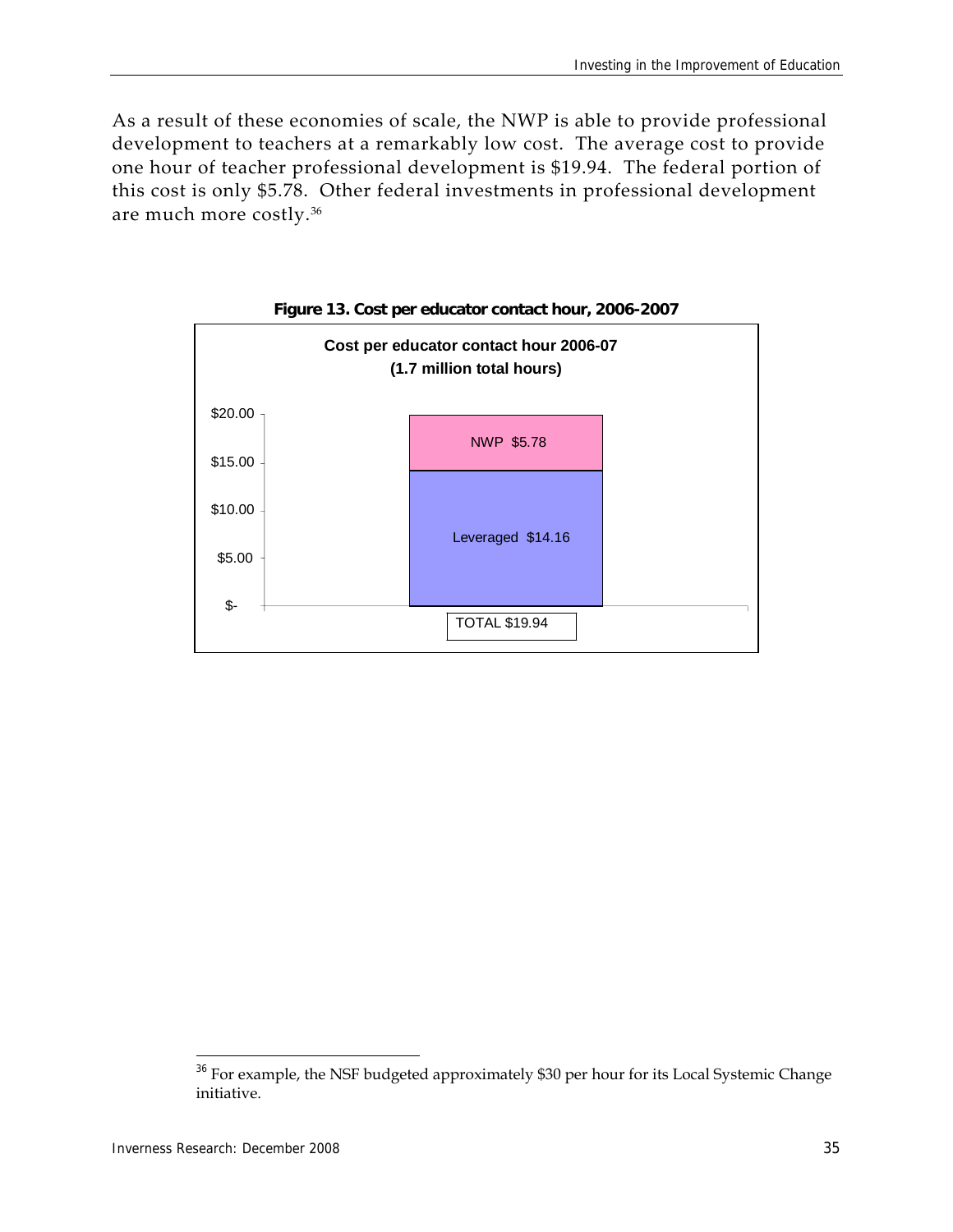As a result of these economies of scale, the NWP is able to provide professional development to teachers at a remarkably low cost. The average cost to provide one hour of teacher professional development is \$19.94. The federal portion of this cost is only \$5.78. Other federal investments in professional development are much more costly.36



**Figure 13. Cost per educator contact hour, 2006-2007** 

 $36$  For example, the NSF budgeted approximately \$30 per hour for its Local Systemic Change initiative.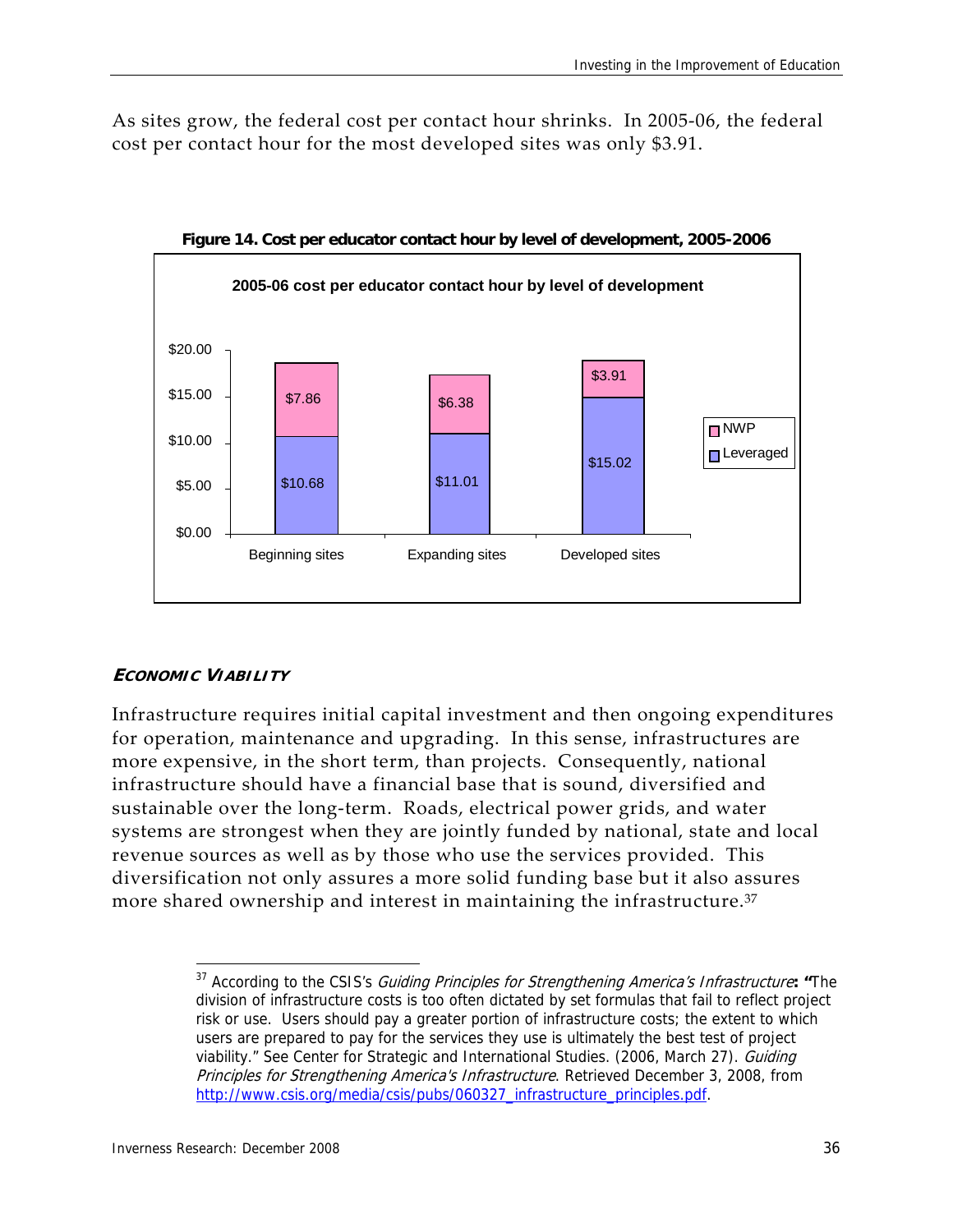As sites grow, the federal cost per contact hour shrinks. In 2005‐06, the federal cost per contact hour for the most developed sites was only \$3.91.



**Figure 14. Cost per educator contact hour by level of development, 2005-2006** 

#### **ECONOMIC VIABILITY**

Infrastructure requires initial capital investment and then ongoing expenditures for operation, maintenance and upgrading. In this sense, infrastructures are more expensive, in the short term, than projects. Consequently, national infrastructure should have a financial base that is sound, diversified and sustainable over the long‐term. Roads, electrical power grids, and water systems are strongest when they are jointly funded by national, state and local revenue sources as well as by those who use the services provided. This diversification not only assures a more solid funding base but it also assures more shared ownership and interest in maintaining the infrastructure.<sup>37</sup>

 37 According to the CSIS's Guiding Principles for Strengthening America's Infrastructure**: "**The division of infrastructure costs is too often dictated by set formulas that fail to reflect project risk or use. Users should pay a greater portion of infrastructure costs; the extent to which users are prepared to pay for the services they use is ultimately the best test of project viability." See Center for Strategic and International Studies. (2006, March 27). Guiding Principles for Strengthening America's Infrastructure. Retrieved December 3, 2008, from http://www.csis.org/media/csis/pubs/060327\_infrastructure\_principles.pdf.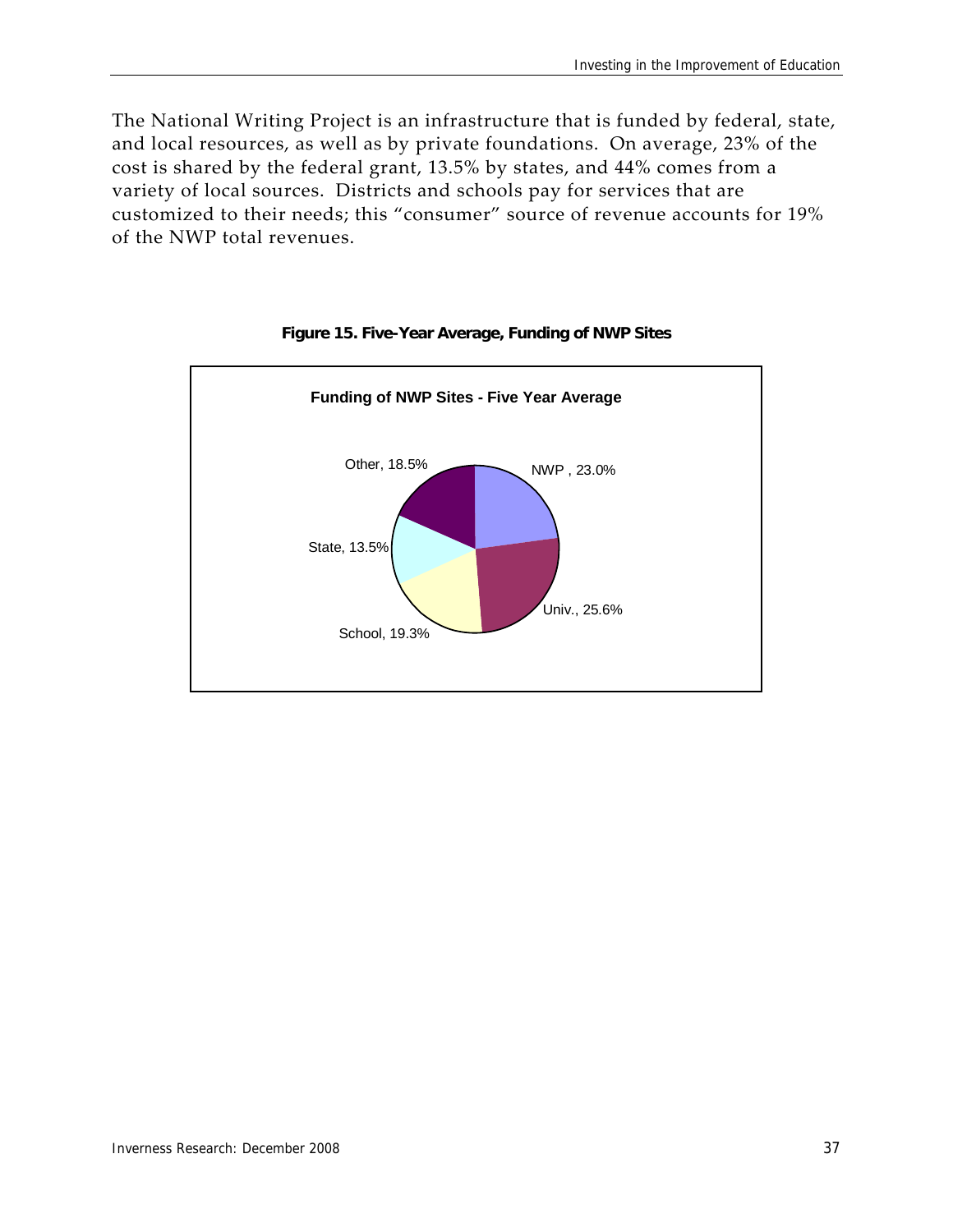The National Writing Project is an infrastructure that is funded by federal, state, and local resources, as well as by private foundations. On average, 23% of the cost is shared by the federal grant, 13.5% by states, and 44% comes from a variety of local sources. Districts and schools pay for services that are customized to their needs; this "consumer" source of revenue accounts for 19% of the NWP total revenues.



#### **Figure 15. Five-Year Average, Funding of NWP Sites**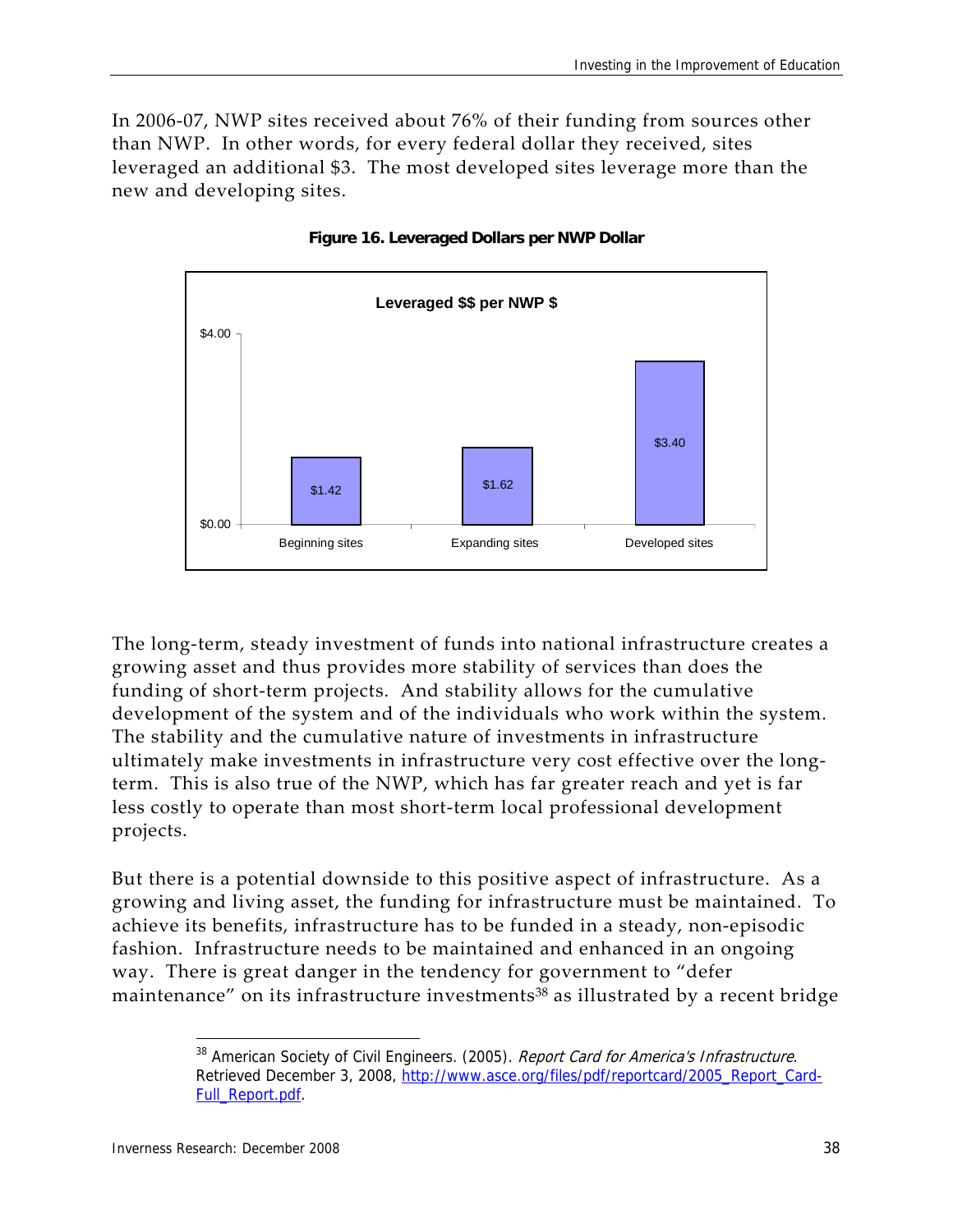In 2006‐07, NWP sites received about 76% of their funding from sources other than NWP. In other words, for every federal dollar they received, sites leveraged an additional \$3. The most developed sites leverage more than the new and developing sites.



**Figure 16. Leveraged Dollars per NWP Dollar** 

The long-term, steady investment of funds into national infrastructure creates a growing asset and thus provides more stability of services than does the funding of short-term projects. And stability allows for the cumulative development of the system and of the individuals who work within the system. The stability and the cumulative nature of investments in infrastructure ultimately make investments in infrastructure very cost effective over the long‐ term. This is also true of the NWP, which has far greater reach and yet is far less costly to operate than most short‐term local professional development projects.

But there is a potential downside to this positive aspect of infrastructure. As a growing and living asset, the funding for infrastructure must be maintained. To achieve its benefits, infrastructure has to be funded in a steady, non‐episodic fashion. Infrastructure needs to be maintained and enhanced in an ongoing way. There is great danger in the tendency for government to "defer maintenance" on its infrastructure investments<sup>38</sup> as illustrated by a recent bridge

<sup>&</sup>lt;sup>38</sup> American Society of Civil Engineers. (2005). Report Card for America's Infrastructure. Retrieved December 3, 2008, http://www.asce.org/files/pdf/reportcard/2005\_Report\_Card-Full\_Report.pdf.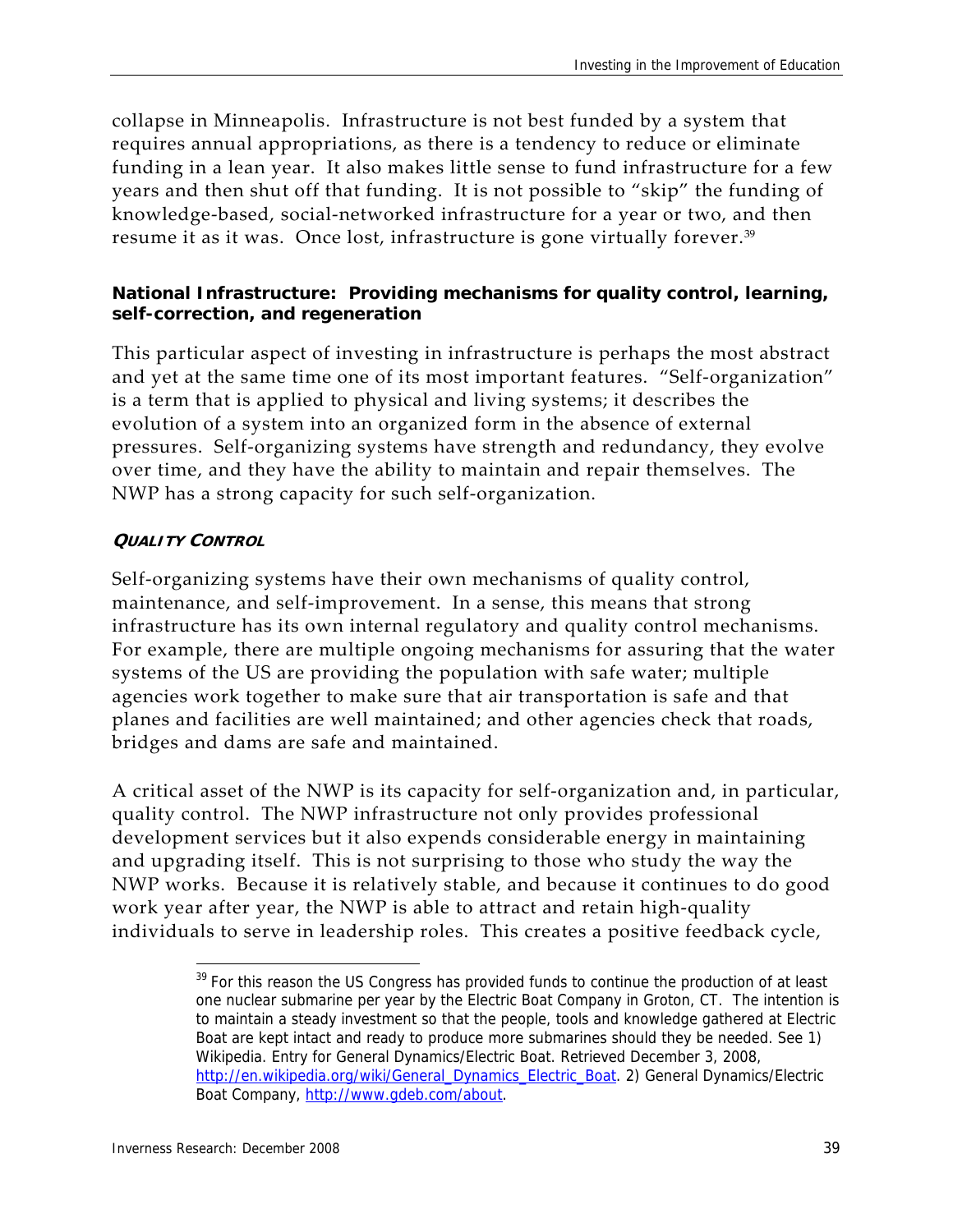collapse in Minneapolis. Infrastructure is not best funded by a system that requires annual appropriations, as there is a tendency to reduce or eliminate funding in a lean year. It also makes little sense to fund infrastructure for a few years and then shut off that funding. It is not possible to "skip" the funding of knowledge‐based, social‐networked infrastructure for a year or two, and then resume it as it was. Once lost, infrastructure is gone virtually forever.<sup>39</sup>

#### **National Infrastructure: Providing mechanisms for quality control, learning, self-correction, and regeneration**

This particular aspect of investing in infrastructure is perhaps the most abstract and yet at the same time one of its most important features. "Self‐organization" is a term that is applied to physical and living systems; it describes the evolution of a system into an organized form in the absence of external pressures. Self‐organizing systems have strength and redundancy, they evolve over time, and they have the ability to maintain and repair themselves. The NWP has a strong capacity for such self‐organization.

#### **QUALITY CONTROL**

Self-organizing systems have their own mechanisms of quality control, maintenance, and self‐improvement. In a sense, this means that strong infrastructure has its own internal regulatory and quality control mechanisms. For example, there are multiple ongoing mechanisms for assuring that the water systems of the US are providing the population with safe water; multiple agencies work together to make sure that air transportation is safe and that planes and facilities are well maintained; and other agencies check that roads, bridges and dams are safe and maintained.

A critical asset of the NWP is its capacity for self‐organization and, in particular, quality control. The NWP infrastructure not only provides professional development services but it also expends considerable energy in maintaining and upgrading itself. This is not surprising to those who study the way the NWP works. Because it is relatively stable, and because it continues to do good work year after year, the NWP is able to attract and retain high-quality individuals to serve in leadership roles. This creates a positive feedback cycle,

 <sup>39</sup> For this reason the US Congress has provided funds to continue the production of at least one nuclear submarine per year by the Electric Boat Company in Groton, CT. The intention is to maintain a steady investment so that the people, tools and knowledge gathered at Electric Boat are kept intact and ready to produce more submarines should they be needed. See 1) Wikipedia. Entry for General Dynamics/Electric Boat. Retrieved December 3, 2008, http://en.wikipedia.org/wiki/General\_Dynamics\_Electric\_Boat. 2) General Dynamics/Electric Boat Company, http://www.gdeb.com/about.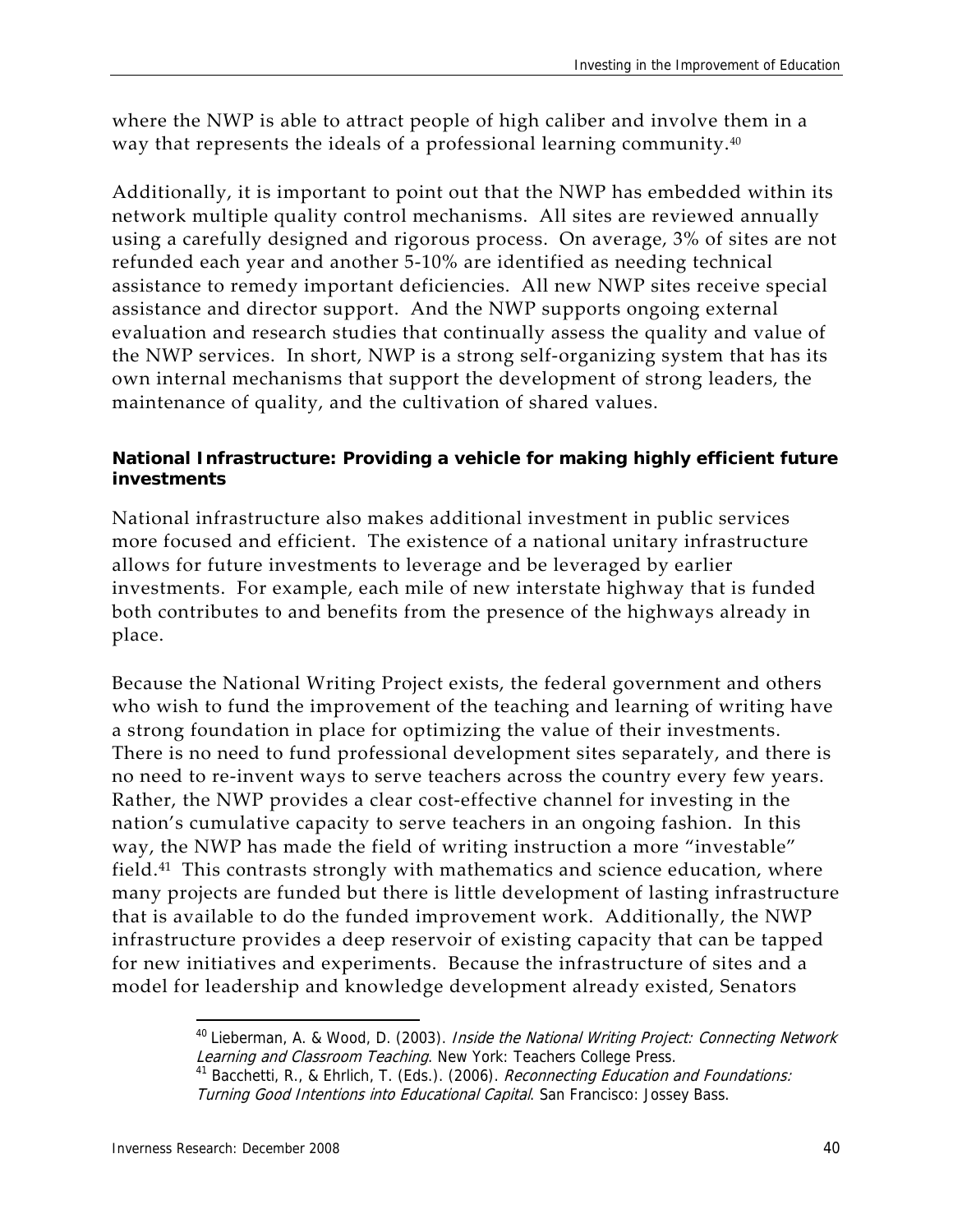where the NWP is able to attract people of high caliber and involve them in a way that represents the ideals of a professional learning community.<sup>40</sup>

Additionally, it is important to point out that the NWP has embedded within its network multiple quality control mechanisms. All sites are reviewed annually using a carefully designed and rigorous process. On average, 3% of sites are not refunded each year and another 5‐10% are identified as needing technical assistance to remedy important deficiencies. All new NWP sites receive special assistance and director support. And the NWP supports ongoing external evaluation and research studies that continually assess the quality and value of the NWP services. In short, NWP is a strong self‐organizing system that has its own internal mechanisms that support the development of strong leaders, the maintenance of quality, and the cultivation of shared values.

#### **National Infrastructure: Providing a vehicle for making highly efficient future investments**

National infrastructure also makes additional investment in public services more focused and efficient. The existence of a national unitary infrastructure allows for future investments to leverage and be leveraged by earlier investments. For example, each mile of new interstate highway that is funded both contributes to and benefits from the presence of the highways already in place.

Because the National Writing Project exists, the federal government and others who wish to fund the improvement of the teaching and learning of writing have a strong foundation in place for optimizing the value of their investments. There is no need to fund professional development sites separately, and there is no need to re‐invent ways to serve teachers across the country every few years. Rather, the NWP provides a clear cost-effective channel for investing in the nation's cumulative capacity to serve teachers in an ongoing fashion. In this way, the NWP has made the field of writing instruction a more "investable" field.<sup>41</sup> This contrasts strongly with mathematics and science education, where many projects are funded but there is little development of lasting infrastructure that is available to do the funded improvement work. Additionally, the NWP infrastructure provides a deep reservoir of existing capacity that can be tapped for new initiatives and experiments. Because the infrastructure of sites and a model for leadership and knowledge development already existed, Senators

 $40$  Lieberman, A. & Wood, D. (2003). Inside the National Writing Project: Connecting Network Learning and Classroom Teaching. New York: Teachers College Press.

<sup>41</sup> Bacchetti, R., & Ehrlich, T. (Eds.). (2006). Reconnecting Education and Foundations: Turning Good Intentions into Educational Capital. San Francisco: Jossey Bass.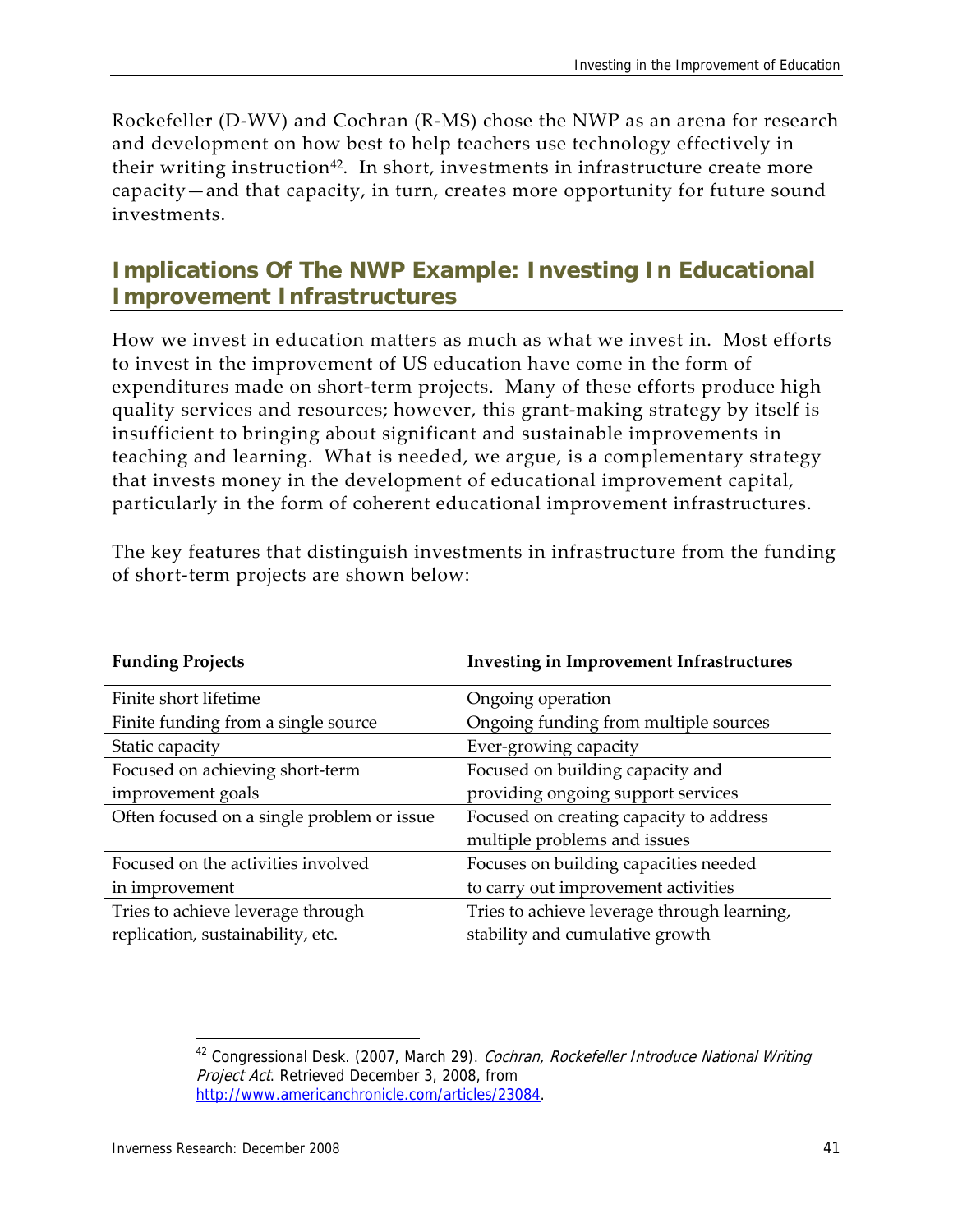Rockefeller (D‐WV) and Cochran (R‐MS) chose the NWP as an arena for research and development on how best to help teachers use technology effectively in their writing instruction<sup>42</sup>. In short, investments in infrastructure create more capacity—and that capacity, in turn, creates more opportunity for future sound investments.

## **Implications Of The NWP Example: Investing In Educational Improvement Infrastructures**

How we invest in education matters as much as what we invest in. Most efforts to invest in the improvement of US education have come in the form of expenditures made on short-term projects. Many of these efforts produce high quality services and resources; however, this grant‐making strategy by itself is insufficient to bringing about significant and sustainable improvements in teaching and learning. What is needed, we argue, is a complementary strategy that invests money in the development of educational improvement capital, particularly in the form of coherent educational improvement infrastructures.

The key features that distinguish investments in infrastructure from the funding of short‐term projects are shown below:

| <b>Investing in Improvement Infrastructures</b> |
|-------------------------------------------------|
| Ongoing operation                               |
| Ongoing funding from multiple sources           |
| Ever-growing capacity                           |
| Focused on building capacity and                |
| providing ongoing support services              |
| Focused on creating capacity to address         |
| multiple problems and issues                    |
| Focuses on building capacities needed           |
| to carry out improvement activities             |
| Tries to achieve leverage through learning,     |
| stability and cumulative growth                 |
|                                                 |

<sup>&</sup>lt;sup>42</sup> Congressional Desk. (2007, March 29). Cochran, Rockefeller Introduce National Writing Project Act. Retrieved December 3, 2008, from http://www.americanchronicle.com/articles/23084.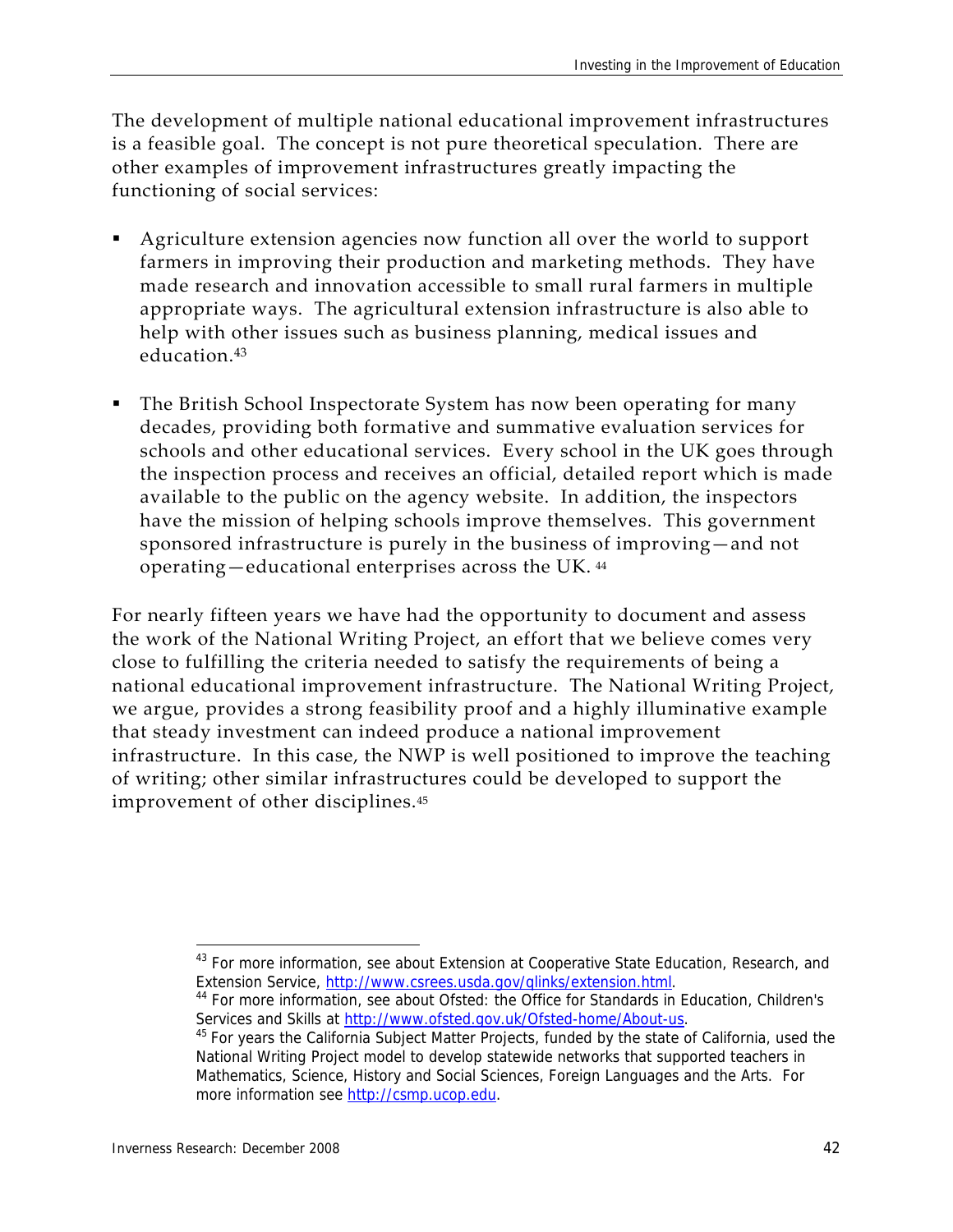The development of multiple national educational improvement infrastructures is a feasible goal. The concept is not pure theoretical speculation. There are other examples of improvement infrastructures greatly impacting the functioning of social services:

- Agriculture extension agencies now function all over the world to support farmers in improving their production and marketing methods. They have made research and innovation accessible to small rural farmers in multiple appropriate ways. The agricultural extension infrastructure is also able to help with other issues such as business planning, medical issues and education.<sup>43</sup>
- The British School Inspectorate System has now been operating for many decades, providing both formative and summative evaluation services for schools and other educational services. Every school in the UK goes through the inspection process and receives an official, detailed report which is made available to the public on the agency website. In addition, the inspectors have the mission of helping schools improve themselves. This government sponsored infrastructure is purely in the business of improving—and not operating—educational enterprises across the UK. 44

For nearly fifteen years we have had the opportunity to document and assess the work of the National Writing Project, an effort that we believe comes very close to fulfilling the criteria needed to satisfy the requirements of being a national educational improvement infrastructure. The National Writing Project, we argue, provides a strong feasibility proof and a highly illuminative example that steady investment can indeed produce a national improvement infrastructure. In this case, the NWP is well positioned to improve the teaching of writing; other similar infrastructures could be developed to support the improvement of other disciplines.<sup>45</sup>

Extension Service, http://www.csrees.usda.gov/qlinks/extension.html.<br><sup>44</sup> For more information, see about Ofsted: the Office for Standards in Education, Children's Services and Skills at *http://www.ofsted.gov.uk/Ofsted-home/About-us*.<br><sup>45</sup> For years the California Subject Matter Projects, funded by the state of California, used the

<sup>-</sup><sup>43</sup> For more information, see about Extension at Cooperative State Education, Research, and

National Writing Project model to develop statewide networks that supported teachers in Mathematics, Science, History and Social Sciences, Foreign Languages and the Arts. For more information see http://csmp.ucop.edu.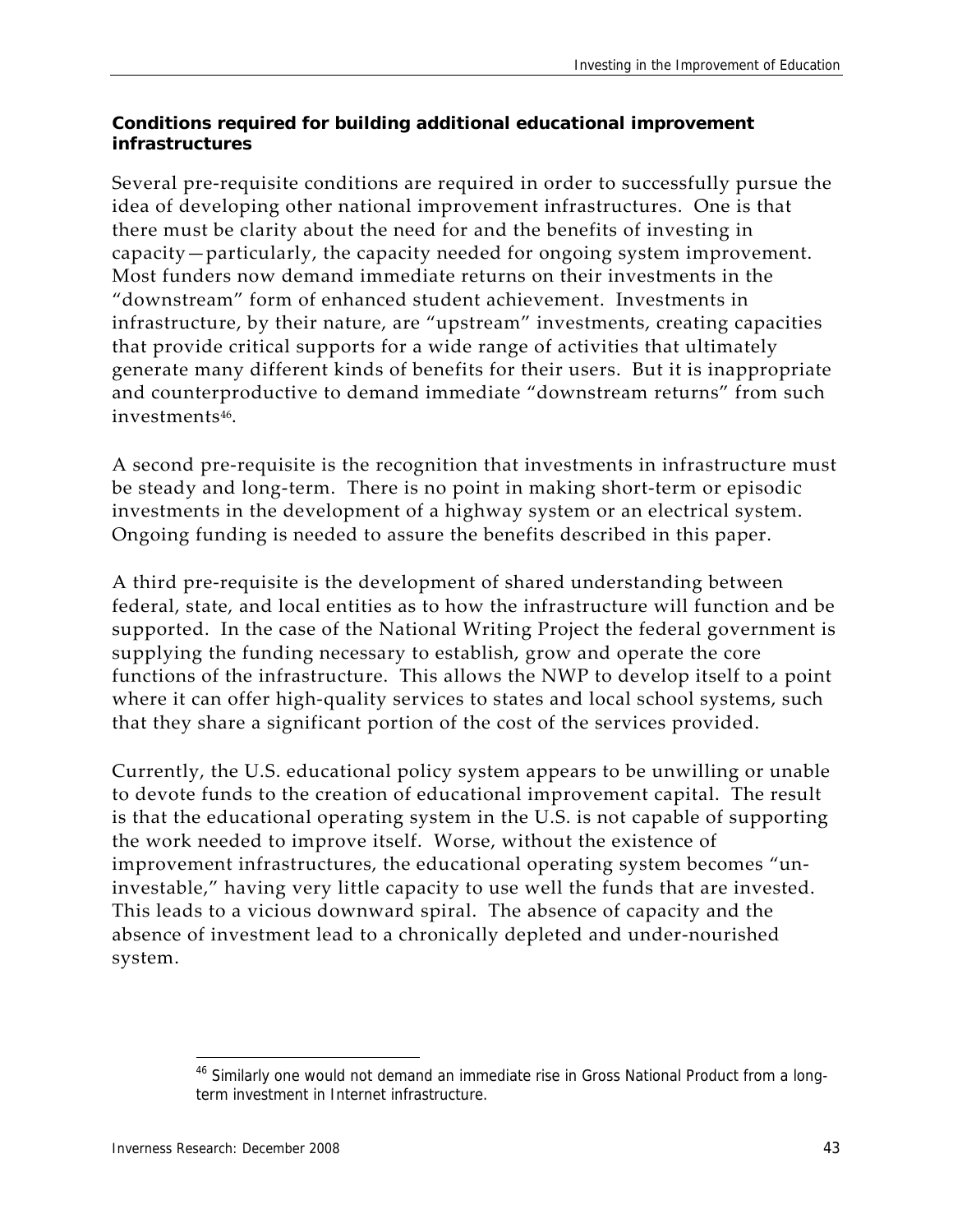#### **Conditions required for building additional educational improvement infrastructures**

Several pre‐requisite conditions are required in order to successfully pursue the idea of developing other national improvement infrastructures. One is that there must be clarity about the need for and the benefits of investing in capacity—particularly, the capacity needed for ongoing system improvement. Most funders now demand immediate returns on their investments in the "downstream" form of enhanced student achievement. Investments in infrastructure, by their nature, are "upstream" investments, creating capacities that provide critical supports for a wide range of activities that ultimately generate many different kinds of benefits for their users. But it is inappropriate and counterproductive to demand immediate "downstream returns" from such investments46.

A second pre‐requisite is the recognition that investments in infrastructure must be steady and long‐term. There is no point in making short‐term or episodic investments in the development of a highway system or an electrical system. Ongoing funding is needed to assure the benefits described in this paper.

A third pre‐requisite is the development of shared understanding between federal, state, and local entities as to how the infrastructure will function and be supported. In the case of the National Writing Project the federal government is supplying the funding necessary to establish, grow and operate the core functions of the infrastructure. This allows the NWP to develop itself to a point where it can offer high-quality services to states and local school systems, such that they share a significant portion of the cost of the services provided.

Currently, the U.S. educational policy system appears to be unwilling or unable to devote funds to the creation of educational improvement capital. The result is that the educational operating system in the U.S. is not capable of supporting the work needed to improve itself. Worse, without the existence of improvement infrastructures, the educational operating system becomes "uninvestable," having very little capacity to use well the funds that are invested. This leads to a vicious downward spiral. The absence of capacity and the absence of investment lead to a chronically depleted and under‐nourished system.

<sup>&</sup>lt;sup>46</sup> Similarly one would not demand an immediate rise in Gross National Product from a longterm investment in Internet infrastructure.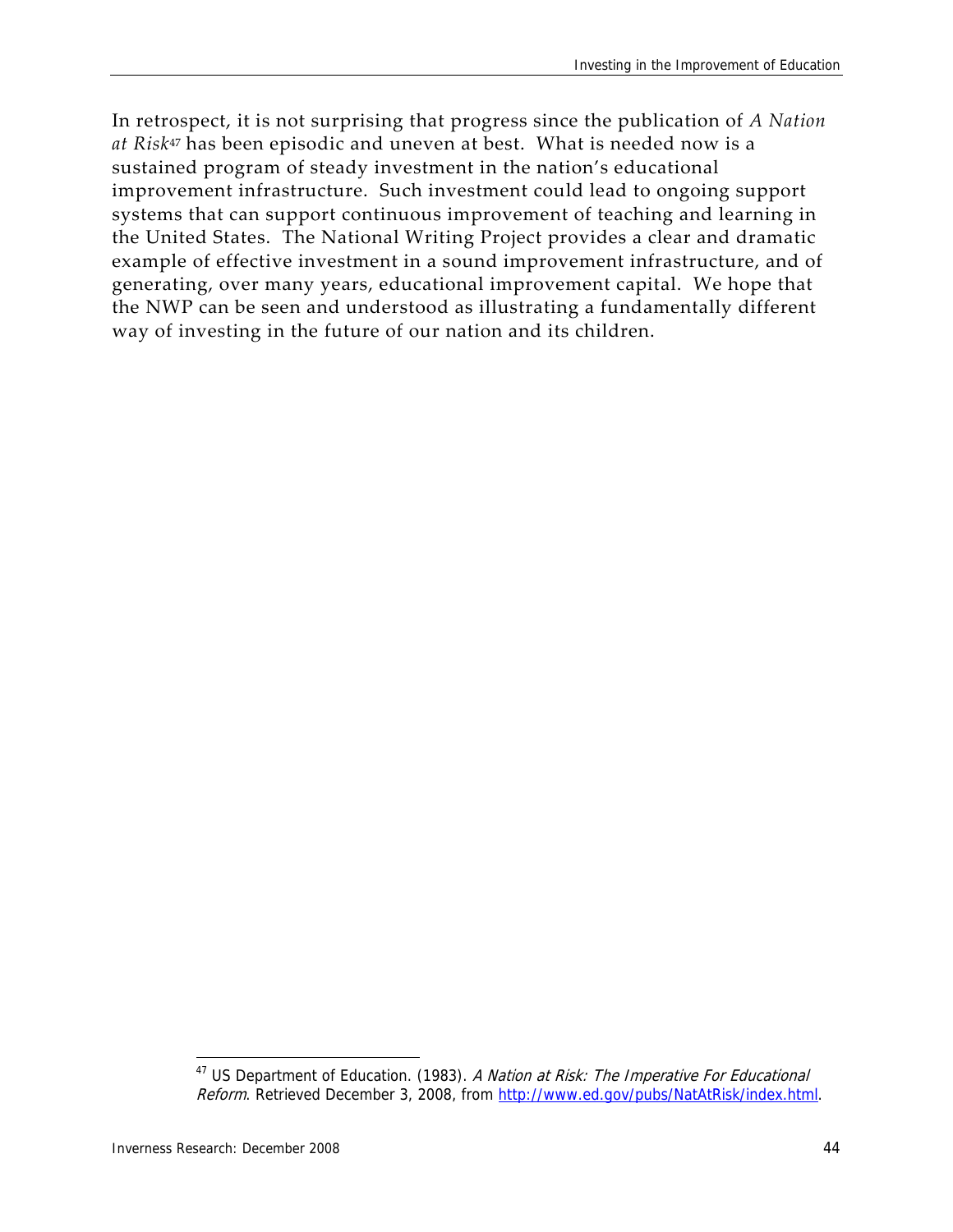In retrospect, it is not surprising that progress since the publication of *A Nation at Risk*<sup>47</sup> has been episodic and uneven at best. What is needed now is a sustained program of steady investment in the nation's educational improvement infrastructure. Such investment could lead to ongoing support systems that can support continuous improvement of teaching and learning in the United States. The National Writing Project provides a clear and dramatic example of effective investment in a sound improvement infrastructure, and of generating, over many years, educational improvement capital. We hope that the NWP can be seen and understood as illustrating a fundamentally different way of investing in the future of our nation and its children.

 $47$  US Department of Education. (1983). A Nation at Risk: The Imperative For Educational Reform. Retrieved December 3, 2008, from http://www.ed.gov/pubs/NatAtRisk/index.html.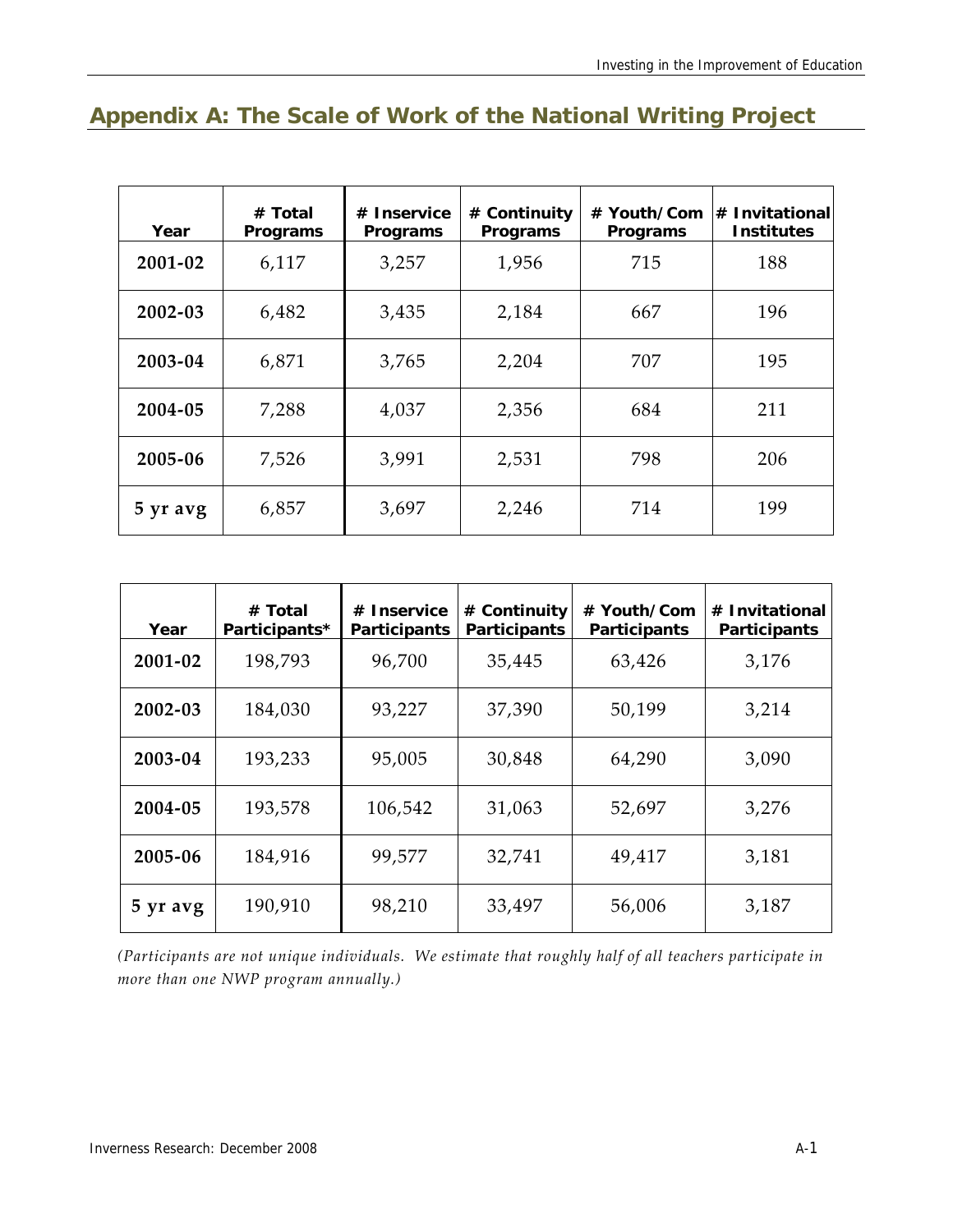## **Appendix A: The Scale of Work of the National Writing Project**

| Year     | # Total<br>Programs | # Inservice<br>Programs | # Continuity<br>Programs | # Youth/Com<br>Programs | # Invitational<br><b>Institutes</b> |  |
|----------|---------------------|-------------------------|--------------------------|-------------------------|-------------------------------------|--|
| 2001-02  | 6,117               | 3,257                   | 1,956                    | 715                     | 188                                 |  |
| 2002-03  | 6,482               | 3,435                   | 2,184                    | 667                     | 196                                 |  |
| 2003-04  | 6,871               | 3,765                   | 2,204                    | 707                     | 195                                 |  |
| 2004-05  | 7,288               | 4,037                   | 2,356                    | 684                     | 211                                 |  |
| 2005-06  | 7,526               | 3,991                   | 2,531                    | 798                     | 206                                 |  |
| 5 yr avg | 6,857               | 3,697                   | 2,246                    | 714                     | 199                                 |  |

| Year     | # Total<br>Participants* | # Inservice<br><b>Participants</b> | # Continuity<br><b>Participants</b> | # Youth/Com<br><b>Participants</b> | # Invitational<br>Participants |  |
|----------|--------------------------|------------------------------------|-------------------------------------|------------------------------------|--------------------------------|--|
| 2001-02  | 198,793                  | 96,700                             | 35,445                              | 63,426                             | 3,176                          |  |
| 2002-03  | 184,030                  | 93,227                             | 37,390                              | 50,199                             | 3,214                          |  |
| 2003-04  | 193,233                  | 95,005                             | 30,848                              | 64,290                             | 3,090                          |  |
| 2004-05  | 193,578                  | 106,542                            | 31,063                              | 52,697                             | 3,276                          |  |
| 2005-06  | 184,916                  | 99,577                             | 32,741<br>49,417                    |                                    | 3,181                          |  |
| 5 yr avg | 190,910                  | 98,210                             | 33,497                              | 56,006                             | 3,187                          |  |

*(Participants are not unique individuals. We estimate that roughly half of all teachers participate in more than one NWP program annually.)*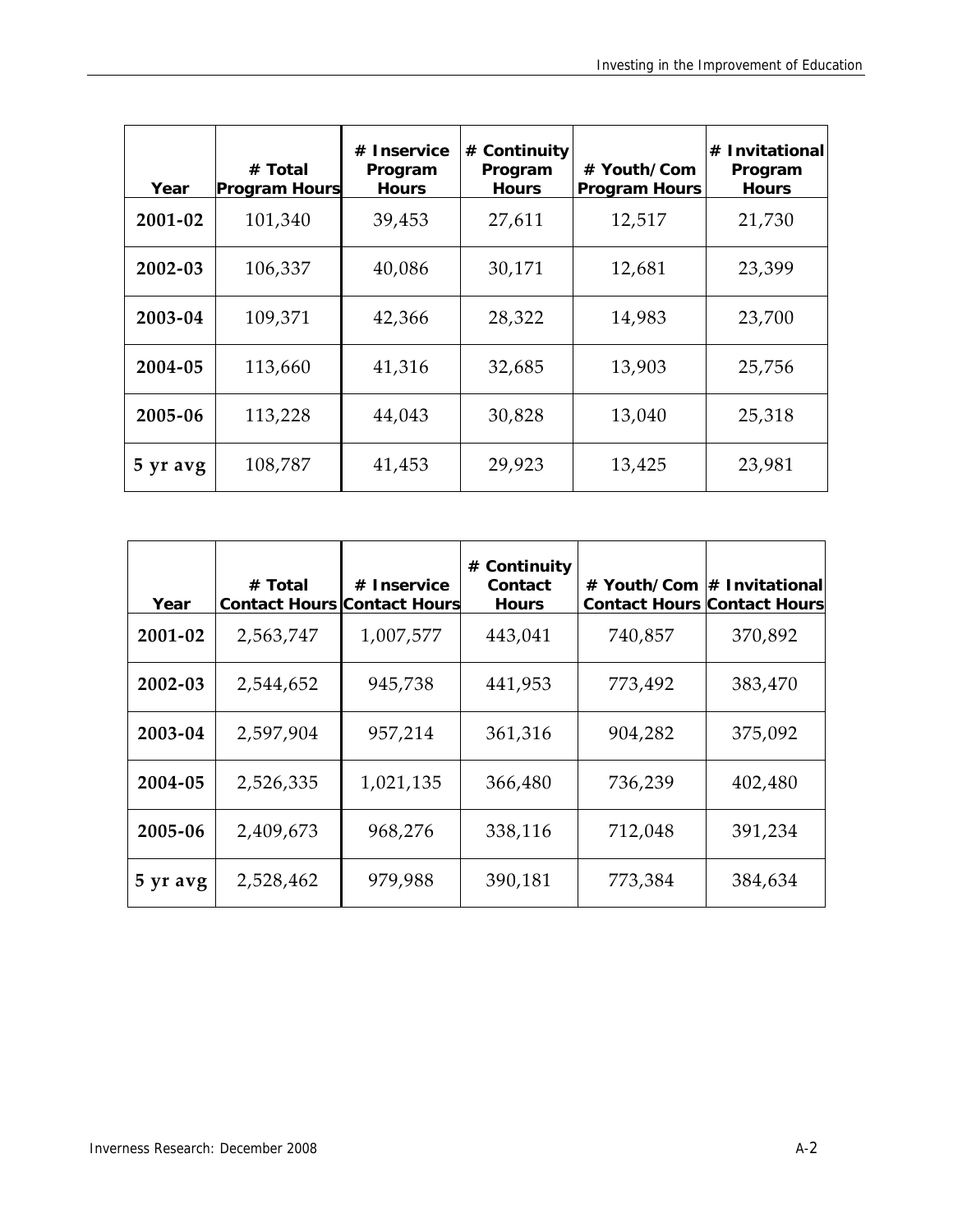| Year     | # Total<br><b>Program Hours</b> | # Inservice<br>Program<br><b>Hours</b> | # Continuity<br>Program<br><b>Hours</b> | # Youth/Com<br><b>Program Hours</b> | <b>Invitational</b><br>#<br>Program<br><b>Hours</b> |
|----------|---------------------------------|----------------------------------------|-----------------------------------------|-------------------------------------|-----------------------------------------------------|
| 2001-02  | 101,340                         | 39,453                                 | 27,611                                  | 12,517                              | 21,730                                              |
| 2002-03  | 106,337                         | 40,086                                 | 30,171                                  | 12,681                              | 23,399                                              |
| 2003-04  | 109,371                         | 42,366                                 | 28,322                                  | 14,983                              | 23,700                                              |
| 2004-05  | 113,660                         | 41,316                                 | 32,685                                  | 13,903                              | 25,756                                              |
| 2005-06  | 113,228                         | 44,043                                 | 30,828                                  | 13,040                              | 25,318                                              |
| 5 yr avg | 108,787                         | 41,453                                 | 29,923                                  | 13,425                              | 23,981                                              |

| Year     | # Total<br><b>Contact Hours Contact Hours</b> | # Inservice | # Continuity<br>Contact<br><b>Hours</b> | # Youth/Com<br><b>Contact Hours Contact Hours</b> | $#$ Invitational |
|----------|-----------------------------------------------|-------------|-----------------------------------------|---------------------------------------------------|------------------|
| 2001-02  | 2,563,747                                     | 1,007,577   | 443,041                                 | 740,857                                           | 370,892          |
| 2002-03  | 2,544,652                                     | 945,738     | 441,953                                 | 773,492                                           | 383,470          |
| 2003-04  | 2,597,904                                     | 957,214     | 361,316                                 | 904,282                                           | 375,092          |
| 2004-05  | 2,526,335                                     | 1,021,135   | 366,480                                 | 736,239                                           | 402,480          |
| 2005-06  | 2,409,673                                     | 968,276     | 338,116                                 | 712,048                                           | 391,234          |
| 5 yr avg | 2,528,462                                     | 979,988     | 390,181                                 | 773,384                                           | 384,634          |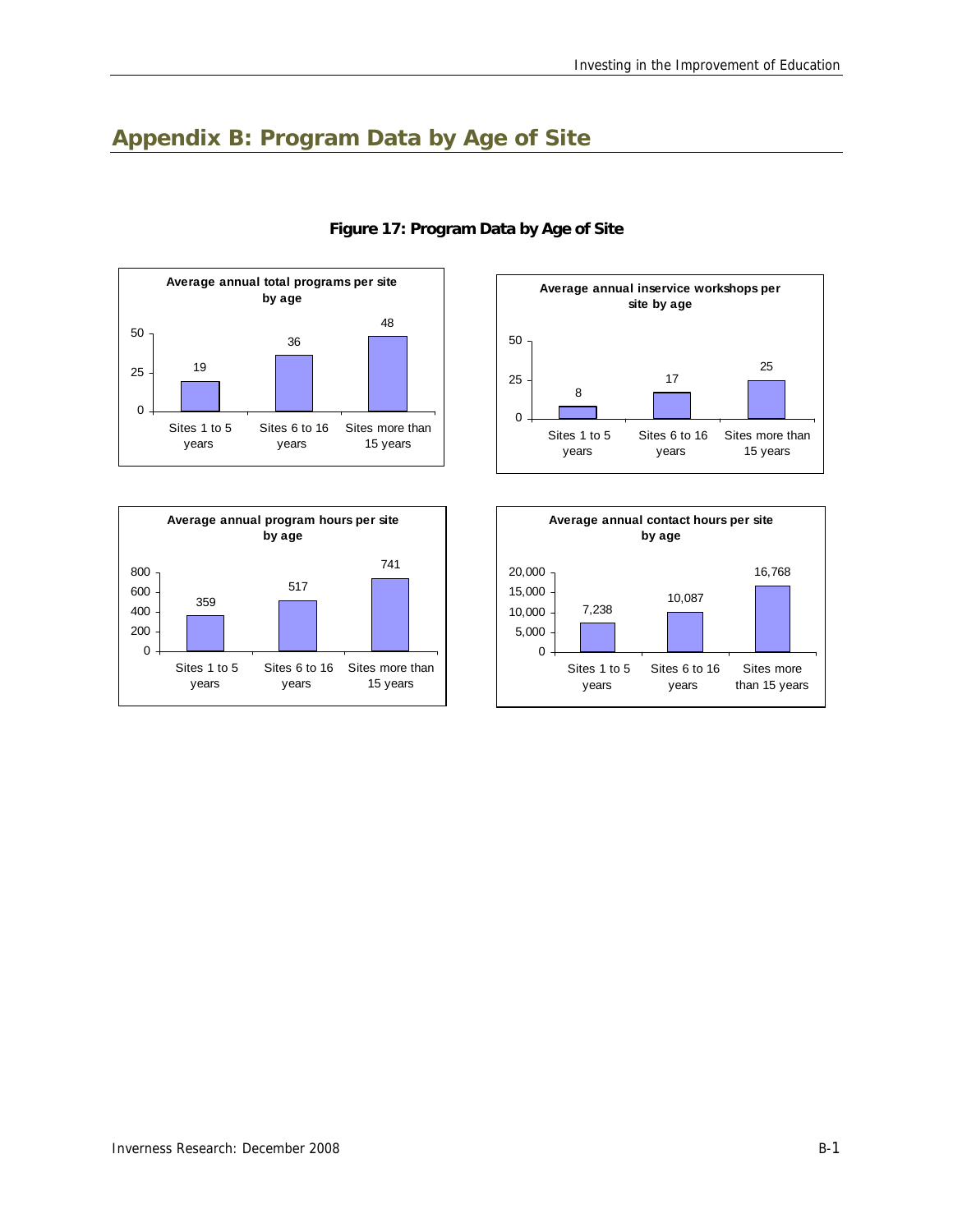## **Appendix B: Program Data by Age of Site**





#### **Figure 17: Program Data by Age of Site**



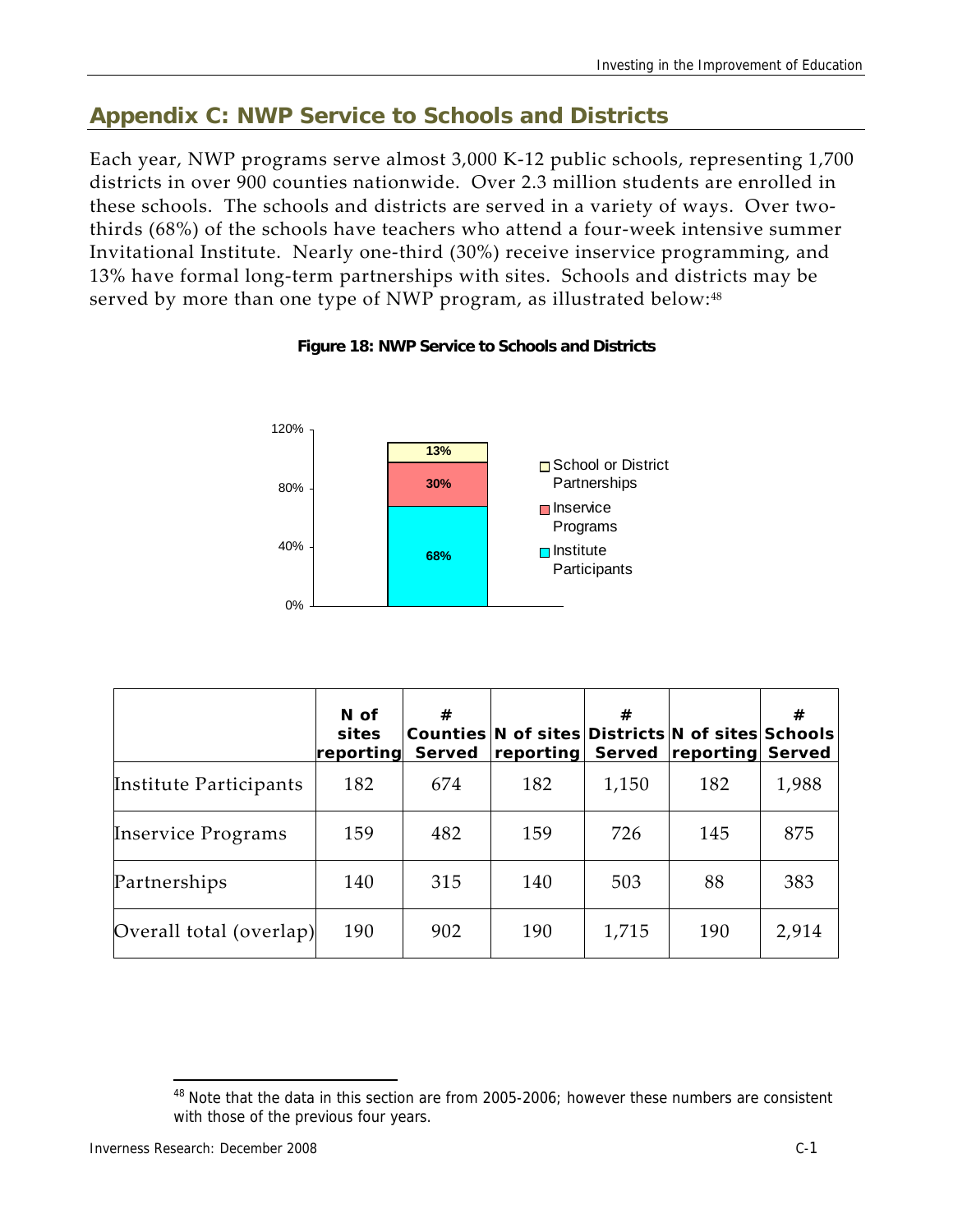## **Appendix C: NWP Service to Schools and Districts**

Each year, NWP programs serve almost 3,000 K‐12 public schools, representing 1,700 districts in over 900 counties nationwide. Over 2.3 million students are enrolled in these schools. The schools and districts are served in a variety of ways. Over two‐ thirds (68%) of the schools have teachers who attend a four‐week intensive summer Invitational Institute. Nearly one‐third (30%) receive inservice programming, and 13% have formal long‐term partnerships with sites. Schools and districts may be served by more than one type of NWP program, as illustrated below:<sup>48</sup>





|                           | $N$ of<br>sites<br>reporting | #<br><b>Served</b> | Counties N of sites Districts N of sites Schools<br>reporting | #<br>Served | <b>reporting Served</b> | #     |
|---------------------------|------------------------------|--------------------|---------------------------------------------------------------|-------------|-------------------------|-------|
| Institute Participants    | 182                          | 674                | 182                                                           | 1,150       | 182                     | 1,988 |
| <b>Inservice Programs</b> | 159                          | 482                | 159                                                           | 726         | 145                     | 875   |
| Partnerships              | 140                          | 315                | 140                                                           | 503         | 88                      | 383   |
| Overall total (overlap)   | 190                          | 902                | 190                                                           | 1,715       | 190                     | 2,914 |

<sup>-</sup> $48$  Note that the data in this section are from 2005-2006; however these numbers are consistent with those of the previous four years.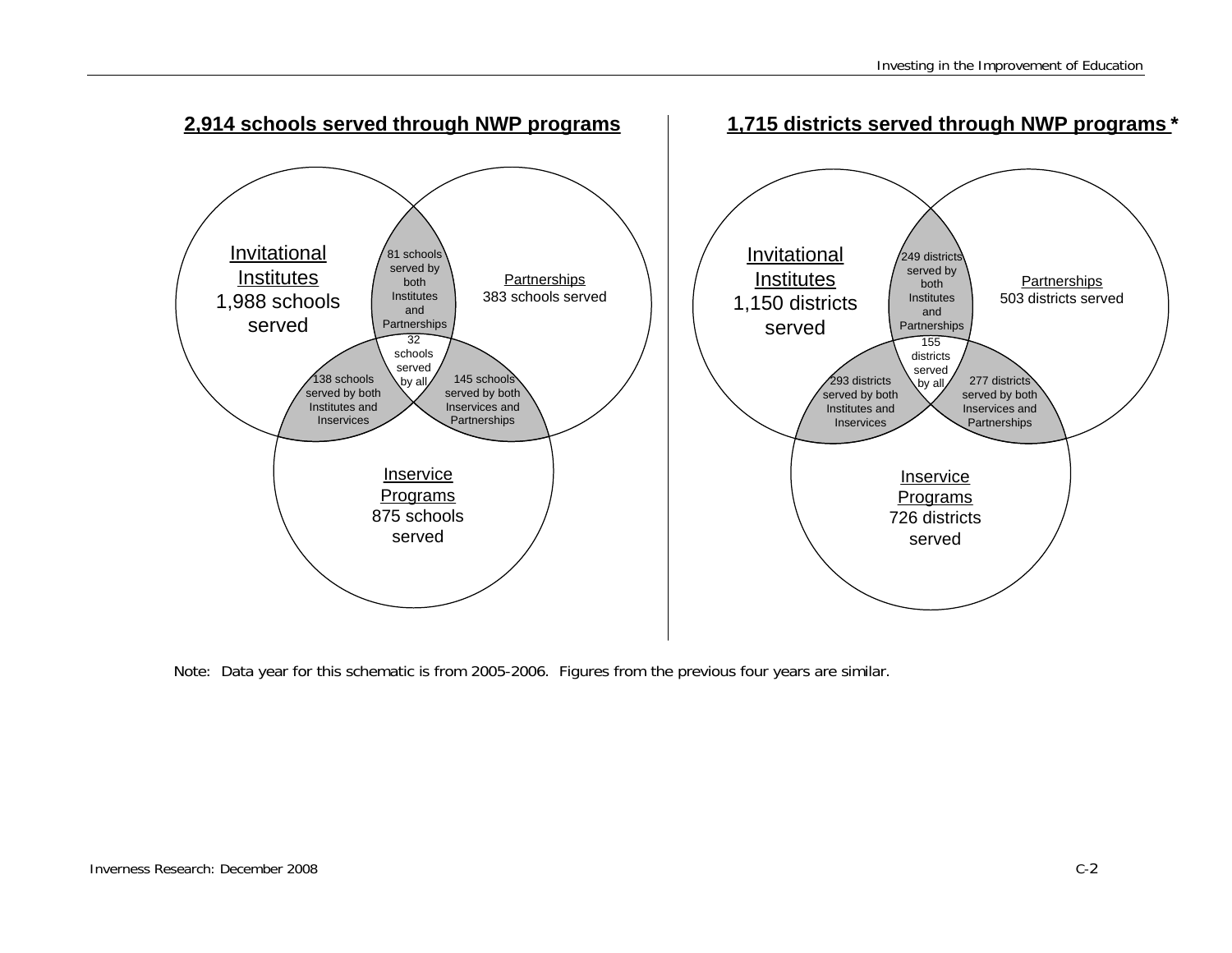

Note: Data year for this schematic is from 2005-2006. Figures from the previous four years are similar.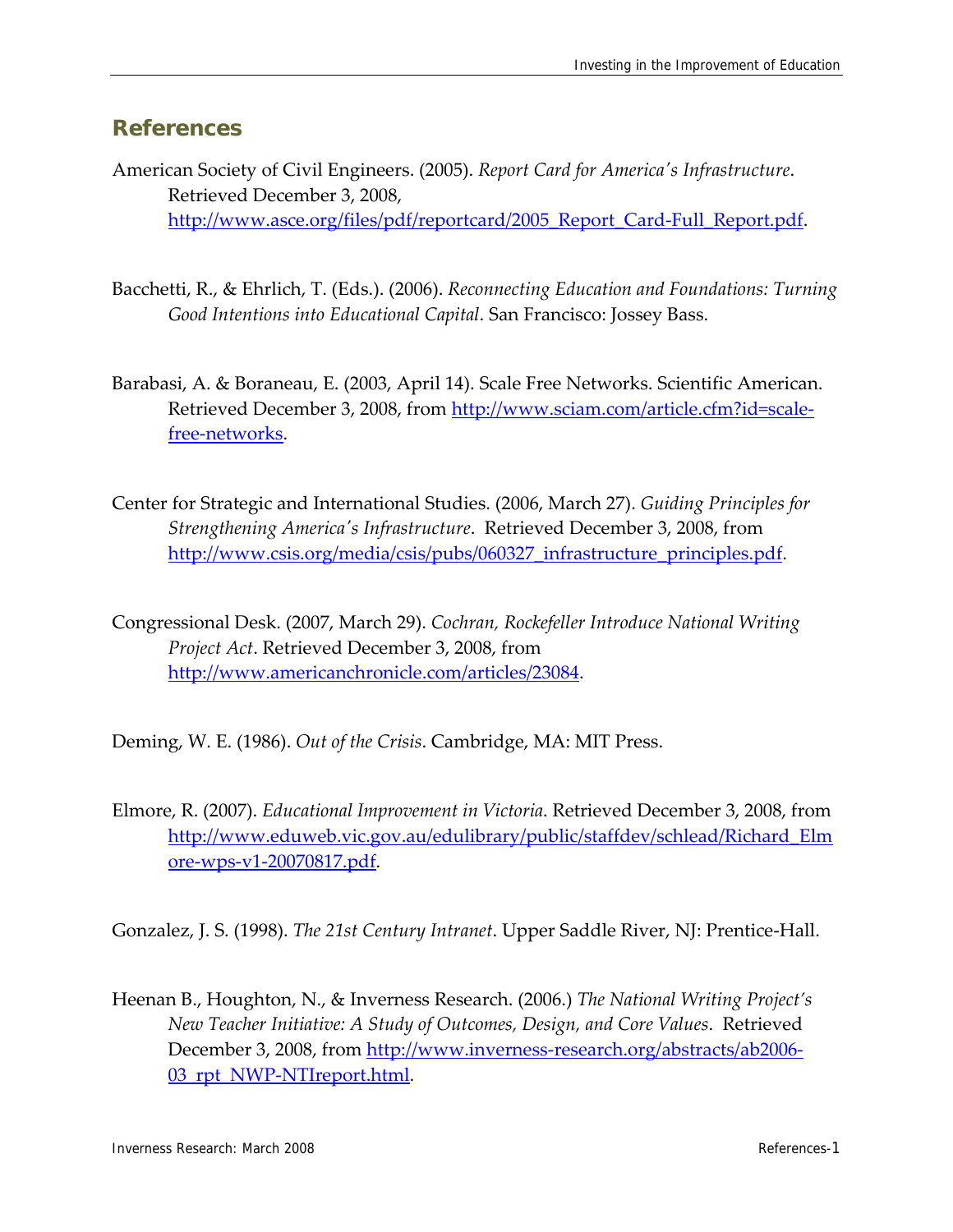### **References**

- American Society of Civil Engineers. (2005). *Report Card for Americaʹs Infrastructure*. Retrieved December 3, 2008, http://www.asce.org/files/pdf/reportcard/2005 Report Card-Full Report.pdf.
- Bacchetti, R., & Ehrlich, T. (Eds.). (2006). *Reconnecting Education and Foundations: Turning Good Intentions into Educational Capital*. San Francisco: Jossey Bass.
- Barabasi, A. & Boraneau, E. (2003, April 14). Scale Free Networks. Scientific American. Retrieved December 3, 2008, from http://www.sciam.com/article.cfm?id=scalefree‐networks.
- Center for Strategic and International Studies. (2006, March 27). *Guiding Principles for Strengthening Americaʹs Infrastructure*. Retrieved December 3, 2008, from http://www.csis.org/media/csis/pubs/060327 infrastructure principles.pdf.
- Congressional Desk. (2007, March 29). *Cochran, Rockefeller Introduce National Writing Project Act*. Retrieved December 3, 2008, from http://www.americanchronicle.com/articles/23084.

Deming, W. E. (1986). *Out of the Crisis*. Cambridge, MA: MIT Press.

Elmore, R. (2007). *Educational Improvement in Victoria*. Retrieved December 3, 2008, from http://www.eduweb.vic.gov.au/edulibrary/public/staffdev/schlead/Richard\_Elm ore‐wps‐v1‐20070817.pdf.

Gonzalez, J. S. (1998). *The 21st Century Intranet*. Upper Saddle River, NJ: Prentice‐Hall.

Heenan B., Houghton, N., & Inverness Research. (2006.) *The National Writing Project's New Teacher Initiative: A Study of Outcomes, Design, and Core Values*. Retrieved December 3, 2008, from http://www.inverness-research.org/abstracts/ab2006-03 rpt NWP-NTIreport.html.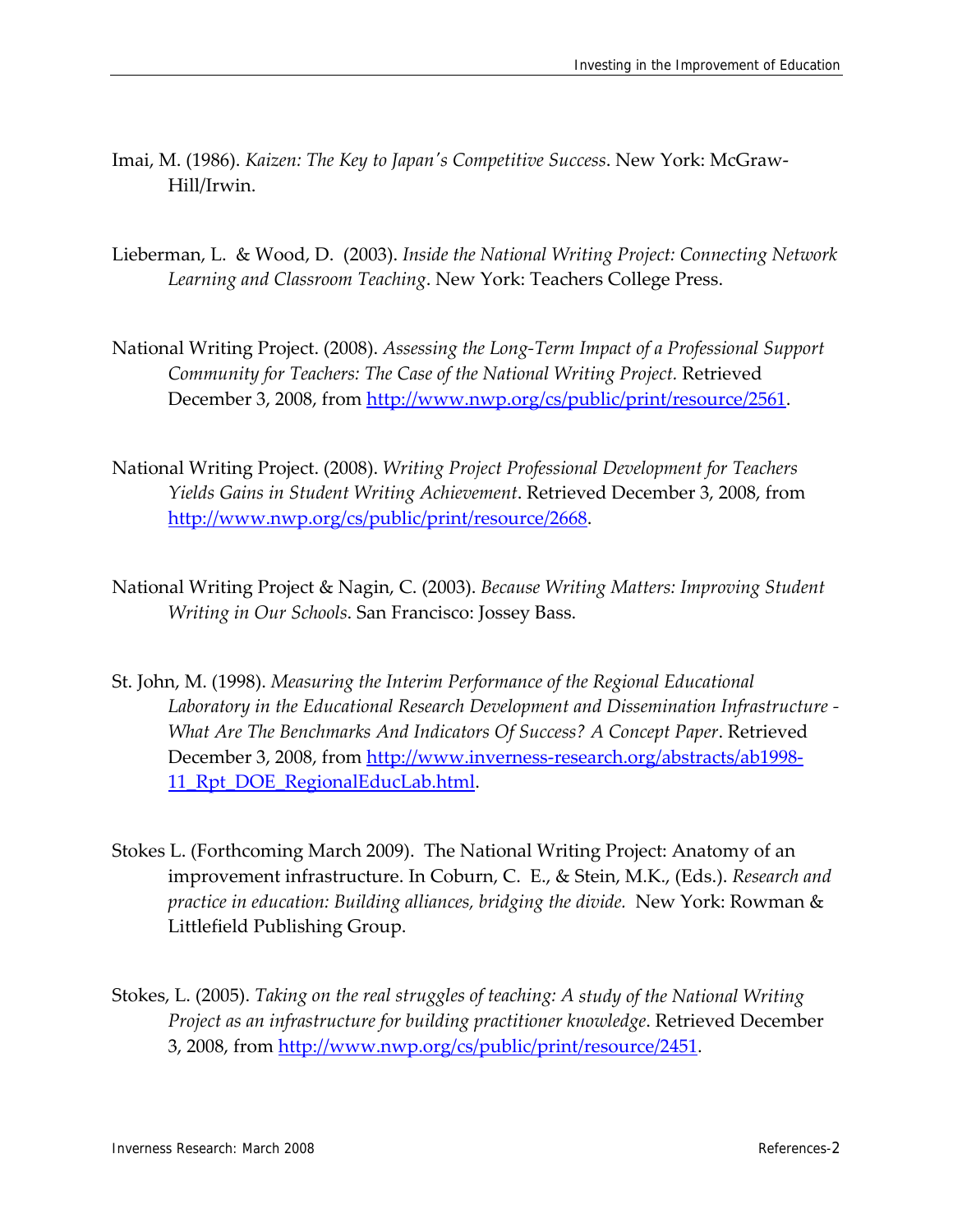- Imai, M. (1986). *Kaizen: The Key to Japanʹs Competitive Success*. New York: McGraw‐ Hill/Irwin.
- Lieberman, L. & Wood, D. (2003). *Inside the National Writing Project: Connecting Network Learning and Classroom Teaching*. New York: Teachers College Press.
- National Writing Project. (2008). *Assessing the Long‐Term Impact of a Professional Support Community for Teachers: The Case of the National Writing Project.* Retrieved December 3, 2008, from http://www.nwp.org/cs/public/print/resource/2561.
- National Writing Project. (2008). *Writing Project Professional Development for Teachers Yields Gains in Student Writing Achievement*. Retrieved December 3, 2008, from http://www.nwp.org/cs/public/print/resource/2668.
- National Writing Project & Nagin, C. (2003). *Because Writing Matters: Improving Student Writing in Our Schools*. San Francisco: Jossey Bass.
- St. John, M. (1998). *Measuring the Interim Performance of the Regional Educational Laboratory in the Educational Research Development and Dissemination Infrastructure ‐ What Are The Benchmarks And Indicators Of Success? A Concept Paper*. Retrieved December 3, 2008, from http://www.inverness-research.org/abstracts/ab1998-11 Rpt DOE RegionalEducLab.html.
- Stokes L. (Forthcoming March 2009). The National Writing Project: Anatomy of an improvement infrastructure. In Coburn, C. E., & Stein, M.K., (Eds.). *Research and practice in education: Building alliances, bridging the divide.* New York: Rowman & Littlefield Publishing Group.
- Stokes, L. (2005). *Taking on the real struggles of teaching: A study of the National Writing Project as an infrastructure for building practitioner knowledge*. Retrieved December 3, 2008, from http://www.nwp.org/cs/public/print/resource/2451.